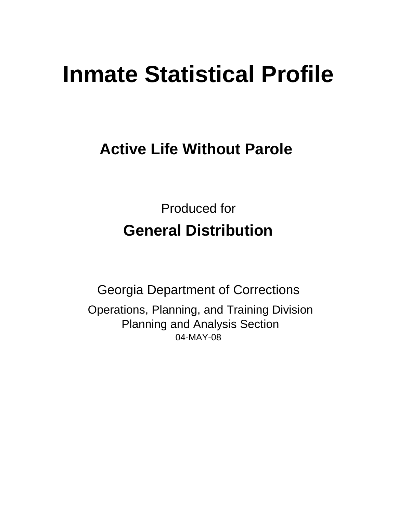# **Inmate Statistical Profile**

## **Active Life Without Parole**

Produced for **General Distribution**

04-MAY-08 Georgia Department of Corrections Operations, Planning, and Training Division Planning and Analysis Section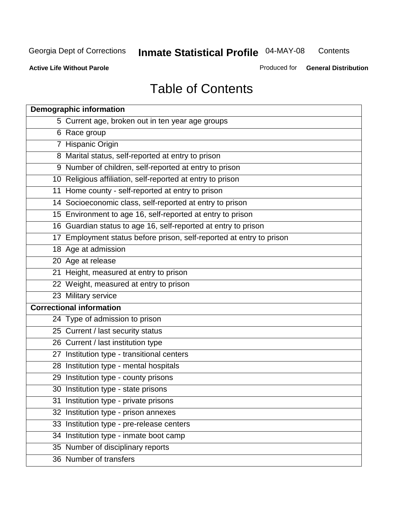**Contents** 

**Active Life Without Parole** 

Produced for **General Distribution**

## Table of Contents

| <b>Demographic information</b>                                       |
|----------------------------------------------------------------------|
| 5 Current age, broken out in ten year age groups                     |
| 6 Race group                                                         |
| 7 Hispanic Origin                                                    |
| 8 Marital status, self-reported at entry to prison                   |
| 9 Number of children, self-reported at entry to prison               |
| 10 Religious affiliation, self-reported at entry to prison           |
| 11 Home county - self-reported at entry to prison                    |
| 14 Socioeconomic class, self-reported at entry to prison             |
| 15 Environment to age 16, self-reported at entry to prison           |
| 16 Guardian status to age 16, self-reported at entry to prison       |
| 17 Employment status before prison, self-reported at entry to prison |
| 18 Age at admission                                                  |
| 20 Age at release                                                    |
| 21 Height, measured at entry to prison                               |
| 22 Weight, measured at entry to prison                               |
| 23 Military service                                                  |
| <b>Correctional information</b>                                      |
| 24 Type of admission to prison                                       |
| 25 Current / last security status                                    |
| 26 Current / last institution type                                   |
| 27 Institution type - transitional centers                           |
| 28 Institution type - mental hospitals                               |
| 29 Institution type - county prisons                                 |
| 30 Institution type - state prisons                                  |
| 31 Institution type - private prisons                                |
| 32 Institution type - prison annexes                                 |
| 33 Institution type - pre-release centers                            |
| 34 Institution type - inmate boot camp                               |
| 35 Number of disciplinary reports                                    |
| 36 Number of transfers                                               |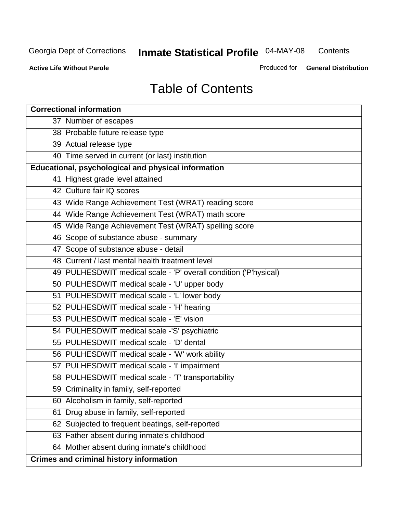**Contents** 

**Active Life Without Parole** 

Produced for **General Distribution**

## Table of Contents

| <b>Correctional information</b>                                  |
|------------------------------------------------------------------|
| 37 Number of escapes                                             |
| 38 Probable future release type                                  |
| 39 Actual release type                                           |
| 40 Time served in current (or last) institution                  |
| Educational, psychological and physical information              |
| 41 Highest grade level attained                                  |
| 42 Culture fair IQ scores                                        |
| 43 Wide Range Achievement Test (WRAT) reading score              |
| 44 Wide Range Achievement Test (WRAT) math score                 |
| 45 Wide Range Achievement Test (WRAT) spelling score             |
| 46 Scope of substance abuse - summary                            |
| 47 Scope of substance abuse - detail                             |
| 48 Current / last mental health treatment level                  |
| 49 PULHESDWIT medical scale - 'P' overall condition ('P'hysical) |
| 50 PULHESDWIT medical scale - 'U' upper body                     |
| 51 PULHESDWIT medical scale - 'L' lower body                     |
| 52 PULHESDWIT medical scale - 'H' hearing                        |
| 53 PULHESDWIT medical scale - 'E' vision                         |
| 54 PULHESDWIT medical scale -'S' psychiatric                     |
| 55 PULHESDWIT medical scale - 'D' dental                         |
| 56 PULHESDWIT medical scale - 'W' work ability                   |
| 57 PULHESDWIT medical scale - 'I' impairment                     |
| 58 PULHESDWIT medical scale - 'T' transportability               |
| 59 Criminality in family, self-reported                          |
| 60 Alcoholism in family, self-reported                           |
| Drug abuse in family, self-reported<br>61                        |
| 62 Subjected to frequent beatings, self-reported                 |
| 63 Father absent during inmate's childhood                       |
| 64 Mother absent during inmate's childhood                       |
| <b>Crimes and criminal history information</b>                   |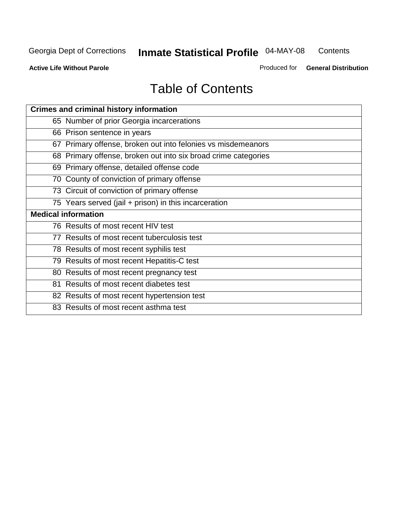**Contents** 

**Active Life Without Parole** 

Produced for **General Distribution**

## Table of Contents

| <b>Crimes and criminal history information</b>                 |
|----------------------------------------------------------------|
| 65 Number of prior Georgia incarcerations                      |
| 66 Prison sentence in years                                    |
| 67 Primary offense, broken out into felonies vs misdemeanors   |
| 68 Primary offense, broken out into six broad crime categories |
| 69 Primary offense, detailed offense code                      |
| 70 County of conviction of primary offense                     |
| 73 Circuit of conviction of primary offense                    |
| 75 Years served (jail + prison) in this incarceration          |
| <b>Medical information</b>                                     |
|                                                                |
| 76 Results of most recent HIV test                             |
| 77 Results of most recent tuberculosis test                    |
| 78 Results of most recent syphilis test                        |
| 79 Results of most recent Hepatitis-C test                     |
| 80 Results of most recent pregnancy test                       |
| 81 Results of most recent diabetes test                        |
| 82 Results of most recent hypertension test                    |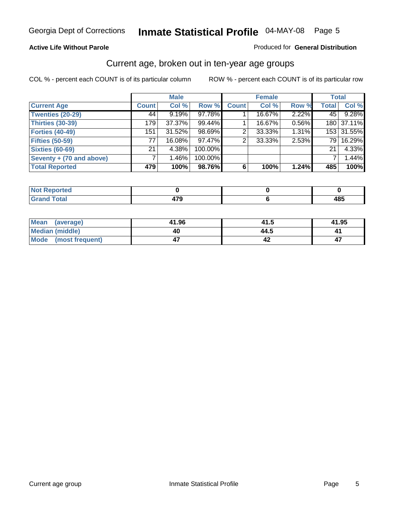#### **Active Life Without Parole**

#### Produced for **General Distribution**

### Current age, broken out in ten-year age groups

|                          |              | <b>Male</b> |         |              | <b>Female</b> |       | <b>Total</b> |            |
|--------------------------|--------------|-------------|---------|--------------|---------------|-------|--------------|------------|
| <b>Current Age</b>       | <b>Count</b> | Col %       | Row %   | <b>Count</b> | Col %         | Row % | <b>Total</b> | Col %      |
| <b>Twenties (20-29)</b>  | 44           | 9.19%       | 97.78%  |              | 16.67%        | 2.22% | 45           | 9.28%      |
| Thirties (30-39)         | 179          | 37.37%      | 99.44%  |              | 16.67%        | 0.56% |              | 180 37.11% |
| <b>Forties (40-49)</b>   | 151          | $31.52\%$   | 98.69%  | 2            | 33.33%        | 1.31% |              | 153 31.55% |
| <b>Fifties (50-59)</b>   | 77           | 16.08%      | 97.47%  |              | 33.33%        | 2.53% |              | 79 16.29%  |
| <b>Sixties (60-69)</b>   | 21           | 4.38%       | 100.00% |              |               |       | 21           | 4.33%      |
| Seventy + (70 and above) |              | 1.46%       | 100.00% |              |               |       |              | 1.44%      |
| <b>Total Reported</b>    | 479          | 100%        | 98.76%  | 6            | 100%          | 1.24% | 485          | 100%       |

| <b>NOT Reported</b> |     |      |
|---------------------|-----|------|
| <u>i vlai</u>       | --- | 40 E |
| $\mathbf{v}$ and    |     | 10.  |

| <b>Mean</b><br>(average)       | 41.96 | 41.5 | 41.95 |
|--------------------------------|-------|------|-------|
| Median (middle)                | 40    | 44.5 |       |
| <b>Mode</b><br>(most frequent) |       |      |       |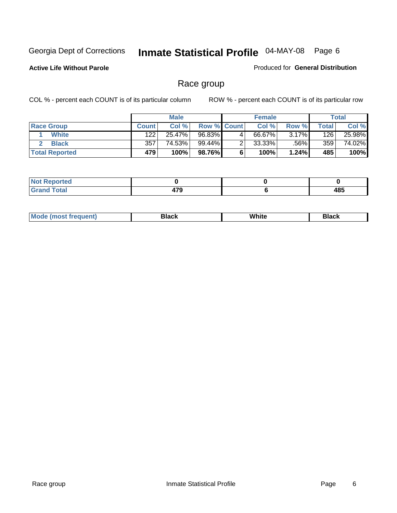**Active Life Without Parole** 

Produced for **General Distribution**

### Race group

|                       |              | <b>Male</b> |                    | <b>Female</b> |          |       | <b>Total</b> |
|-----------------------|--------------|-------------|--------------------|---------------|----------|-------|--------------|
| <b>Race Group</b>     | <b>Count</b> | Col %       | <b>Row % Count</b> | Col %         | Row %    | Total | Col %        |
| <b>White</b>          | 122          | 25.47%      | 96.83%             | 66.67%        | $3.17\%$ | 126   | 25.98%       |
| <b>Black</b>          | 357          | 74.53%      | 99.44%             | $33.33\%$     | .56%     | 359   | 74.02%       |
| <b>Total Reported</b> | 479          | 100%        | 98.76%             | 100%          | 1.24%    | 485   | 100%         |

| 'eported<br>$\cdots$ |                          |           |
|----------------------|--------------------------|-----------|
| <b>Total</b>         | 470<br>$\cdot$ . $\cdot$ | 485<br>__ |

| <b>Mode (most frequent)</b> | Black | White | Black |
|-----------------------------|-------|-------|-------|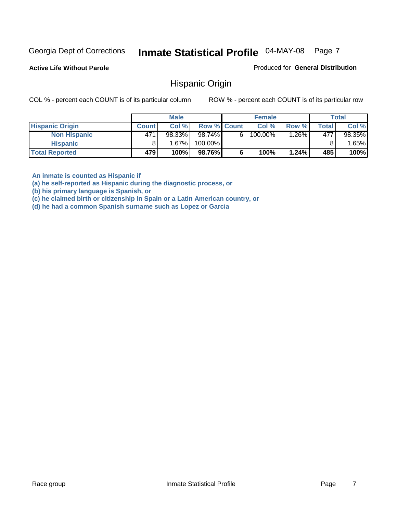**Active Life Without Parole** 

Produced for **General Distribution**

### Hispanic Origin

COL % - percent each COUNT is of its particular column ROW % - percent each COUNT is of its particular row

|                        |              | <b>Male</b> |                    |    | <b>Female</b> |         |       | <b>Total</b> |
|------------------------|--------------|-------------|--------------------|----|---------------|---------|-------|--------------|
| <b>Hispanic Origin</b> | <b>Count</b> | Col %       | <b>Row % Count</b> |    | Col %         | Row %   | Total | Col %        |
| <b>Non Hispanic</b>    | 471          | 98.33%      | 98.74%∎            | 61 | 100.00%       | $.26\%$ | 477   | 98.35%       |
| <b>Hispanic</b>        |              | $1.67\%$    | 100.00%            |    |               |         |       | .65%         |
| <b>Total Reported</b>  | 479          | 100%        | 98.76%             |    | 100%          | 1.24%   | 485   | 100%         |

**An inmate is counted as Hispanic if** 

**(a) he self-reported as Hispanic during the diagnostic process, or** 

**(b) his primary language is Spanish, or** 

**(c) he claimed birth or citizenship in Spain or a Latin American country, or** 

**(d) he had a common Spanish surname such as Lopez or Garcia**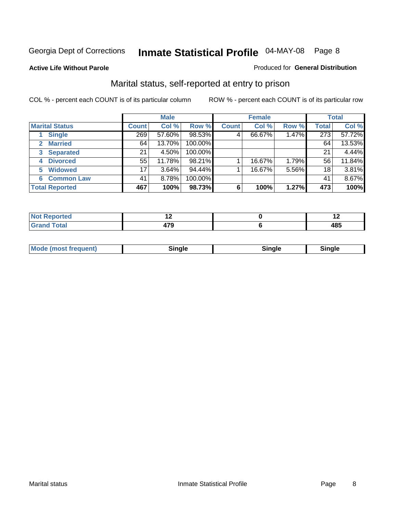#### **Active Life Without Parole**

#### Produced for **General Distribution**

### Marital status, self-reported at entry to prison

|                        | <b>Male</b>  |          |         | <b>Female</b> |        |       | <b>Total</b>    |        |
|------------------------|--------------|----------|---------|---------------|--------|-------|-----------------|--------|
| <b>Marital Status</b>  | <b>Count</b> | Col %    | Row %   | <b>Count</b>  | Col %  | Row % | <b>Total</b>    | Col %  |
| <b>Single</b>          | 269          | 57.60%   | 98.53%  | 4             | 66.67% | 1.47% | 273             | 57.72% |
| <b>Married</b><br>2    | 64           | 13.70%   | 100.00% |               |        |       | 64              | 13.53% |
| <b>Separated</b><br>3  | 21           | 4.50%    | 100.00% |               |        |       | 21              | 4.44%  |
| <b>Divorced</b><br>4   | 55           | 11.78%   | 98.21%  |               | 16.67% | 1.79% | 56 <sub>1</sub> | 11.84% |
| <b>Widowed</b><br>5    | 17           | $3.64\%$ | 94.44%  |               | 16.67% | 5.56% | 18              | 3.81%  |
| <b>Common Law</b><br>6 | 41           | 8.78%    | 100.00% |               |        |       | 41              | 8.67%  |
| <b>Total Reported</b>  | 467          | 100%     | 98.73%  | 6             | 100%   | 1.27% | 473             | 100%   |

|       |                    | . .            |
|-------|--------------------|----------------|
| _____ | .<br>- 1<br>$\sim$ | .<br>40J<br>__ |

| <b>Mode (most frequent)</b><br>Sinale<br>≒ınale |
|-------------------------------------------------|
|-------------------------------------------------|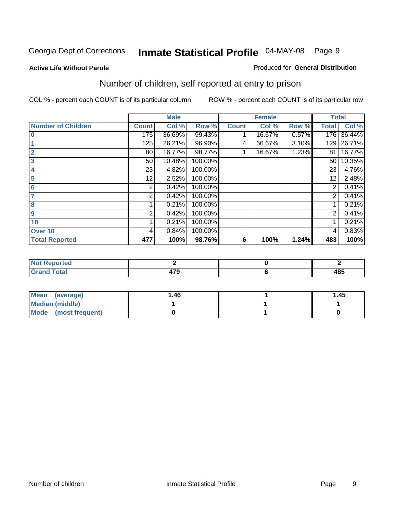#### **Active Life Without Parole**

#### Produced for **General Distribution**

### Number of children, self reported at entry to prison

|                           |                | <b>Male</b> |         |              | <b>Female</b> |       | <b>Total</b>   |        |
|---------------------------|----------------|-------------|---------|--------------|---------------|-------|----------------|--------|
| <b>Number of Children</b> | <b>Count</b>   | Col %       | Row %   | <b>Count</b> | Col %         | Row % | <b>Total</b>   | Col %  |
| $\bf{0}$                  | 175            | 36.69%      | 99.43%  |              | 16.67%        | 0.57% | 176            | 36.44% |
|                           | 125            | 26.21%      | 96.90%  | 4            | 66.67%        | 3.10% | 129            | 26.71% |
| $\overline{2}$            | 80             | 16.77%      | 98.77%  |              | 16.67%        | 1.23% | 81             | 16.77% |
| 3                         | 50             | 10.48%      | 100.00% |              |               |       | 50             | 10.35% |
| 4                         | 23             | 4.82%       | 100.00% |              |               |       | 23             | 4.76%  |
| 5                         | 12             | 2.52%       | 100.00% |              |               |       | 12             | 2.48%  |
| 6                         | 2              | 0.42%       | 100.00% |              |               |       | 2              | 0.41%  |
| 7                         | $\overline{2}$ | 0.42%       | 100.00% |              |               |       | $\overline{2}$ | 0.41%  |
| 8                         |                | 0.21%       | 100.00% |              |               |       |                | 0.21%  |
| 9                         | 2              | 0.42%       | 100.00% |              |               |       | $\overline{2}$ | 0.41%  |
| 10                        |                | 0.21%       | 100.00% |              |               |       |                | 0.21%  |
| Over 10                   | 4              | 0.84%       | 100.00% |              |               |       | 4              | 0.83%  |
| <b>Total Reported</b>     | 477            | 100%        | 98.76%  | 6            | 100%          | 1.24% | 483            | 100%   |

| ™rteu<br>$\sim$                 |     |           |
|---------------------------------|-----|-----------|
| <b>otal</b><br>$\mathbf{v}$ and | $-$ | AC<br>40J |

| <b>Mean</b><br>(average) | 1.46 | 1.45 |
|--------------------------|------|------|
| Median (middle)          |      |      |
| Mode (most frequent)     |      |      |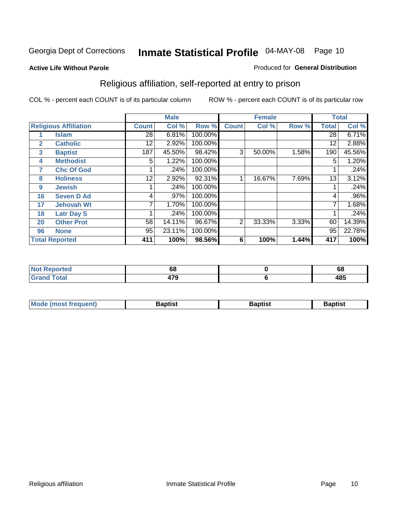#### **Active Life Without Parole**

#### Produced for **General Distribution**

### Religious affiliation, self-reported at entry to prison

|              |                              |              | <b>Male</b> |         |              | <b>Female</b> |       |              | <b>Total</b> |
|--------------|------------------------------|--------------|-------------|---------|--------------|---------------|-------|--------------|--------------|
|              | <b>Religious Affiliation</b> | <b>Count</b> | Col %       | Row %   | <b>Count</b> | Col %         | Row % | <b>Total</b> | Col %        |
|              | <b>Islam</b>                 | 28           | 6.81%       | 100.00% |              |               |       | 28           | 6.71%        |
| $\mathbf{2}$ | <b>Catholic</b>              | 12           | 2.92%       | 100.00% |              |               |       | 12           | 2.88%        |
| 3            | <b>Baptist</b>               | 187          | 45.50%      | 98.42%  | 3            | 50.00%        | 1.58% | 190          | 45.56%       |
| 4            | <b>Methodist</b>             | 5            | 1.22%       | 100.00% |              |               |       | 5            | 1.20%        |
| 7            | <b>Chc Of God</b>            |              | .24%        | 100.00% |              |               |       |              | .24%         |
| 8            | <b>Holiness</b>              | 12           | 2.92%       | 92.31%  |              | 16.67%        | 7.69% | 13           | 3.12%        |
| 9            | <b>Jewish</b>                |              | .24%        | 100.00% |              |               |       |              | .24%         |
| 16           | <b>Seven D Ad</b>            | 4            | .97%        | 100.00% |              |               |       | 4            | .96%         |
| 17           | <b>Jehovah Wt</b>            |              | 1.70%       | 100.00% |              |               |       |              | 1.68%        |
| 18           | <b>Latr Day S</b>            |              | .24%        | 100.00% |              |               |       |              | .24%         |
| 20           | <b>Other Prot</b>            | 58           | 14.11%      | 96.67%  | 2            | 33.33%        | 3.33% | 60           | 14.39%       |
| 96           | <b>None</b>                  | 95           | 23.11%      | 100.00% |              |               |       | 95           | 22.78%       |
|              | <b>Total Reported</b>        | 411          | 100%        | 98.56%  | 6            | 100%          | 1.44% | 417          | 100%         |

| <b>rted</b> | oa   | $\ddot{\phantom{m}}$<br>vo |
|-------------|------|----------------------------|
| 'otal       | - 70 | 10 E<br>40J                |

| ' Mo<br>went | <b>}aptist</b> | Baptist<br>$ -$ | <b>Baptist</b> |
|--------------|----------------|-----------------|----------------|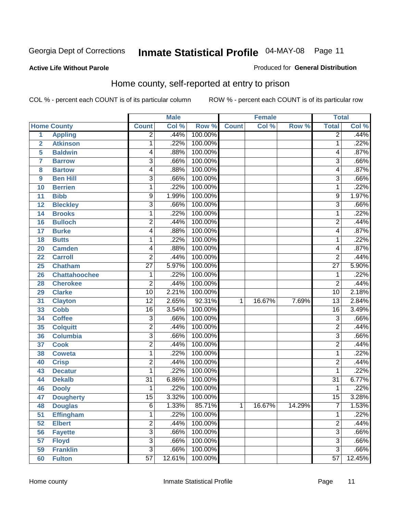#### **Active Life Without Parole**

#### Produced for **General Distribution**

### Home county, self-reported at entry to prison

|                |                      |                         | <b>Male</b> |         |              | <b>Female</b> |        | <b>Total</b>    |        |
|----------------|----------------------|-------------------------|-------------|---------|--------------|---------------|--------|-----------------|--------|
|                | <b>Home County</b>   | <b>Count</b>            | Col %       | Row %   | <b>Count</b> | Col %         | Row %  | <b>Total</b>    | Col %  |
| 1              | <b>Appling</b>       | $\overline{2}$          | .44%        | 100.00% |              |               |        | $\overline{2}$  | .44%   |
| $\overline{2}$ | <b>Atkinson</b>      | 1                       | .22%        | 100.00% |              |               |        | 1               | .22%   |
| 5              | <b>Baldwin</b>       | 4                       | .88%        | 100.00% |              |               |        | 4               | .87%   |
| 7              | <b>Barrow</b>        | $\overline{3}$          | .66%        | 100.00% |              |               |        | 3               | .66%   |
| 8              | <b>Bartow</b>        | 4                       | .88%        | 100.00% |              |               |        | 4               | .87%   |
| 9              | <b>Ben Hill</b>      | $\overline{3}$          | .66%        | 100.00% |              |               |        | $\overline{3}$  | .66%   |
| 10             | <b>Berrien</b>       | 1                       | .22%        | 100.00% |              |               |        | 1               | .22%   |
| 11             | <b>Bibb</b>          | 9                       | 1.99%       | 100.00% |              |               |        | 9               | 1.97%  |
| 12             | <b>Bleckley</b>      | $\overline{3}$          | .66%        | 100.00% |              |               |        | 3               | .66%   |
| 14             | <b>Brooks</b>        | 1                       | .22%        | 100.00% |              |               |        | 1               | .22%   |
| 16             | <b>Bulloch</b>       | $\overline{\mathbf{c}}$ | .44%        | 100.00% |              |               |        | 2               | .44%   |
| 17             | <b>Burke</b>         | 4                       | .88%        | 100.00% |              |               |        | 4               | .87%   |
| 18             | <b>Butts</b>         | 1                       | .22%        | 100.00% |              |               |        | 1               | .22%   |
| 20             | <b>Camden</b>        | 4                       | .88%        | 100.00% |              |               |        | 4               | .87%   |
| 22             | <b>Carroll</b>       | $\overline{2}$          | .44%        | 100.00% |              |               |        | $\overline{2}$  | .44%   |
| 25             | <b>Chatham</b>       | $\overline{27}$         | 5.97%       | 100.00% |              |               |        | $\overline{27}$ | 5.90%  |
| 26             | <b>Chattahoochee</b> | $\mathbf 1$             | .22%        | 100.00% |              |               |        | 1               | .22%   |
| 28             | <b>Cherokee</b>      | $\overline{\mathbf{c}}$ | .44%        | 100.00% |              |               |        | $\overline{2}$  | .44%   |
| 29             | <b>Clarke</b>        | $\overline{10}$         | 2.21%       | 100.00% |              |               |        | $\overline{10}$ | 2.18%  |
| 31             | <b>Clayton</b>       | $\overline{12}$         | 2.65%       | 92.31%  | 1            | 16.67%        | 7.69%  | $\overline{13}$ | 2.84%  |
| 33             | <b>Cobb</b>          | $\overline{16}$         | 3.54%       | 100.00% |              |               |        | $\overline{16}$ | 3.49%  |
| 34             | <b>Coffee</b>        | $\overline{3}$          | .66%        | 100.00% |              |               |        | 3               | .66%   |
| 35             | <b>Colquitt</b>      | $\overline{2}$          | .44%        | 100.00% |              |               |        | $\overline{2}$  | .44%   |
| 36             | <b>Columbia</b>      | $\overline{3}$          | .66%        | 100.00% |              |               |        | $\overline{3}$  | .66%   |
| 37             | <b>Cook</b>          | $\overline{\mathbf{c}}$ | .44%        | 100.00% |              |               |        | $\overline{2}$  | .44%   |
| 38             | <b>Coweta</b>        | 1                       | .22%        | 100.00% |              |               |        | 1               | .22%   |
| 40             | <b>Crisp</b>         | $\overline{\mathbf{c}}$ | .44%        | 100.00% |              |               |        | 2               | .44%   |
| 43             | <b>Decatur</b>       | 1                       | .22%        | 100.00% |              |               |        | 1               | .22%   |
| 44             | <b>Dekalb</b>        | $\overline{31}$         | 6.86%       | 100.00% |              |               |        | $\overline{31}$ | 6.77%  |
| 46             | <b>Dooly</b>         | 1                       | .22%        | 100.00% |              |               |        | 1               | .22%   |
| 47             | <b>Dougherty</b>     | $\overline{15}$         | 3.32%       | 100.00% |              |               |        | $\overline{15}$ | 3.28%  |
| 48             | <b>Douglas</b>       | 6                       | 1.33%       | 85.71%  | 1            | 16.67%        | 14.29% | ſ               | 1.53%  |
| 51             | <b>Effingham</b>     | 1                       | .22%        | 100.00% |              |               |        | 1               | .22%   |
| 52             | <b>Elbert</b>        | $\overline{2}$          | .44%        | 100.00% |              |               |        | 2               | .44%   |
| 56             | <b>Fayette</b>       | $\overline{3}$          | .66%        | 100.00% |              |               |        | $\overline{3}$  | .66%   |
| 57             | <b>Floyd</b>         | $\overline{3}$          | .66%        | 100.00% |              |               |        | 3               | .66%   |
| 59             | <b>Franklin</b>      | $\overline{3}$          | .66%        | 100.00% |              |               |        | $\overline{3}$  | .66%   |
| 60             | <b>Fulton</b>        | $\overline{57}$         | 12.61%      | 100.00% |              |               |        | $\overline{57}$ | 12.45% |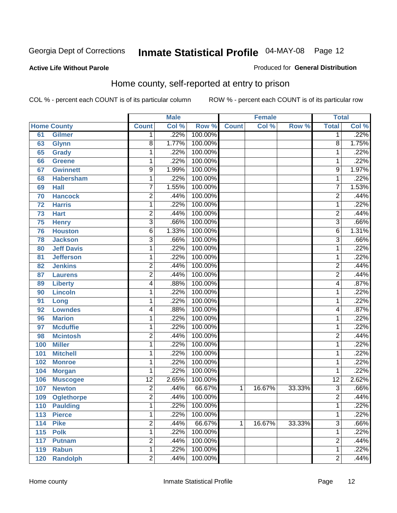Produced for **General Distribution**

#### **Active Life Without Parole**

### Home county, self-reported at entry to prison

|     |                    |                         | <b>Male</b> |         |              | <b>Female</b> |        | <b>Total</b>    |       |
|-----|--------------------|-------------------------|-------------|---------|--------------|---------------|--------|-----------------|-------|
|     | <b>Home County</b> | <b>Count</b>            | Col %       | Row %   | <b>Count</b> | Col %         | Row %  | <b>Total</b>    | Col % |
| 61  | <b>Gilmer</b>      | 1                       | .22%        | 100.00% |              |               |        | 1               | .22%  |
| 63  | <b>Glynn</b>       | 8                       | 1.77%       | 100.00% |              |               |        | 8               | 1.75% |
| 65  | <b>Grady</b>       | $\mathbf 1$             | .22%        | 100.00% |              |               |        | 1               | .22%  |
| 66  | <b>Greene</b>      | $\mathbf 1$             | .22%        | 100.00% |              |               |        | 1               | .22%  |
| 67  | <b>Gwinnett</b>    | 9                       | 1.99%       | 100.00% |              |               |        | 9               | 1.97% |
| 68  | <b>Habersham</b>   | $\mathbf 1$             | .22%        | 100.00% |              |               |        | 1               | .22%  |
| 69  | <b>Hall</b>        | 7                       | 1.55%       | 100.00% |              |               |        | 7               | 1.53% |
| 70  | <b>Hancock</b>     | $\overline{c}$          | .44%        | 100.00% |              |               |        | $\overline{2}$  | .44%  |
| 72  | <b>Harris</b>      | $\mathbf 1$             | .22%        | 100.00% |              |               |        | 1               | .22%  |
| 73  | <b>Hart</b>        | $\overline{2}$          | .44%        | 100.00% |              |               |        | $\overline{2}$  | .44%  |
| 75  | <b>Henry</b>       | $\overline{3}$          | .66%        | 100.00% |              |               |        | $\overline{3}$  | .66%  |
| 76  | <b>Houston</b>     | 6                       | 1.33%       | 100.00% |              |               |        | 6               | 1.31% |
| 78  | <b>Jackson</b>     | $\overline{3}$          | .66%        | 100.00% |              |               |        | $\overline{3}$  | .66%  |
| 80  | <b>Jeff Davis</b>  | $\mathbf 1$             | .22%        | 100.00% |              |               |        | 1               | .22%  |
| 81  | <b>Jefferson</b>   | $\mathbf 1$             | .22%        | 100.00% |              |               |        | 1               | .22%  |
| 82  | <b>Jenkins</b>     | $\overline{c}$          | .44%        | 100.00% |              |               |        | $\overline{2}$  | .44%  |
| 87  | <b>Laurens</b>     | $\overline{2}$          | .44%        | 100.00% |              |               |        | $\overline{2}$  | .44%  |
| 89  | <b>Liberty</b>     | 4                       | .88%        | 100.00% |              |               |        | 4               | .87%  |
| 90  | <b>Lincoln</b>     | $\mathbf 1$             | .22%        | 100.00% |              |               |        | 1               | .22%  |
| 91  | Long               | $\mathbf 1$             | .22%        | 100.00% |              |               |        | 1               | .22%  |
| 92  | <b>Lowndes</b>     | 4                       | .88%        | 100.00% |              |               |        | 4               | .87%  |
| 96  | <b>Marion</b>      | $\mathbf 1$             | .22%        | 100.00% |              |               |        | 1               | .22%  |
| 97  | <b>Mcduffie</b>    | $\mathbf 1$             | .22%        | 100.00% |              |               |        | 1               | .22%  |
| 98  | <b>Mcintosh</b>    | $\overline{c}$          | .44%        | 100.00% |              |               |        | $\overline{c}$  | .44%  |
| 100 | <b>Miller</b>      | $\mathbf 1$             | .22%        | 100.00% |              |               |        | 1               | .22%  |
| 101 | <b>Mitchell</b>    | $\mathbf 1$             | .22%        | 100.00% |              |               |        | 1               | .22%  |
| 102 | <b>Monroe</b>      | $\mathbf 1$             | .22%        | 100.00% |              |               |        | 1               | .22%  |
| 104 | <b>Morgan</b>      | 1                       | .22%        | 100.00% |              |               |        | 1               | .22%  |
| 106 | <b>Muscogee</b>    | $\overline{12}$         | 2.65%       | 100.00% |              |               |        | $\overline{12}$ | 2.62% |
| 107 | <b>Newton</b>      | $\overline{\mathbf{c}}$ | .44%        | 66.67%  | 1            | 16.67%        | 33.33% | $\overline{3}$  | .66%  |
| 109 | <b>Oglethorpe</b>  | $\overline{2}$          | .44%        | 100.00% |              |               |        | $\overline{2}$  | .44%  |
| 110 | <b>Paulding</b>    | 1                       | .22%        | 100.00% |              |               |        | 1               | .22%  |
| 113 | <b>Pierce</b>      | $\mathbf{1}$            | .22%        | 100.00% |              |               |        | 1               | .22%  |
| 114 | <b>Pike</b>        | $\overline{2}$          | .44%        | 66.67%  | 1            | 16.67%        | 33.33% | $\overline{3}$  | .66%  |
| 115 | <b>Polk</b>        | $\mathbf 1$             | .22%        | 100.00% |              |               |        | 1               | .22%  |
| 117 | <b>Putnam</b>      | $\overline{2}$          | .44%        | 100.00% |              |               |        | $\overline{2}$  | .44%  |
| 119 | <b>Rabun</b>       | $\mathbf 1$             | .22%        | 100.00% |              |               |        | 1               | .22%  |
| 120 | <b>Randolph</b>    | $\overline{2}$          | .44%        | 100.00% |              |               |        | $\overline{2}$  | .44%  |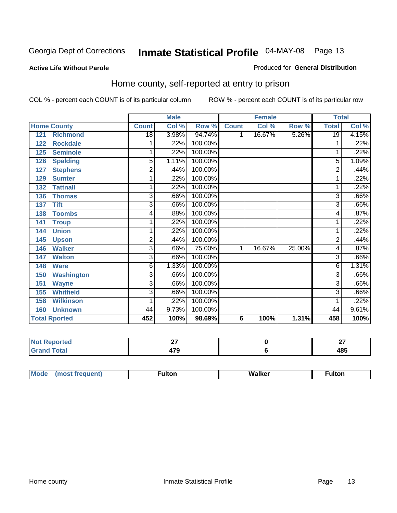#### **Active Life Without Parole**

#### Produced for **General Distribution**

### Home county, self-reported at entry to prison

|                          |                 | <b>Male</b> |         |                 | <b>Female</b> |        | <b>Total</b>    |       |
|--------------------------|-----------------|-------------|---------|-----------------|---------------|--------|-----------------|-------|
| <b>Home County</b>       | <b>Count</b>    | Col %       | Row %   | <b>Count</b>    | Col %         | Row %  | <b>Total</b>    | Col % |
| <b>Richmond</b><br>121   | $\overline{18}$ | 3.98%       | 94.74%  | 1               | 16.67%        | 5.26%  | $\overline{19}$ | 4.15% |
| <b>Rockdale</b><br>122   | 1               | .22%        | 100.00% |                 |               |        | 1               | .22%  |
| <b>Seminole</b><br>125   | 1               | .22%        | 100.00% |                 |               |        | 1               | .22%  |
| <b>Spalding</b><br>126   | 5               | 1.11%       | 100.00% |                 |               |        | 5               | 1.09% |
| <b>Stephens</b><br>127   | $\overline{2}$  | .44%        | 100.00% |                 |               |        | $\overline{2}$  | .44%  |
| <b>Sumter</b><br>129     | 1               | .22%        | 100.00% |                 |               |        | 1               | .22%  |
| <b>Tattnall</b><br>132   | 1               | .22%        | 100.00% |                 |               |        |                 | .22%  |
| 136<br><b>Thomas</b>     | $\overline{3}$  | .66%        | 100.00% |                 |               |        | 3               | .66%  |
| <b>Tift</b><br>137       | 3               | .66%        | 100.00% |                 |               |        | 3               | .66%  |
| <b>Toombs</b><br>138     | 4               | .88%        | 100.00% |                 |               |        | 4               | .87%  |
| 141<br><b>Troup</b>      | 1               | .22%        | 100.00% |                 |               |        | 1               | .22%  |
| <b>Union</b><br>144      | 1               | .22%        | 100.00% |                 |               |        | 1               | .22%  |
| 145<br><b>Upson</b>      | $\bar{2}$       | .44%        | 100.00% |                 |               |        | $\bar{2}$       | .44%  |
| <b>Walker</b><br>146     | 3               | .66%        | 75.00%  | 1               | 16.67%        | 25.00% | 4               | .87%  |
| <b>Walton</b><br>147     | 3               | .66%        | 100.00% |                 |               |        | $\overline{3}$  | .66%  |
| <b>Ware</b><br>148       | 6               | 1.33%       | 100.00% |                 |               |        | 6               | 1.31% |
| <b>Washington</b><br>150 | $\overline{3}$  | .66%        | 100.00% |                 |               |        | $\overline{3}$  | .66%  |
| <b>Wayne</b><br>151      | 3               | .66%        | 100.00% |                 |               |        | $\overline{3}$  | .66%  |
| <b>Whitfield</b><br>155  | 3               | .66%        | 100.00% |                 |               |        | 3               | .66%  |
| <b>Wilkinson</b><br>158  | 1               | .22%        | 100.00% |                 |               |        | 1               | .22%  |
| <b>Unknown</b><br>160    | 44              | 9.73%       | 100.00% |                 |               |        | 44              | 9.61% |
| <b>Total Rported</b>     | 452             | 100%        | 98.69%  | $6\phantom{1}6$ | 100%          | 1.31%  | 458             | 100%  |

| ' leu<br>. | $ -$<br>. .             | $\sim$<br>-- |
|------------|-------------------------|--------------|
|            | $\rightarrow$<br>$\sim$ | 10E<br>40J   |

| Moo | . . 14.<br>uiton | .<br>.<br><b>Nalker</b><br>w.<br>_______ | <b>Fulton</b> |
|-----|------------------|------------------------------------------|---------------|
|     |                  |                                          |               |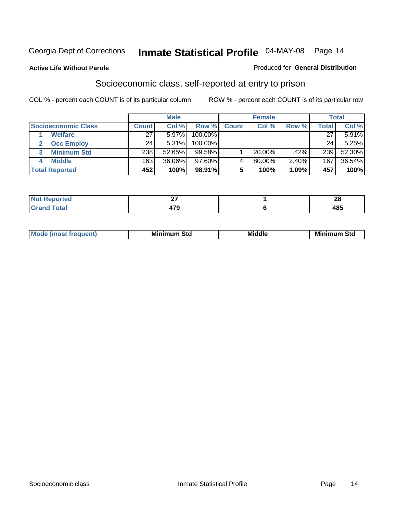#### **Active Life Without Parole**

#### Produced for **General Distribution**

### Socioeconomic class, self-reported at entry to prison

|                            |       | <b>Male</b> |            |              | <b>Female</b> |       |       | <b>Total</b> |
|----------------------------|-------|-------------|------------|--------------|---------------|-------|-------|--------------|
| <b>Socioeconomic Class</b> | Count | Col %       | Row %      | <b>Count</b> | Col %         | Row % | Total | Col %        |
| <b>Welfare</b>             | 27    | 5.97%       | $100.00\%$ |              |               |       | 27    | 5.91%        |
| <b>Occ Employ</b>          | 24    | 5.31%       | $100.00\%$ |              |               |       | 24    | 5.25%        |
| <b>Minimum Std</b>         | 238   | 52.65%      | 99.58%     |              | $20.00\%$     | .42%  | 239   | 52.30%       |
| <b>Middle</b>              | 163   | 36.06%      | $97.60\%$  |              | 80.00%        | 2.40% | 167   | 36.54%       |
| <b>Total Reported</b>      | 452   | 100%        | 98.91%     |              | 100%          | 1.09% | 457   | 100%         |

| وبالمستقصر<br>тес     | $\sim$<br>- | - -<br>~ |
|-----------------------|-------------|----------|
| $f \wedge f \wedge f$ | 170<br>413  | AC       |

| M<br>Mir<br>Mi<br><b>Middle</b><br><b>C</b> ta<br>Sta<br>oτu<br>.<br>the contract of the contract of the contract of the contract of the contract of the contract of the contract of<br>___ |
|---------------------------------------------------------------------------------------------------------------------------------------------------------------------------------------------|
|---------------------------------------------------------------------------------------------------------------------------------------------------------------------------------------------|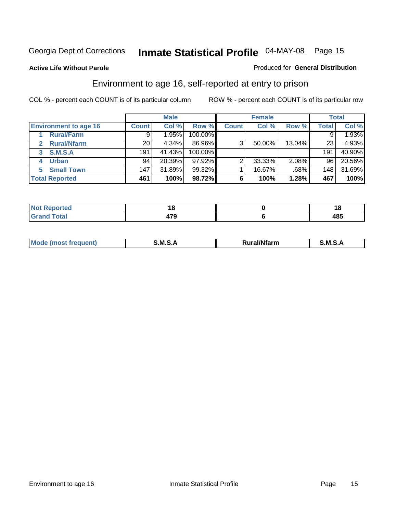Produced for **General Distribution**

#### **Active Life Without Parole**

### Environment to age 16, self-reported at entry to prison

|                              |                  | <b>Male</b> |           |              | <b>Female</b> |        |              | <b>Total</b> |
|------------------------------|------------------|-------------|-----------|--------------|---------------|--------|--------------|--------------|
| <b>Environment to age 16</b> | <b>Count</b>     | Col %       | Row %     | <b>Count</b> | Col %         | Row %  | <b>Total</b> | Col %        |
| <b>Rural/Farm</b>            | 9                | 1.95%       | 100.00%   |              |               |        |              | 1.93%        |
| <b>Rural/Nfarm</b><br>2      | 20               | 4.34%       | 86.96%    | 3            | 50.00%        | 13.04% | 23           | 4.93%        |
| <b>S.M.S.A</b><br>3          | 191              | 41.43%      | 100.00%   |              |               |        | 191          | 40.90%       |
| <b>Urban</b><br>4            | 94               | 20.39%      | $97.92\%$ |              | 33.33%        | 2.08%  | 96           | 20.56%       |
| <b>Small Town</b>            | 147 <sub>1</sub> | 31.89%      | 99.32%    |              | 16.67%        | .68%   | 148          | 31.69%       |
| <b>Total Reported</b>        | 461              | 100%        | 98.72%    | 6            | 100%          | 1.28%  | 467          | 100%         |

| Reported<br>Not       |     | ıo          |
|-----------------------|-----|-------------|
| <b>Total</b><br>Grand | 170 | 10 E<br>40ພ |

| Mo<br><b>CONTRACTOR</b><br>. M S<br>M<br>---<br>Nfarn<br>.<br>______<br>______ |  |  |
|--------------------------------------------------------------------------------|--|--|
|                                                                                |  |  |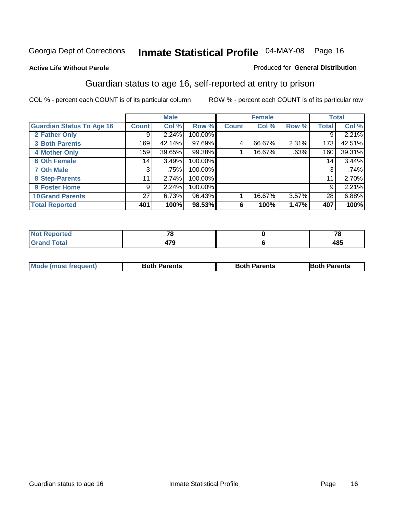#### **Active Life Without Parole**

#### Produced for **General Distribution**

### Guardian status to age 16, self-reported at entry to prison

|                                  |                 | <b>Male</b> |           |              | <b>Female</b> |       |              | <b>Total</b> |
|----------------------------------|-----------------|-------------|-----------|--------------|---------------|-------|--------------|--------------|
| <b>Guardian Status To Age 16</b> | <b>Count</b>    | Col %       | Row %     | <b>Count</b> | Col %         | Row % | <b>Total</b> | Col %        |
| 2 Father Only                    | 9               | 2.24%       | 100.00%   |              |               |       | 9            | 2.21%        |
| <b>3 Both Parents</b>            | 169             | 42.14%      | $97.69\%$ | 4            | 66.67%        | 2.31% | 173          | 42.51%       |
| <b>4 Mother Only</b>             | 159             | 39.65%      | 99.38%    |              | 16.67%        | .63%  | 160          | 39.31%       |
| <b>6 Oth Female</b>              | 14 <sub>1</sub> | 3.49%       | 100.00%   |              |               |       | 14           | 3.44%        |
| <b>7 Oth Male</b>                | 3               | .75%        | 100.00%   |              |               |       | 3            | .74%         |
| 8 Step-Parents                   | 11              | 2.74%       | 100.00%   |              |               |       | 11           | 2.70%        |
| 9 Foster Home                    | 9               | 2.24%       | 100.00%   |              |               |       | 9            | 2.21%        |
| <b>10 Grand Parents</b>          | 27              | 6.73%       | 96.43%    |              | 16.67%        | 3.57% | 28           | 6.88%        |
| <b>Total Reported</b>            | 401             | 100%        | 98.53%    | 6            | 100%          | 1.47% | 407          | 100%         |

| .      | $-$                          | - - |
|--------|------------------------------|-----|
| i vlai | .__<br>- 33<br>. .<br>$\sim$ | 485 |

| Mode (most frequent) | <b>Both Parents</b> | <b>Both Parents</b> | <b>IBoth Parents</b> |
|----------------------|---------------------|---------------------|----------------------|
|                      |                     |                     |                      |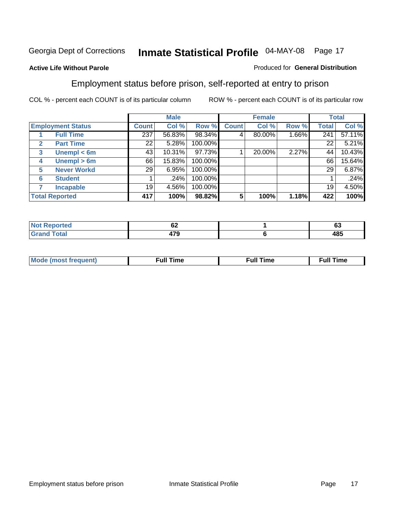#### **Active Life Without Parole**

#### Produced for **General Distribution**

### Employment status before prison, self-reported at entry to prison

|              |                          |              | <b>Male</b> |         |              | <b>Female</b> |       |       | <b>Total</b> |
|--------------|--------------------------|--------------|-------------|---------|--------------|---------------|-------|-------|--------------|
|              | <b>Employment Status</b> | <b>Count</b> | Col %       | Row %   | <b>Count</b> | Col %         | Row % | Total | Col %        |
|              | <b>Full Time</b>         | 237          | 56.83%      | 98.34%  | 4            | 80.00%        | 1.66% | 241   | 57.11%       |
| $\mathbf{2}$ | <b>Part Time</b>         | 22           | 5.28%       | 100.00% |              |               |       | 22    | 5.21%        |
| 3            | Unempl $<$ 6m            | 43           | 10.31%      | 97.73%  |              | 20.00%        | 2.27% | 44    | 10.43%       |
| 4            | Unempl > 6m              | 66           | 15.83%      | 100.00% |              |               |       | 66    | 15.64%       |
| 5            | <b>Never Workd</b>       | 29           | 6.95%       | 100.00% |              |               |       | 29    | 6.87%        |
| 6            | <b>Student</b>           |              | .24%        | 100.00% |              |               |       |       | .24%         |
|              | <b>Incapable</b>         | 19           | 4.56%       | 100.00% |              |               |       | 19    | 4.50%        |
|              | <b>Total Reported</b>    | 417          | 100%        | 98.82%  | 5            | 100%          | 1.18% | 422   | 100%         |

| τeι. | ~~<br>VŁ           | $\sim$<br>ັບ |
|------|--------------------|--------------|
| $ -$ | $\rightarrow$<br>. | 10 E<br>40J  |

| Mo | 'me<br>uн<br>the contract of the contract of the contract of the contract of the contract of the contract of the contract of | ïme<br>uı.<br>the contract of the contract of the contract of the contract of the contract of the contract of the contract of |
|----|------------------------------------------------------------------------------------------------------------------------------|-------------------------------------------------------------------------------------------------------------------------------|
|    |                                                                                                                              |                                                                                                                               |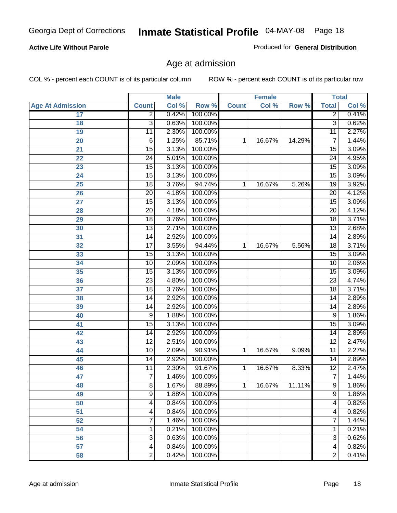#### **Active Life Without Parole**

Produced for **General Distribution**

### Age at admission

|                         |                 | <b>Male</b> |         |              | <b>Female</b> |        |                 | <b>Total</b> |
|-------------------------|-----------------|-------------|---------|--------------|---------------|--------|-----------------|--------------|
| <b>Age At Admission</b> | <b>Count</b>    | Col %       | Row %   | <b>Count</b> | Col %         | Row %  | <b>Total</b>    | Col %        |
| 17                      | $\overline{2}$  | 0.42%       | 100.00% |              |               |        | $\overline{2}$  | 0.41%        |
| 18                      | $\overline{3}$  | 0.63%       | 100.00% |              |               |        | $\overline{3}$  | 0.62%        |
| 19                      | $\overline{11}$ | 2.30%       | 100.00% |              |               |        | 11              | 2.27%        |
| 20                      | $\,6$           | 1.25%       | 85.71%  | 1            | 16.67%        | 14.29% | 7               | 1.44%        |
| 21                      | $\overline{15}$ | 3.13%       | 100.00% |              |               |        | $\overline{15}$ | 3.09%        |
| 22                      | $\overline{24}$ | 5.01%       | 100.00% |              |               |        | 24              | 4.95%        |
| 23                      | 15              | 3.13%       | 100.00% |              |               |        | $\overline{15}$ | 3.09%        |
| 24                      | $\overline{15}$ | 3.13%       | 100.00% |              |               |        | 15              | 3.09%        |
| $\overline{25}$         | $\overline{18}$ | 3.76%       | 94.74%  | 1            | 16.67%        | 5.26%  | 19              | 3.92%        |
| 26                      | $\overline{20}$ | 4.18%       | 100.00% |              |               |        | 20              | 4.12%        |
| 27                      | 15              | 3.13%       | 100.00% |              |               |        | $\overline{15}$ | 3.09%        |
| 28                      | $\overline{20}$ | 4.18%       | 100.00% |              |               |        | $\overline{20}$ | 4.12%        |
| 29                      | $\overline{18}$ | 3.76%       | 100.00% |              |               |        | $\overline{18}$ | 3.71%        |
| 30                      | $\overline{13}$ | 2.71%       | 100.00% |              |               |        | 13              | 2.68%        |
| 31                      | $\overline{14}$ | 2.92%       | 100.00% |              |               |        | $\overline{14}$ | 2.89%        |
| 32                      | $\overline{17}$ | 3.55%       | 94.44%  | 1            | 16.67%        | 5.56%  | 18              | 3.71%        |
| 33                      | 15              | 3.13%       | 100.00% |              |               |        | $\overline{15}$ | 3.09%        |
| 34                      | 10              | 2.09%       | 100.00% |              |               |        | 10              | 2.06%        |
| 35                      | $\overline{15}$ | 3.13%       | 100.00% |              |               |        | $\overline{15}$ | 3.09%        |
| 36                      | $\overline{23}$ | 4.80%       | 100.00% |              |               |        | $\overline{23}$ | 4.74%        |
| 37                      | $\overline{18}$ | 3.76%       | 100.00% |              |               |        | $\overline{18}$ | 3.71%        |
| 38                      | 14              | 2.92%       | 100.00% |              |               |        | 14              | 2.89%        |
| 39                      | $\overline{14}$ | 2.92%       | 100.00% |              |               |        | 14              | 2.89%        |
| 40                      | 9               | 1.88%       | 100.00% |              |               |        | 9               | 1.86%        |
| 41                      | 15              | 3.13%       | 100.00% |              |               |        | $\overline{15}$ | 3.09%        |
| 42                      | 14              | 2.92%       | 100.00% |              |               |        | 14              | 2.89%        |
| 43                      | $\overline{12}$ | 2.51%       | 100.00% |              |               |        | $\overline{12}$ | 2.47%        |
| 44                      | 10              | 2.09%       | 90.91%  | 1            | 16.67%        | 9.09%  | 11              | 2.27%        |
| 45                      | $\overline{14}$ | 2.92%       | 100.00% |              |               |        | 14              | 2.89%        |
| 46                      | $\overline{11}$ | 2.30%       | 91.67%  | 1            | 16.67%        | 8.33%  | $\overline{12}$ | 2.47%        |
| 47                      | $\overline{7}$  | 1.46%       | 100.00% |              |               |        | $\overline{7}$  | 1.44%        |
| 48                      | 8               | 1.67%       | 88.89%  | 1            | 16.67%        | 11.11% | 9               | 1.86%        |
| 49                      | $\overline{9}$  | 1.88%       | 100.00% |              |               |        | $\overline{9}$  | 1.86%        |
| 50                      | 4               | 0.84%       | 100.00% |              |               |        | 4               | 0.82%        |
| 51                      | 4               | 0.84%       | 100.00% |              |               |        | 4               | 0.82%        |
| 52                      | 7               | 1.46%       | 100.00% |              |               |        | 7               | 1.44%        |
| 54                      | 1               | 0.21%       | 100.00% |              |               |        | 1               | 0.21%        |
| 56                      | 3               | 0.63%       | 100.00% |              |               |        | 3               | 0.62%        |
| 57                      | 4               | 0.84%       | 100.00% |              |               |        | $\overline{4}$  | 0.82%        |
| 58                      | $\overline{2}$  | 0.42%       | 100.00% |              |               |        | $\overline{2}$  | 0.41%        |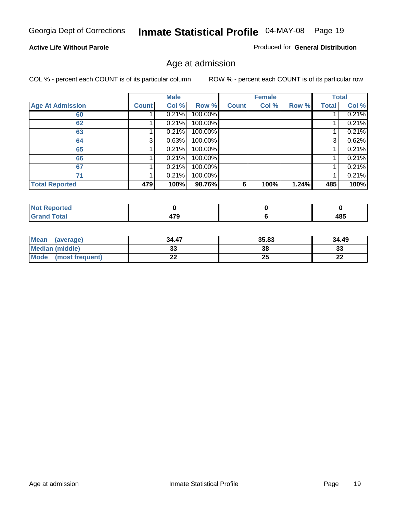#### **Active Life Without Parole**

Produced for **General Distribution**

### Age at admission

|                         |              | <b>Male</b> |         |              | <b>Female</b> |       |              | <b>Total</b> |
|-------------------------|--------------|-------------|---------|--------------|---------------|-------|--------------|--------------|
| <b>Age At Admission</b> | <b>Count</b> | Col %       | Row %   | <b>Count</b> | Col %         | Row % | <b>Total</b> | Col %        |
| 60                      |              | 0.21%       | 100.00% |              |               |       |              | 0.21%        |
| 62                      |              | 0.21%       | 100.00% |              |               |       |              | 0.21%        |
| 63                      |              | 0.21%       | 100.00% |              |               |       |              | 0.21%        |
| 64                      | 3            | 0.63%       | 100.00% |              |               |       | 3            | 0.62%        |
| 65                      |              | 0.21%       | 100.00% |              |               |       |              | 0.21%        |
| 66                      |              | 0.21%       | 100.00% |              |               |       |              | 0.21%        |
| 67                      |              | 0.21%       | 100.00% |              |               |       |              | 0.21%        |
| 71                      |              | 0.21%       | 100.00% |              |               |       |              | 0.21%        |
| <b>Total Reported</b>   | 479          | 100%        | 98.76%  | 6            | 100%          | 1.24% | 485          | 100%         |

| <b>eported</b> |      |            |
|----------------|------|------------|
| <b>Total</b>   | --0  | <b>AOE</b> |
| Cron           | TI V | 4၀၁        |

| Mean<br>(average)              | 34.47 | 35.83 | 34.49    |
|--------------------------------|-------|-------|----------|
| Median (middle)                |       | 38    | 21<br>э. |
| <b>Mode</b><br>(most frequent) | - -   | 25    | n.       |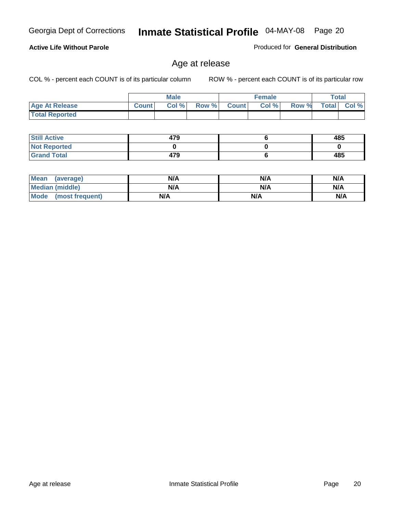#### **Active Life Without Parole**

Produced for **General Distribution**

### Age at release

|                       |              | <b>Male</b> |       |              | <b>Female</b> |       | Total        |          |
|-----------------------|--------------|-------------|-------|--------------|---------------|-------|--------------|----------|
| <b>Age At Release</b> | <b>Count</b> | Col%        | Row % | <b>Count</b> | Col %         | Row % | <b>Total</b> | $Col \%$ |
| <b>Total Reported</b> |              |             |       |              |               |       |              |          |

| <b>Still Active</b> | 479 | 485 |
|---------------------|-----|-----|
| <b>Not Reported</b> |     |     |
| <b>Grand Total</b>  | 479 | 485 |

| <b>Mean</b><br>(average) | N/A | N/A | N/A |
|--------------------------|-----|-----|-----|
| Median (middle)          | N/A | N/A | N/A |
| Mode<br>(most frequent)  | N/A | N/A | N/A |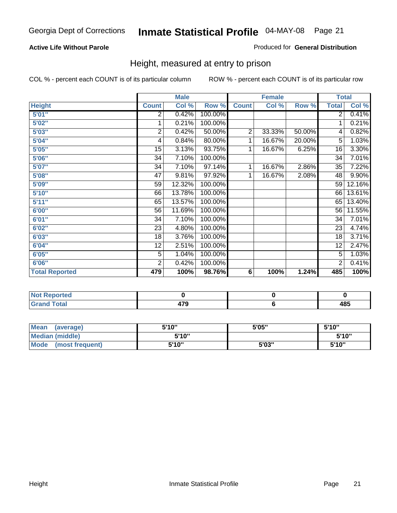#### **Active Life Without Parole**

#### Produced for **General Distribution**

### Height, measured at entry to prison

|                       |                 | <b>Male</b> |         |                | <b>Female</b> |        | <b>Total</b>    |        |
|-----------------------|-----------------|-------------|---------|----------------|---------------|--------|-----------------|--------|
| <b>Height</b>         | <b>Count</b>    | Col %       | Row %   | <b>Count</b>   | Col %         | Row %  | <b>Total</b>    | Col %  |
| 5'01''                | 2               | 0.42%       | 100.00% |                |               |        | $\overline{2}$  | 0.41%  |
| 5'02"                 | 1               | 0.21%       | 100.00% |                |               |        | 1               | 0.21%  |
| 5'03"                 | 2               | 0.42%       | 50.00%  | $\overline{2}$ | 33.33%        | 50.00% | 4               | 0.82%  |
| 5'04"                 | 4               | 0.84%       | 80.00%  | 1              | 16.67%        | 20.00% | 5               | 1.03%  |
| 5'05"                 | 15              | 3.13%       | 93.75%  | 1              | 16.67%        | 6.25%  | 16              | 3.30%  |
| 5'06"                 | 34              | 7.10%       | 100.00% |                |               |        | $\overline{34}$ | 7.01%  |
| 5'07''                | 34              | 7.10%       | 97.14%  | 1              | 16.67%        | 2.86%  | 35              | 7.22%  |
| 5'08''                | $\overline{47}$ | 9.81%       | 97.92%  | 1              | 16.67%        | 2.08%  | 48              | 9.90%  |
| <b>5'09"</b>          | 59              | 12.32%      | 100.00% |                |               |        | 59              | 12.16% |
| 5'10''                | 66              | 13.78%      | 100.00% |                |               |        | 66              | 13.61% |
| 5'11''                | 65              | 13.57%      | 100.00% |                |               |        | 65              | 13.40% |
| 6'00"                 | 56              | 11.69%      | 100.00% |                |               |        | 56              | 11.55% |
| 6'01''                | 34              | 7.10%       | 100.00% |                |               |        | 34              | 7.01%  |
| 6'02''                | 23              | 4.80%       | 100.00% |                |               |        | 23              | 4.74%  |
| 6'03"                 | 18              | 3.76%       | 100.00% |                |               |        | 18              | 3.71%  |
| 6'04"                 | 12              | 2.51%       | 100.00% |                |               |        | 12              | 2.47%  |
| 6'05"                 | 5               | 1.04%       | 100.00% |                |               |        | 5               | 1.03%  |
| 6'06"                 | $\overline{2}$  | 0.42%       | 100.00% |                |               |        | $\overline{2}$  | 0.41%  |
| <b>Total Reported</b> | 479             | 100%        | 98.76%  | 6              | 100%          | 1.24%  | 485             | 100%   |

| oorted<br>N6                        |             |     |
|-------------------------------------|-------------|-----|
| $int^{\bullet}$<br>$\sim$<br>______ | 470<br>41 J | 485 |

| <b>Mean</b><br>(average) | 5'10" | 5'05" | 5'10" |
|--------------------------|-------|-------|-------|
| <b>Median (middle)</b>   | 5'10" |       | 5'10" |
| Mode<br>(most frequent)  | 5'10" | 5'03" | 5'10" |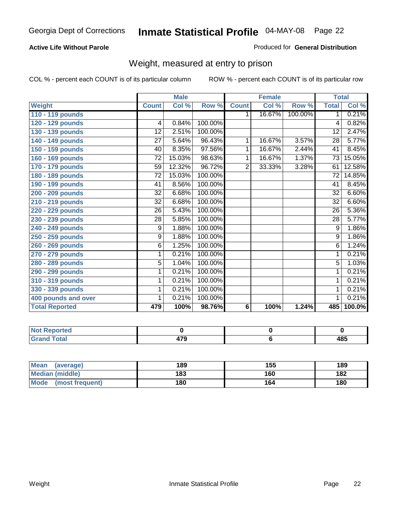#### **Active Life Without Parole**

#### Produced for **General Distribution**

### Weight, measured at entry to prison

|                       |                 | <b>Male</b> |         |                | <b>Female</b> |         | <b>Total</b>    |        |
|-----------------------|-----------------|-------------|---------|----------------|---------------|---------|-----------------|--------|
| <b>Weight</b>         | <b>Count</b>    | Col %       | Row %   | <b>Count</b>   | Col %         | Row %   | <b>Total</b>    | Col %  |
| 110 - 119 pounds      |                 |             |         | 1.             | 16.67%        | 100.00% | 1               | 0.21%  |
| 120 - 129 pounds      | 4               | 0.84%       | 100.00% |                |               |         | 4               | 0.82%  |
| 130 - 139 pounds      | 12              | 2.51%       | 100.00% |                |               |         | 12              | 2.47%  |
| 140 - 149 pounds      | $\overline{27}$ | 5.64%       | 96.43%  | 1.             | 16.67%        | 3.57%   | $\overline{28}$ | 5.77%  |
| 150 - 159 pounds      | 40              | 8.35%       | 97.56%  | 1              | 16.67%        | 2.44%   | 41              | 8.45%  |
| 160 - 169 pounds      | $\overline{72}$ | 15.03%      | 98.63%  | 1              | 16.67%        | 1.37%   | $\overline{73}$ | 15.05% |
| 170 - 179 pounds      | 59              | 12.32%      | 96.72%  | $\overline{2}$ | 33.33%        | 3.28%   | 61              | 12.58% |
| 180 - 189 pounds      | 72              | 15.03%      | 100.00% |                |               |         | 72              | 14.85% |
| 190 - 199 pounds      | 41              | 8.56%       | 100.00% |                |               |         | 41              | 8.45%  |
| 200 - 209 pounds      | 32              | 6.68%       | 100.00% |                |               |         | $\overline{32}$ | 6.60%  |
| 210 - 219 pounds      | 32              | 6.68%       | 100.00% |                |               |         | 32              | 6.60%  |
| 220 - 229 pounds      | $\overline{26}$ | 5.43%       | 100.00% |                |               |         | $\overline{26}$ | 5.36%  |
| 230 - 239 pounds      | 28              | 5.85%       | 100.00% |                |               |         | 28              | 5.77%  |
| 240 - 249 pounds      | 9               | 1.88%       | 100.00% |                |               |         | 9               | 1.86%  |
| 250 - 259 pounds      | 9               | 1.88%       | 100.00% |                |               |         | 9               | 1.86%  |
| 260 - 269 pounds      | 6               | 1.25%       | 100.00% |                |               |         | 6               | 1.24%  |
| 270 - 279 pounds      | 1               | 0.21%       | 100.00% |                |               |         | 1               | 0.21%  |
| 280 - 289 pounds      | 5               | 1.04%       | 100.00% |                |               |         | 5               | 1.03%  |
| 290 - 299 pounds      | 1               | 0.21%       | 100.00% |                |               |         | 1               | 0.21%  |
| 310 - 319 pounds      | 1               | 0.21%       | 100.00% |                |               |         | 1               | 0.21%  |
| 330 - 339 pounds      | 1               | 0.21%       | 100.00% |                |               |         | 1               | 0.21%  |
| 400 pounds and over   | 1               | 0.21%       | 100.00% |                |               |         | 1               | 0.21%  |
| <b>Total Reported</b> | 479             | 100%        | 98.76%  | 6              | 100%          | 1.24%   | 485             | 100.0% |

| Reported<br><b>NOT</b>  |     |             |
|-------------------------|-----|-------------|
| <b>otal</b><br>$\sim$ . | 470 | 10 E<br>4၀၁ |

| <b>Mean</b><br>(average)       | 189 | 155 | 189 |
|--------------------------------|-----|-----|-----|
| <b>Median (middle)</b>         | 183 | 160 | 182 |
| <b>Mode</b><br>(most frequent) | 180 | 164 | 180 |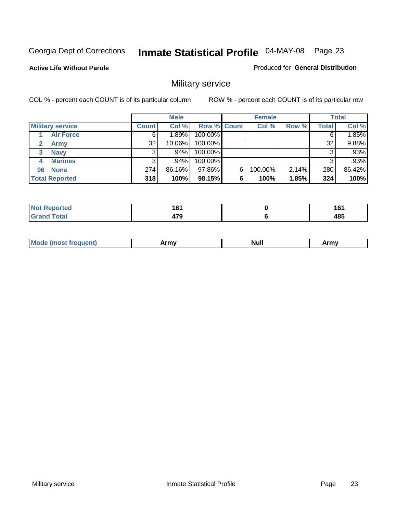Produced for **General Distribution**

#### **Active Life Without Parole**

### Military service

|                         |              | <b>Male</b> |                    |   | <b>Female</b> |          |       | <b>Total</b> |
|-------------------------|--------------|-------------|--------------------|---|---------------|----------|-------|--------------|
| <b>Military service</b> | <b>Count</b> | Col %       | <b>Row % Count</b> |   | Col %         | Row %    | Total | Col %        |
| <b>Air Force</b>        | 6            | 1.89%       | 100.00%            |   |               |          |       | 1.85%        |
| <b>Army</b>             | 32           | 10.06%      | 100.00%            |   |               |          | 32    | 9.88%        |
| <b>Navy</b><br>3        |              | $.94\%$     | 100.00%            |   |               |          |       | .93%         |
| <b>Marines</b><br>4     | 3            | .94%        | 100.00%            |   |               |          | 3     | .93%         |
| 96 None                 | 274          | 86.16%      | 97.86%             | 6 | 100.00%       | $2.14\%$ | 280   | 86.42%       |
| <b>Total Reported</b>   | 318          | 100%        | 98.15%             | 6 | 100%          | 1.85%    | 324   | 100%         |

| orted        | .<br>. .<br>__ | 4 C 4<br>ιv<br>$\sim$ |
|--------------|----------------|-----------------------|
| <b>Cotor</b> | $- - -$        | 485                   |

| M<br><b>IVUII</b><br>.<br>. |
|-----------------------------|
|-----------------------------|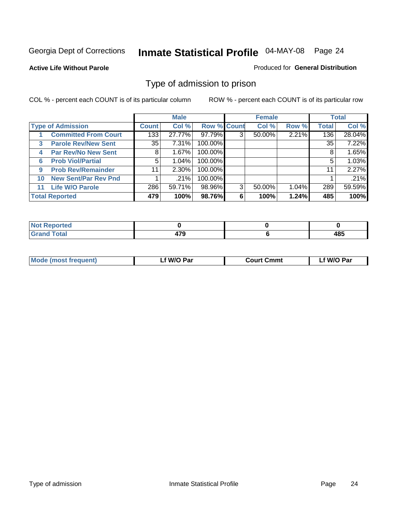#### **Active Life Without Parole**

#### Produced for **General Distribution**

### Type of admission to prison

|                                           |                | <b>Male</b> |                    |   | <b>Female</b> |       |              | <b>Total</b> |
|-------------------------------------------|----------------|-------------|--------------------|---|---------------|-------|--------------|--------------|
| <b>Type of Admission</b>                  | <b>Count</b> l | Col %       | <b>Row % Count</b> |   | Col %         | Row % | <b>Total</b> | Col %        |
| <b>Committed From Court</b>               | 133            | 27.77%      | 97.79%             | 3 | 50.00%        | 2.21% | 136          | 28.04%       |
| <b>Parole Rev/New Sent</b><br>3           | 35             | 7.31%       | 100.00%            |   |               |       | 35           | 7.22%        |
| <b>Par Rev/No New Sent</b><br>4           | 8              | 1.67%       | 100.00%            |   |               |       | 8            | 1.65%        |
| <b>Prob Viol/Partial</b><br>6             | 5              | 1.04%       | 100.00%            |   |               |       | 5            | 1.03%        |
| <b>Prob Rev/Remainder</b><br>9            | 11             | 2.30%       | 100.00%            |   |               |       | 11           | 2.27%        |
| <b>New Sent/Par Rev Pnd</b><br>10         |                | .21%        | 100.00%            |   |               |       |              | .21%         |
| <b>Life W/O Parole</b><br>11 <sub>1</sub> | 286            | 59.71%      | 98.96%             | 3 | 50.00%        | 1.04% | 289          | 59.59%       |
| <b>Total Reported</b>                     | 479            | 100%        | 98.76%             | 6 | 100%          | 1.24% | 485          | 100%         |

| Reported<br><b>NOT</b>       |            |     |
|------------------------------|------------|-----|
| <b>Total</b><br><b>Grand</b> | יי<br>41 J | 485 |

| <b>Mode (most frequent)</b> | f W/O Par | <b>Court Cmmt</b> | ∟f W/O Par |
|-----------------------------|-----------|-------------------|------------|
|                             |           |                   |            |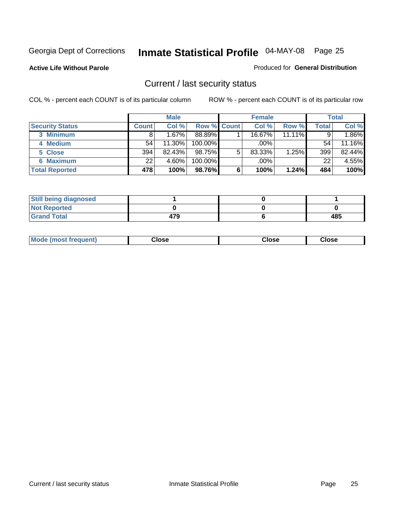**Active Life Without Parole** 

Produced for **General Distribution**

### Current / last security status

|                        |              | <b>Male</b> |                    |   | <b>Female</b> |           |              | <b>Total</b> |
|------------------------|--------------|-------------|--------------------|---|---------------|-----------|--------------|--------------|
| <b>Security Status</b> | <b>Count</b> | Col %       | <b>Row % Count</b> |   | Col %         | Row %     | <b>Total</b> | Col %        |
| 3 Minimum              |              | 1.67%       | 88.89%             |   | 16.67%        | $11.11\%$ |              | 1.86%        |
| 4 Medium               | 54           | 11.30%      | $100.00\%$         |   | $.00\%$       |           | 54           | 11.16%       |
| 5 Close                | 394          | 82.43%      | 98.75%             | 5 | 83.33%        | 1.25%     | 399          | 82.44%       |
| 6 Maximum              | 22           | 4.60%       | 100.00%            |   | .00%          |           | 22           | 4.55%        |
| <b>Total Reported</b>  | 478          | 100%        | 98.76%             | 6 | 100%          | 1.24%     | 484          | 100%         |

| <b>Still being diagnosed</b> |     |     |
|------------------------------|-----|-----|
| <b>Not Reported</b>          |     |     |
| <b>Grand Total</b>           | 479 | 485 |

|  | Mo<br>frequent)<br>יצניות ו | Close<br>. | ાose<br>. | <b>OSE</b><br>. |
|--|-----------------------------|------------|-----------|-----------------|
|--|-----------------------------|------------|-----------|-----------------|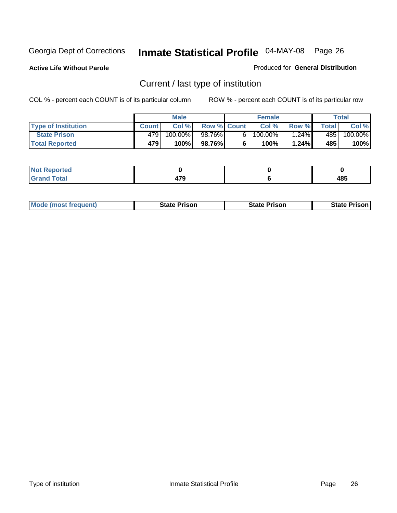**Active Life Without Parole** 

Produced for **General Distribution**

### Current / last type of institution

|                            |              | <b>Male</b> |                    | <b>Female</b> |        |        | Total   |
|----------------------------|--------------|-------------|--------------------|---------------|--------|--------|---------|
| <b>Type of Institution</b> | <b>Count</b> | Col%        | <b>Row % Count</b> | Col %         | Row %I | Totall | Col %   |
| <b>State Prison</b>        | 479          | 100.00%     | 98.76%             | $100.00\%$    | 1.24%  | 4851   | 100.00% |
| <b>Total Reported</b>      | 479          | 100%        | 98.76%             | 100% <b>i</b> | 1.24%  | 485    | 100%    |

| <b>rted</b><br>.                     |                         |                  |
|--------------------------------------|-------------------------|------------------|
| $\sim$<br>$\cup$ distribution $\cup$ | $\rightarrow$<br>$\sim$ | AC<br>403<br>- - |

|  | <b>Mode (most frequent)</b> | State Prison | <b>State Prison</b> | <b>State Prison</b> |
|--|-----------------------------|--------------|---------------------|---------------------|
|--|-----------------------------|--------------|---------------------|---------------------|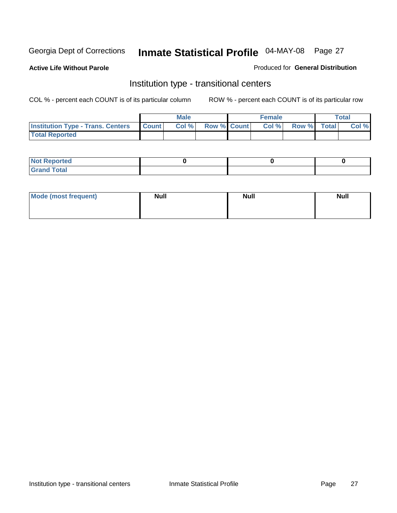**Active Life Without Parole** 

Produced for **General Distribution**

### Institution type - transitional centers

|                                          |              | <b>Male</b> |                    | <b>Female</b> |             | Total |
|------------------------------------------|--------------|-------------|--------------------|---------------|-------------|-------|
| <b>Institution Type - Trans. Centers</b> | <b>Count</b> | Col%        | <b>Row % Count</b> | Col %         | Row % Total | Col % |
| <b>Total Reported</b>                    |              |             |                    |               |             |       |

| rtea<br>20 NGL 2<br>  |  |  |
|-----------------------|--|--|
| into!<br>---<br>_____ |  |  |

| Mode (most frequent) | <b>Null</b> | <b>Null</b> | <b>Null</b> |
|----------------------|-------------|-------------|-------------|
|                      |             |             |             |
|                      |             |             |             |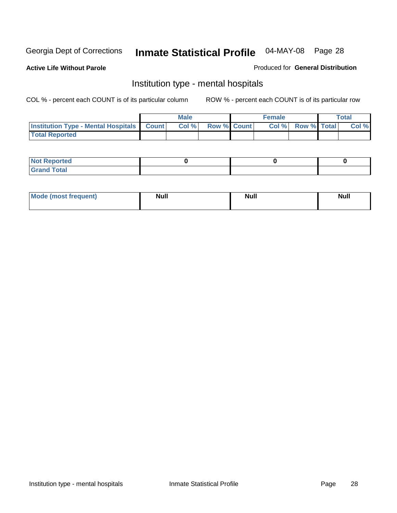**Active Life Without Parole** 

Produced for **General Distribution**

### Institution type - mental hospitals

|                                                    | Male |                    | <b>Female</b> |                    | <b>Total</b> |
|----------------------------------------------------|------|--------------------|---------------|--------------------|--------------|
| <b>Institution Type - Mental Hospitals Count  </b> | Col% | <b>Row % Count</b> | Col%          | <b>Row % Total</b> | Col %        |
| <b>Total Reported</b>                              |      |                    |               |                    |              |

| <b>Not Reported</b> |  |  |
|---------------------|--|--|
| <b>Fotal</b><br>Cro |  |  |

| Mode (most frequent) | <b>Null</b> | <b>Null</b> | <b>Null</b> |
|----------------------|-------------|-------------|-------------|
|                      |             |             |             |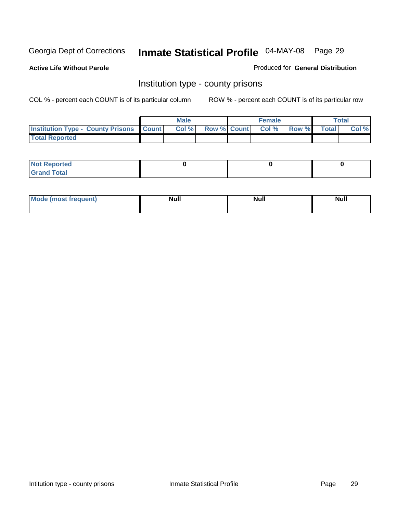**Active Life Without Parole** 

Produced for **General Distribution**

### Institution type - county prisons

|                                                    | <b>Male</b> |                          | <b>Female</b> |       |              | Total |
|----------------------------------------------------|-------------|--------------------------|---------------|-------|--------------|-------|
| <b>Institution Type - County Prisons   Count  </b> | Col %       | <b>Row % Count Col %</b> |               | Row % | <b>Total</b> | Col % |
| <b>Total Reported</b>                              |             |                          |               |       |              |       |

| <b>Not</b><br><b>Reported</b> |  |  |
|-------------------------------|--|--|
| <b>Grand Total</b>            |  |  |

| <b>Mode (most frequent)</b> | <b>Null</b> | Null | <b>Null</b> |
|-----------------------------|-------------|------|-------------|
|                             |             |      |             |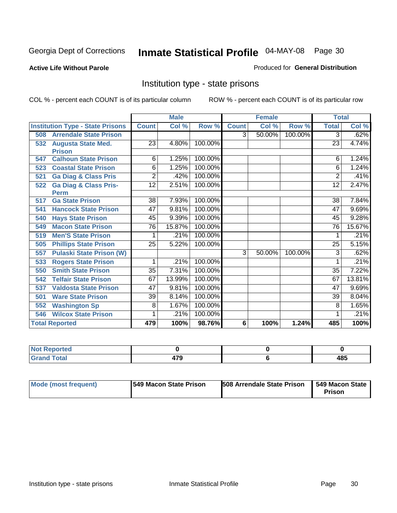**Active Life Without Parole** 

Produced for **General Distribution**

### Institution type - state prisons

|     |                                         | <b>Male</b>    |        |         | <b>Female</b>  |        |         | <b>Total</b>    |        |
|-----|-----------------------------------------|----------------|--------|---------|----------------|--------|---------|-----------------|--------|
|     | <b>Institution Type - State Prisons</b> | <b>Count</b>   | Col %  | Row %   | <b>Count</b>   | Col %  | Row %   | <b>Total</b>    | Col %  |
| 508 | <b>Arrendale State Prison</b>           |                |        |         | $\overline{3}$ | 50.00% | 100.00% | 3               | .62%   |
| 532 | <b>Augusta State Med.</b>               | 23             | 4.80%  | 100.00% |                |        |         | 23              | 4.74%  |
|     | <b>Prison</b>                           |                |        |         |                |        |         |                 |        |
| 547 | <b>Calhoun State Prison</b>             | 6              | 1.25%  | 100.00% |                |        |         | 6               | 1.24%  |
| 523 | <b>Coastal State Prison</b>             | 6              | 1.25%  | 100.00% |                |        |         | 6               | 1.24%  |
| 521 | <b>Ga Diag &amp; Class Pris</b>         | $\overline{2}$ | .42%   | 100.00% |                |        |         | 2               | .41%   |
| 522 | <b>Ga Diag &amp; Class Pris-</b>        | 12             | 2.51%  | 100.00% |                |        |         | 12              | 2.47%  |
|     | <b>Perm</b>                             |                |        |         |                |        |         |                 |        |
| 517 | <b>Ga State Prison</b>                  | 38             | 7.93%  | 100.00% |                |        |         | 38              | 7.84%  |
| 541 | <b>Hancock State Prison</b>             | 47             | 9.81%  | 100.00% |                |        |         | 47              | 9.69%  |
| 540 | <b>Hays State Prison</b>                | 45             | 9.39%  | 100.00% |                |        |         | 45              | 9.28%  |
| 549 | <b>Macon State Prison</b>               | 76             | 15.87% | 100.00% |                |        |         | 76              | 15.67% |
| 519 | <b>Men'S State Prison</b>               |                | .21%   | 100.00% |                |        |         |                 | .21%   |
| 505 | <b>Phillips State Prison</b>            | 25             | 5.22%  | 100.00% |                |        |         | 25              | 5.15%  |
| 557 | <b>Pulaski State Prison (W)</b>         |                |        |         | $\overline{3}$ | 50.00% | 100.00% | 3               | .62%   |
| 533 | <b>Rogers State Prison</b>              | 1              | .21%   | 100.00% |                |        |         |                 | .21%   |
| 550 | <b>Smith State Prison</b>               | 35             | 7.31%  | 100.00% |                |        |         | $\overline{35}$ | 7.22%  |
| 542 | <b>Telfair State Prison</b>             | 67             | 13.99% | 100.00% |                |        |         | 67              | 13.81% |
| 537 | <b>Valdosta State Prison</b>            | 47             | 9.81%  | 100.00% |                |        |         | 47              | 9.69%  |
| 501 | <b>Ware State Prison</b>                | 39             | 8.14%  | 100.00% |                |        |         | 39              | 8.04%  |
| 552 | <b>Washington Sp</b>                    | 8              | 1.67%  | 100.00% |                |        |         | 8               | 1.65%  |
| 546 | <b>Wilcox State Prison</b>              |                | .21%   | 100.00% |                |        |         |                 | .21%   |
|     | <b>Total Reported</b>                   | 479            | 100%   | 98.76%  | 6              | 100%   | 1.24%   | 485             | 100%   |

| eported<br>N<br>.                |     |     |
|----------------------------------|-----|-----|
| <b>Total</b><br>C <sub>ucu</sub> | היי | 485 |

| Mode (most frequent) | 1549 Macon State Prison | <b>508 Arrendale State Prison</b> | 549 Macon State  <br>Prison |
|----------------------|-------------------------|-----------------------------------|-----------------------------|
|----------------------|-------------------------|-----------------------------------|-----------------------------|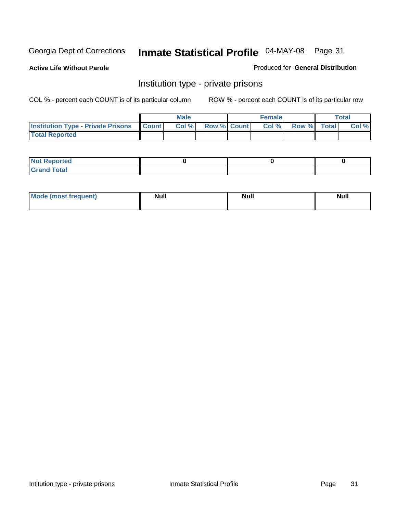**Active Life Without Parole** 

Produced for **General Distribution**

### Institution type - private prisons

|                                                     | <b>Male</b> |                    | <b>Female</b> |             | Total |
|-----------------------------------------------------|-------------|--------------------|---------------|-------------|-------|
| <b>Institution Type - Private Prisons   Count  </b> | Col %       | <b>Row % Count</b> | Col %         | Row % Total | Col % |
| <b>Total Reported</b>                               |             |                    |               |             |       |

| <b>Not Reported</b>             |  |  |
|---------------------------------|--|--|
| Cotal<br>Cror<br>. <del>.</del> |  |  |

| Mode (most frequent) | <b>Null</b> | <b>Null</b> | <b>Null</b> |
|----------------------|-------------|-------------|-------------|
|                      |             |             |             |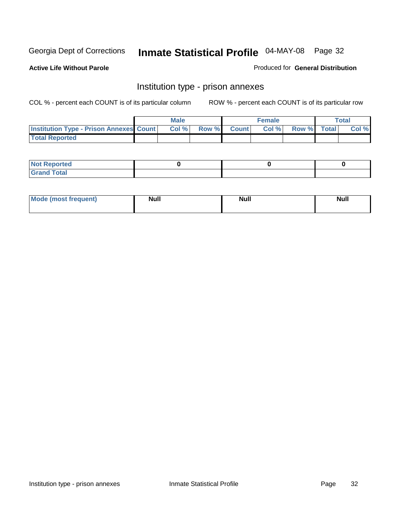**Active Life Without Parole** 

Produced for **General Distribution**

### Institution type - prison annexes

|                                                | <b>Male</b> |             | <b>Female</b> |             | <b>Total</b> |
|------------------------------------------------|-------------|-------------|---------------|-------------|--------------|
| <b>Institution Type - Prison Annexes Count</b> | Col %       | Row % Count | Col%          | Row % Total | Col %        |
| <b>Total Reported</b>                          |             |             |               |             |              |

| <b>Not</b><br><b>Reported</b>    |  |  |
|----------------------------------|--|--|
| <b>Total</b><br>Gran<br>$\sim$ . |  |  |

| Mode (most frequent) | <b>Null</b> | <b>Null</b> | <b>Null</b> |
|----------------------|-------------|-------------|-------------|
|                      |             |             |             |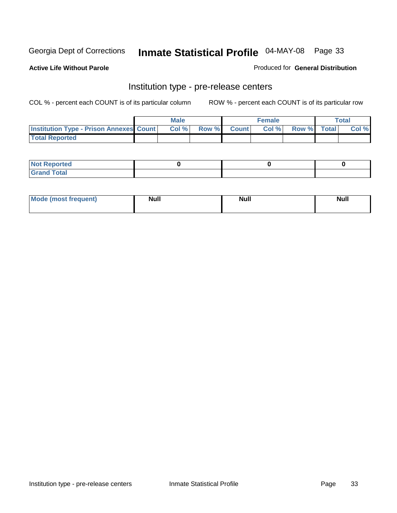**Active Life Without Parole** 

Produced for **General Distribution**

### Institution type - pre-release centers

|                                                | <b>Male</b> |                    | <b>Female</b> |             | <b>Total</b> |
|------------------------------------------------|-------------|--------------------|---------------|-------------|--------------|
| <b>Institution Type - Prison Annexes Count</b> | Col %       | <b>Row % Count</b> | Col %         | Row % Total | Col %        |
| <b>Total Reported</b>                          |             |                    |               |             |              |

| <b>Not</b><br><b>Reported</b>    |  |  |
|----------------------------------|--|--|
| <b>Total</b><br>Gran<br>$\sim$ . |  |  |

| Mode (most frequent) | <b>Null</b> | <b>Null</b><br>_____ | <b>Null</b> |
|----------------------|-------------|----------------------|-------------|
|                      |             |                      |             |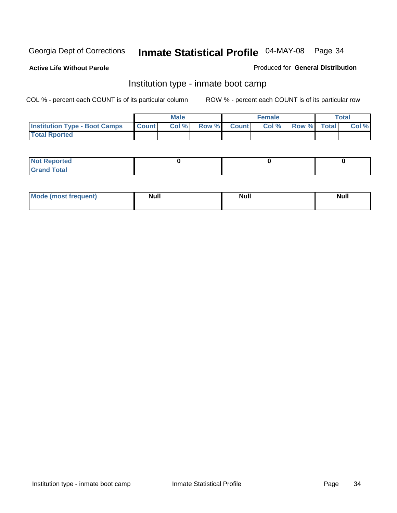**Active Life Without Parole** 

Produced for **General Distribution**

### Institution type - inmate boot camp

|                                      |              | Male  |             | <b>Female</b> |             | <b>Total</b> |
|--------------------------------------|--------------|-------|-------------|---------------|-------------|--------------|
| <b>Institution Type - Boot Camps</b> | <b>Count</b> | Col % | Row % Count | Col%          | Row % Total | Col %        |
| <b>Total Rported</b>                 |              |       |             |               |             |              |

| <b>Not Reported</b>  |  |  |
|----------------------|--|--|
| <b>Total</b><br>Croy |  |  |

| Mode (most frequent) | <b>Null</b> | <b>Null</b> | <b>Null</b> |
|----------------------|-------------|-------------|-------------|
|                      |             |             |             |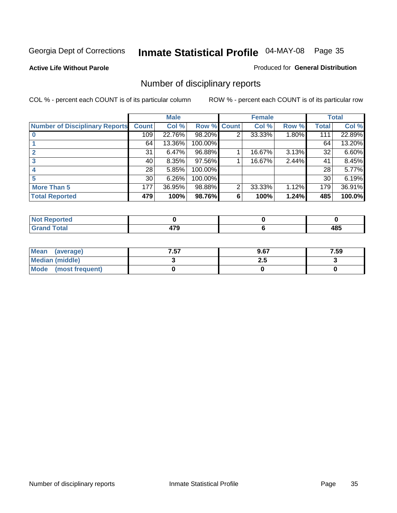#### **Active Life Without Parole**

#### Produced for **General Distribution**

### Number of disciplinary reports

|                                       |                 | <b>Male</b> |             |   | <b>Female</b> |       |              | <b>Total</b> |
|---------------------------------------|-----------------|-------------|-------------|---|---------------|-------|--------------|--------------|
| <b>Number of Disciplinary Reports</b> | <b>Count</b>    | Col %       | Row % Count |   | Col %         | Row % | <b>Total</b> | Col %        |
|                                       | 109             | 22.76%      | 98.20%      | 2 | 33.33%        | 1.80% | 111          | 22.89%       |
|                                       | 64              | 13.36%      | 100.00%     |   |               |       | 64           | 13.20%       |
|                                       | 31              | 6.47%       | 96.88%      |   | 16.67%        | 3.13% | 32           | 6.60%        |
| 3                                     | 40              | $8.35\%$    | 97.56%      |   | 16.67%        | 2.44% | 41           | 8.45%        |
|                                       | 28 <sup>1</sup> | 5.85%       | 100.00%     |   |               |       | 28           | 5.77%        |
| 5                                     | 30 <sup>1</sup> | 6.26%       | 100.00%     |   |               |       | 30           | 6.19%        |
| <b>More Than 5</b>                    | 177             | 36.95%      | 98.88%      | 2 | 33.33%        | 1.12% | 179          | 36.91%       |
| <b>Total Reported</b>                 | 479             | 100%        | 98.76%      | 6 | 100%          | 1.24% | 485          | 100.0%       |

| .<br>N<br>тес  |        |                  |
|----------------|--------|------------------|
| T <sub>1</sub> | $\sim$ | 10 E<br>טד<br>__ |

| Mean (average)       | 7.57 | 9.67 | 7.59 |
|----------------------|------|------|------|
| Median (middle)      |      | 2.J  |      |
| Mode (most frequent) |      |      |      |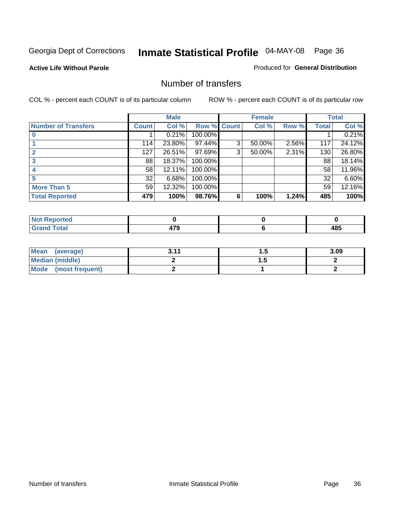#### **Active Life Without Parole**

#### Produced for **General Distribution**

### Number of transfers

|                            |         | <b>Male</b> |         |              | <b>Female</b> |       |              | <b>Total</b> |
|----------------------------|---------|-------------|---------|--------------|---------------|-------|--------------|--------------|
| <b>Number of Transfers</b> | Count l | Col %       | Row %   | <b>Count</b> | Col %         | Row % | <b>Total</b> | Col %        |
|                            |         | 0.21%       | 100.00% |              |               |       |              | 0.21%        |
|                            | 114     | 23.80%      | 97.44%  | 3            | 50.00%        | 2.56% | 117          | 24.12%       |
| $\mathbf{c}$               | 127     | 26.51%      | 97.69%  | 3            | 50.00%        | 2.31% | 130          | 26.80%       |
| 3                          | 88      | 18.37%      | 100.00% |              |               |       | 88           | 18.14%       |
|                            | 58      | 12.11%      | 100.00% |              |               |       | 58           | 11.96%       |
|                            | 32      | 6.68%       | 100.00% |              |               |       | 32           | 6.60%        |
| <b>More Than 5</b>         | 59      | 12.32%      | 100.00% |              |               |       | 59           | 12.16%       |
| <b>Total Reported</b>      | 479     | 100%        | 98.76%  | 6            | 100%          | 1.24% | 485          | 100%         |

| .<br>N<br>тес.              |        |     |
|-----------------------------|--------|-----|
| $\sim$ 40                   | ---    | IOE |
| $\sim$ $\sim$ $\sim$ $\sim$ | $\sim$ | .   |

| Mean (average)       | 211 | . . | 3.09 |
|----------------------|-----|-----|------|
| Median (middle)      |     | .   |      |
| Mode (most frequent) |     |     |      |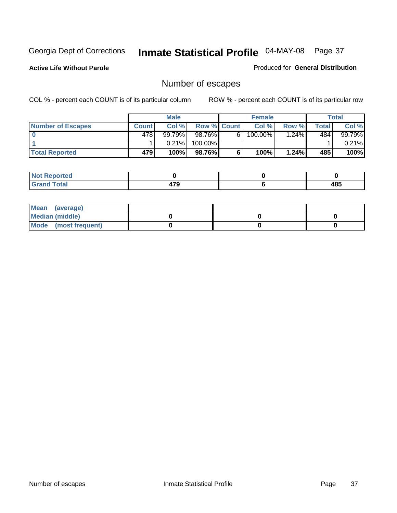**Active Life Without Parole** 

Produced for **General Distribution**

## Number of escapes

|                          |              | <b>Male</b> |                    |    | <b>Female</b> |         |       | <b>Total</b> |
|--------------------------|--------------|-------------|--------------------|----|---------------|---------|-------|--------------|
| <b>Number of Escapes</b> | <b>Count</b> | Col %       | <b>Row % Count</b> |    | Col %         | Row %I  | Total | Col %        |
|                          | 478          | 99.79%      | 98.76%             | 6. | 100.00%       | $.24\%$ | 484   | 99.79%       |
|                          |              | 0.21%       | 100.00%            |    |               |         |       | $0.21\%$     |
| <b>Total Reported</b>    | 479          | 100%        | 98.76%I            |    | 100%          | 1.24%   | 485   | 100%         |

| الدائم الأمدار<br>neo           |      |     |
|---------------------------------|------|-----|
| <b>otal</b><br>$\mathbf{v}$ and | ים - | 485 |

| Mean (average)       |  |  |
|----------------------|--|--|
| Median (middle)      |  |  |
| Mode (most frequent) |  |  |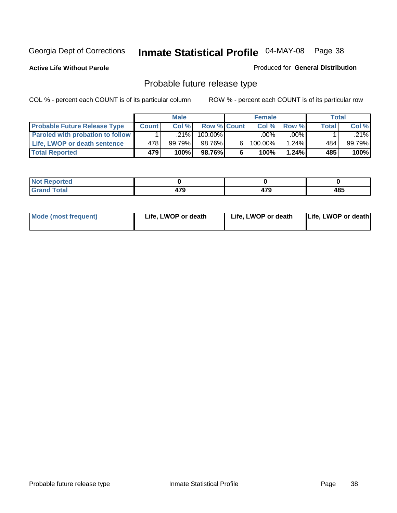**Active Life Without Parole** 

Produced for **General Distribution**

## Probable future release type

|                                         |         | <b>Male</b> |                    |   | <b>Female</b> |          |       | Total  |
|-----------------------------------------|---------|-------------|--------------------|---|---------------|----------|-------|--------|
| <b>Probable Future Release Type</b>     | Count l | Col%        | <b>Row % Count</b> |   | Col%          | Row %    | Total | Col %  |
| <b>Paroled with probation to follow</b> |         | $.21\%$     | 100.00%            |   | $.00\%$       | $.00\%$  |       | .21%   |
| Life, LWOP or death sentence            | 478     | 99.79%      | 98.76%             | 6 | 100.00%       | $1.24\%$ | 484   | 99.79% |
| <b>Total Reported</b>                   | 479     | 100%        | 98.76%             | 6 | 100%          | $1.24\%$ | 485   | 100%   |

| <b>rted</b><br>. <b>.</b> . |            |     |     |
|-----------------------------|------------|-----|-----|
| <b>otal</b>                 | ---<br>472 | 470 | 485 |

| <b>Mode (most frequent)</b> | Life, LWOP or death | Life, LWOP or death | Life, LWOP or death |
|-----------------------------|---------------------|---------------------|---------------------|
|                             |                     |                     |                     |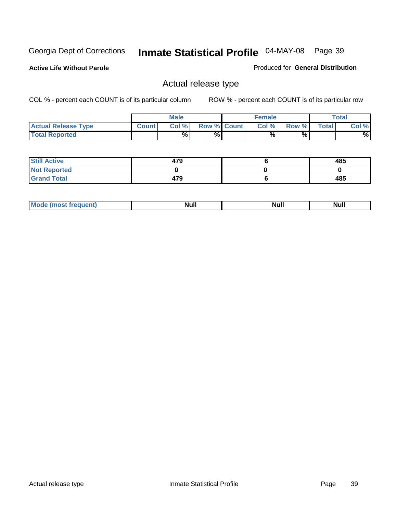**Active Life Without Parole** 

Produced for **General Distribution**

## Actual release type

|                            |              | <b>Male</b> |                    | <b>Female</b> |        |       | Total |
|----------------------------|--------------|-------------|--------------------|---------------|--------|-------|-------|
| <b>Actual Release Type</b> | <b>Count</b> | Col %       | <b>Row % Count</b> | Col %         | Row %I | Total | Col % |
| <b>Total Reported</b>      |              | $\%$        | %                  | %             | %      |       | %     |

| <b>Still Active</b> | 479 | 485 |
|---------------------|-----|-----|
| <b>Not Reported</b> |     |     |
| <b>Grand Total</b>  | 479 | 485 |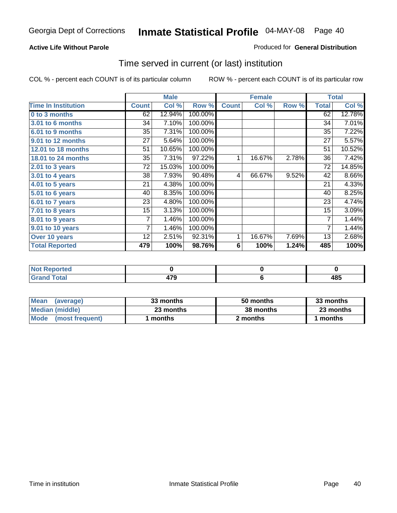### **Active Life Without Parole**

### Produced for **General Distribution**

## Time served in current (or last) institution

|                            |              | <b>Male</b> |         |              | <b>Female</b> |       |                | <b>Total</b> |
|----------------------------|--------------|-------------|---------|--------------|---------------|-------|----------------|--------------|
| <b>Time In Institution</b> | <b>Count</b> | Col %       | Row %   | <b>Count</b> | Col %         | Row % | <b>Total</b>   | Col %        |
| 0 to 3 months              | 62           | 12.94%      | 100.00% |              |               |       | 62             | 12.78%       |
| <b>3.01 to 6 months</b>    | 34           | 7.10%       | 100.00% |              |               |       | 34             | 7.01%        |
| 6.01 to 9 months           | 35           | 7.31%       | 100.00% |              |               |       | 35             | 7.22%        |
| 9.01 to 12 months          | 27           | 5.64%       | 100.00% |              |               |       | 27             | 5.57%        |
| 12.01 to 18 months         | 51           | 10.65%      | 100.00% |              |               |       | 51             | 10.52%       |
| 18.01 to 24 months         | 35           | 7.31%       | 97.22%  | 1            | 16.67%        | 2.78% | 36             | 7.42%        |
| $2.01$ to 3 years          | 72           | 15.03%      | 100.00% |              |               |       | 72             | 14.85%       |
| $3.01$ to 4 years          | 38           | 7.93%       | 90.48%  | 4            | 66.67%        | 9.52% | 42             | 8.66%        |
| 4.01 to 5 years            | 21           | 4.38%       | 100.00% |              |               |       | 21             | 4.33%        |
| 5.01 to 6 years            | 40           | 8.35%       | 100.00% |              |               |       | 40             | 8.25%        |
| 6.01 to 7 years            | 23           | 4.80%       | 100.00% |              |               |       | 23             | 4.74%        |
| $7.01$ to 8 years          | 15           | 3.13%       | 100.00% |              |               |       | 15             | 3.09%        |
| 8.01 to 9 years            | 7            | 1.46%       | 100.00% |              |               |       | 7              | 1.44%        |
| 9.01 to 10 years           | 7            | 1.46%       | 100.00% |              |               |       | $\overline{7}$ | 1.44%        |
| Over 10 years              | 12           | 2.51%       | 92.31%  | 1            | 16.67%        | 7.69% | 13             | 2.68%        |
| <b>Total Reported</b>      | 479          | 100%        | 98.76%  | 6            | 100%          | 1.24% | 485            | 100%         |

| <b>Reported</b><br><b>Not</b> |     |             |
|-------------------------------|-----|-------------|
| <b>Total</b>                  | 170 | 10 E<br>40J |

| <b>Mean</b><br>(average)  | 33 months | 50 months | 33 months |  |
|---------------------------|-----------|-----------|-----------|--|
| Median (middle)           | 23 months | 38 months | 23 months |  |
| l Mode<br>(most frequent) | months    | 2 months  | months    |  |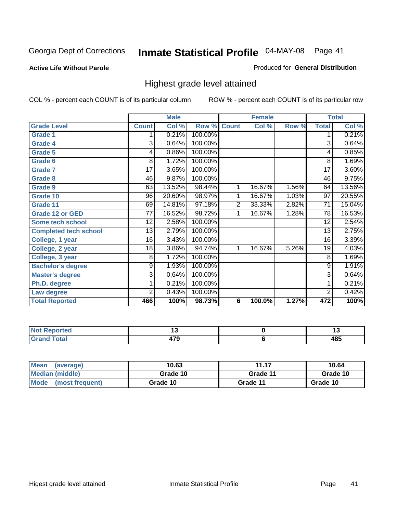**Active Life Without Parole** 

Produced for **General Distribution**

## Highest grade level attained

|                              |                 | <b>Male</b> |         |                | <b>Female</b> |       |                 | <b>Total</b> |
|------------------------------|-----------------|-------------|---------|----------------|---------------|-------|-----------------|--------------|
| <b>Grade Level</b>           | <b>Count</b>    | Col %       | Row %   | <b>Count</b>   | Col %         | Row % | <b>Total</b>    | Col %        |
| <b>Grade 1</b>               | 1               | 0.21%       | 100.00% |                |               |       | 1               | 0.21%        |
| <b>Grade 4</b>               | 3               | 0.64%       | 100.00% |                |               |       | $\overline{3}$  | 0.64%        |
| Grade 5                      | 4               | 0.86%       | 100.00% |                |               |       | 4               | 0.85%        |
| Grade 6                      | 8               | 1.72%       | 100.00% |                |               |       | 8               | 1.69%        |
| <b>Grade 7</b>               | $\overline{17}$ | 3.65%       | 100.00% |                |               |       | $\overline{17}$ | 3.60%        |
| <b>Grade 8</b>               | 46              | 9.87%       | 100.00% |                |               |       | 46              | 9.75%        |
| <b>Grade 9</b>               | 63              | 13.52%      | 98.44%  | 1              | 16.67%        | 1.56% | 64              | 13.56%       |
| Grade 10                     | $\overline{96}$ | 20.60%      | 98.97%  | 1              | 16.67%        | 1.03% | $\overline{97}$ | 20.55%       |
| Grade 11                     | 69              | 14.81%      | 97.18%  | $\overline{2}$ | 33.33%        | 2.82% | 71              | 15.04%       |
| <b>Grade 12 or GED</b>       | 77              | 16.52%      | 98.72%  | 1              | 16.67%        | 1.28% | 78              | 16.53%       |
| <b>Some tech school</b>      | 12              | 2.58%       | 100.00% |                |               |       | 12              | 2.54%        |
| <b>Completed tech school</b> | 13              | 2.79%       | 100.00% |                |               |       | 13              | 2.75%        |
| College, 1 year              | 16              | 3.43%       | 100.00% |                |               |       | 16              | 3.39%        |
| College, 2 year              | 18              | 3.86%       | 94.74%  | 1              | 16.67%        | 5.26% | 19              | 4.03%        |
| College, 3 year              | 8               | 1.72%       | 100.00% |                |               |       | 8               | 1.69%        |
| <b>Bachelor's degree</b>     | 9               | 1.93%       | 100.00% |                |               |       | 9               | 1.91%        |
| <b>Master's degree</b>       | 3               | 0.64%       | 100.00% |                |               |       | $\overline{3}$  | 0.64%        |
| Ph.D. degree                 | 1               | 0.21%       | 100.00% |                |               |       | 1               | 0.21%        |
| Law degree                   | $\overline{2}$  | 0.43%       | 100.00% |                |               |       | $\overline{2}$  | 0.42%        |
| <b>Total Reported</b>        | 466             | 100%        | 98.73%  | 6              | 100.0%        | 1.27% | 472             | 100%         |

| i Alba<br>المناسب<br>rtea<br>NI.<br>. | . . | יי         |
|---------------------------------------|-----|------------|
| Total<br><b>C.A.A</b>                 | .   | 40E<br>4၀၁ |

| <b>Mean</b><br>(average)       | 10.63    | 11.17    | 10.64    |
|--------------------------------|----------|----------|----------|
| Median (middle)                | Grade 10 | Grade 11 | Grade 10 |
| <b>Mode</b><br>(most frequent) | Grade 10 | Grade 11 | Grade 10 |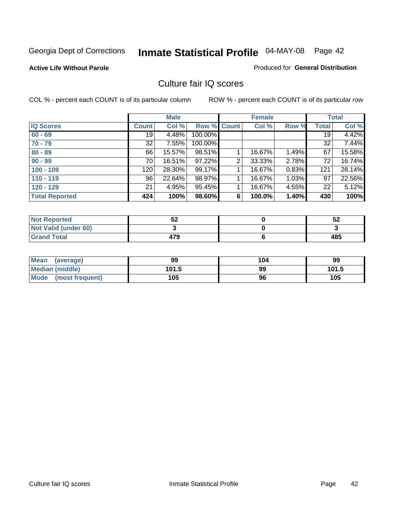**Active Life Without Parole** 

Produced for **General Distribution**

## Culture fair IQ scores

|                       |              | <b>Male</b> |             |                | <b>Female</b> |          |              | <b>Total</b> |
|-----------------------|--------------|-------------|-------------|----------------|---------------|----------|--------------|--------------|
| <b>IQ Scores</b>      | <b>Count</b> | Col %       | Row % Count |                | Col %         | Row %    | <b>Total</b> | Col %        |
| $60 - 69$             | 19           | 4.48%       | 100.00%     |                |               |          | 19           | 4.42%        |
| $70 - 79$             | 32           | 7.55%       | 100.00%     |                |               |          | 32           | 7.44%        |
| $80 - 89$             | 66           | 15.57%      | 98.51%      |                | 16.67%        | 1.49%    | 67           | 15.58%       |
| $90 - 99$             | 70           | 16.51%      | 97.22%      | $\overline{2}$ | 33.33%        | 2.78%    | 72           | 16.74%       |
| $100 - 109$           | 120          | 28.30%      | 99.17%      |                | 16.67%        | 0.83%    | 121          | 28.14%       |
| $110 - 119$           | 96           | 22.64%      | 98.97%      |                | 16.67%        | $1.03\%$ | 97           | 22.56%       |
| $120 - 129$           | 21           | 4.95%       | 95.45%      |                | 16.67%        | 4.55%    | 22           | 5.12%        |
| <b>Total Reported</b> | 424          | 100%        | 98.60%      | 6              | 100.0%        | 1.40%    | 430          | 100%         |

| <b>Not Reported</b>         | гη<br>3∠ | 52  |
|-----------------------------|----------|-----|
| <b>Not Valid (under 60)</b> |          |     |
| <b>Grand Total</b>          | 479      | 485 |

| <b>Mean</b><br>(average)       | 99    | 104 | 99    |
|--------------------------------|-------|-----|-------|
| <b>Median (middle)</b>         | 101.5 | 99  | 101.5 |
| <b>Mode</b><br>(most frequent) | 105   | 96  | 105   |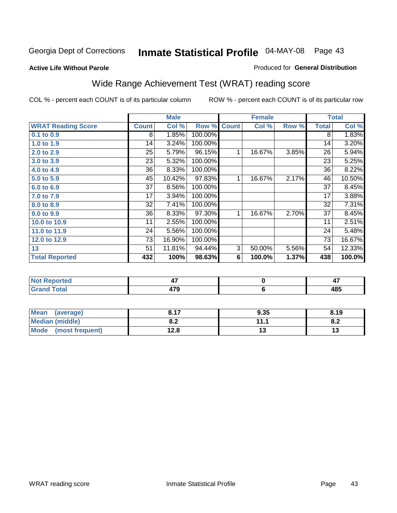### **Active Life Without Parole**

### Produced for **General Distribution**

## Wide Range Achievement Test (WRAT) reading score

|                           |              | <b>Male</b> |                      |              | <b>Female</b>  |       |                 | <b>Total</b> |
|---------------------------|--------------|-------------|----------------------|--------------|----------------|-------|-----------------|--------------|
| <b>WRAT Reading Score</b> | <b>Count</b> | Col %       | Row %                | <b>Count</b> | Col %          | Row % | <b>Total</b>    | Col %        |
| 0.1 to 0.9                | 8            | 1.85%       | 100.00%              |              |                |       | 8               | 1.83%        |
| 1.0 to 1.9                | 14           | 3.24%       | 100.00%              |              |                |       | 14              | 3.20%        |
| 2.0 to 2.9                | 25           | 5.79%       | 96.15%               | 1            | 16.67%         | 3.85% | 26              | 5.94%        |
| 3.0 to 3.9                | 23           | 5.32%       | 100.00%              |              |                |       | 23              | 5.25%        |
| 4.0 to 4.9                | 36           | 8.33%       | 100.00%              |              |                |       | 36              | 8.22%        |
| 5.0 to 5.9                | 45           | 10.42%      | 97.83%               | 1            | 16.67%         | 2.17% | 46              | 10.50%       |
| 6.0 to 6.9                | 37           | 8.56%       | 100.00%              |              |                |       | 37              | 8.45%        |
| 7.0 to 7.9                | 17           | 3.94%       | 100.00%              |              |                |       | 17              | 3.88%        |
| 8.0 to 8.9                | 32           | 7.41%       | 100.00%              |              |                |       | 32              | 7.31%        |
| 9.0 to 9.9                | 36           | 8.33%       | $\overline{97.30\%}$ | 1            | 16.67%         | 2.70% | 37              | 8.45%        |
| 10.0 to 10.9              | 11           | 2.55%       | 100.00%              |              |                |       | 11              | 2.51%        |
| 11.0 to 11.9              | 24           | 5.56%       | 100.00%              |              |                |       | 24              | 5.48%        |
| 12.0 to 12.9              | 73           | 16.90%      | 100.00%              |              |                |       | $\overline{73}$ | 16.67%       |
| 13                        | 51           | 11.81%      | 94.44%               | 3            | 50.00%         | 5.56% | 54              | 12.33%       |
| <b>Total Reported</b>     | 432          | 100%        | 98.63%               | 6            | 100.0%         | 1.37% | 438             | 100.0%       |
|                           |              |             |                      |              |                |       |                 |              |
| <b>Not Reported</b>       |              | 47          |                      |              | $\pmb{0}$      |       |                 | 47           |
| <b>Grand Total</b>        |              | 479         |                      |              | $6\phantom{1}$ |       |                 | 485          |
|                           |              |             |                      |              |                |       |                 |              |

| <b>Mean</b><br>(average)       | $-47$<br>0. I 1 | 9.35      | 8.19       |
|--------------------------------|-----------------|-----------|------------|
| <b>Median (middle)</b>         | ה ה<br>o.z      | 11.1<br>. | . c<br>o.z |
| <b>Mode</b><br>(most frequent) | 12.8            | ′∙        | ט ו        |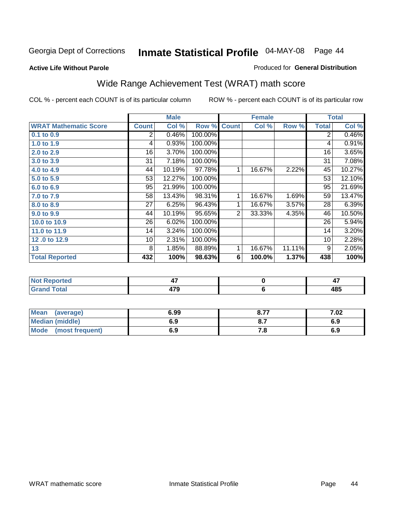**Active Life Without Parole** 

### Produced for **General Distribution**

## Wide Range Achievement Test (WRAT) math score

|                              |                | <b>Male</b> |                      |              | <b>Female</b>  |        |                | <b>Total</b>        |
|------------------------------|----------------|-------------|----------------------|--------------|----------------|--------|----------------|---------------------|
| <b>WRAT Mathematic Score</b> | <b>Count</b>   | Col %       | Row %                | <b>Count</b> | Col %          | Row %  | <b>Total</b>   | Col %               |
| 0.1 to 0.9                   | $\overline{2}$ | 0.46%       | 100.00%              |              |                |        | $\overline{2}$ | 0.46%               |
| 1.0 to 1.9                   | 4              | 0.93%       | 100.00%              |              |                |        | 4              | 0.91%               |
| 2.0 to 2.9                   | 16             | 3.70%       | 100.00%              |              |                |        | 16             | 3.65%               |
| 3.0 to 3.9                   | 31             | 7.18%       | 100.00%              |              |                |        | 31             | 7.08%               |
| 4.0 to 4.9                   | 44             | 10.19%      | $\overline{97.78\%}$ | 1            | 16.67%         | 2.22%  | 45             | 10.27%              |
| 5.0 to 5.9                   | 53             | 12.27%      | 100.00%              |              |                |        | 53             | 12.10%              |
| 6.0 to 6.9                   | 95             | 21.99%      | 100.00%              |              |                |        | 95             | 21.69%              |
| 7.0 to 7.9                   | 58             | 13.43%      | 98.31%               | 1            | 16.67%         | 1.69%  | 59             | 13.47%              |
| 8.0 to 8.9                   | 27             | 6.25%       | 96.43%               | 1            | 16.67%         | 3.57%  | 28             | 6.39%               |
| 9.0 to 9.9                   | 44             | 10.19%      | 95.65%               | 2            | 33.33%         | 4.35%  | 46             | 10.50%              |
| 10.0 to 10.9                 | 26             | 6.02%       | 100.00%              |              |                |        | 26             | $\overline{5.94\%}$ |
| 11.0 to 11.9                 | 14             | 3.24%       | 100.00%              |              |                |        | 14             | 3.20%               |
| 12.0 to 12.9                 | 10             | 2.31%       | 100.00%              |              |                |        | 10             | 2.28%               |
| 13                           | 8              | 1.85%       | 88.89%               | 1            | 16.67%         | 11.11% | 9              | 2.05%               |
| <b>Total Reported</b>        | 432            | 100%        | 98.63%               | 6            | 100.0%         | 1.37%  | 438            | 100%                |
|                              |                |             |                      |              |                |        |                |                     |
| <b>Not Reported</b>          |                | 47          |                      |              | $\bf{0}$       |        |                | 47                  |
| <b>Grand Total</b>           |                | 479         |                      |              | $6\phantom{1}$ |        |                | 485                 |

| <b>Mean</b><br>(average)       | 6.99 | o 77<br>o. / | 7.02 |
|--------------------------------|------|--------------|------|
| <b>Median (middle)</b>         | 6.9  | $O_{11}$     | 6.9  |
| <b>Mode</b><br>(most frequent) | 6.9  | .о           | 6.9  |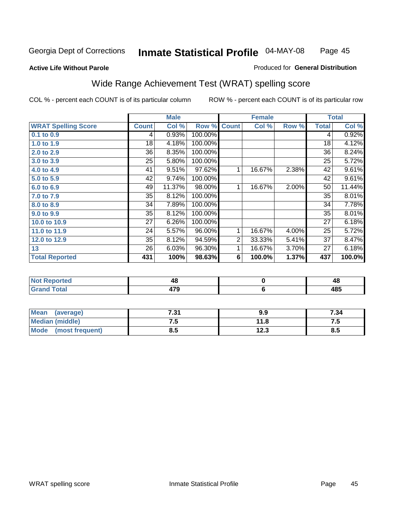### **Active Life Without Parole**

### Produced for **General Distribution**

## Wide Range Achievement Test (WRAT) spelling score

|                            |              | <b>Male</b> |           |                | <b>Female</b> |       |              | <b>Total</b> |
|----------------------------|--------------|-------------|-----------|----------------|---------------|-------|--------------|--------------|
| <b>WRAT Spelling Score</b> | <b>Count</b> | Col %       | Row %     | <b>Count</b>   | Col %         | Row % | <b>Total</b> | Col %        |
| 0.1 to 0.9                 | 4            | 0.93%       | 100.00%   |                |               |       | 4            | 0.92%        |
| 1.0 to 1.9                 | 18           | 4.18%       | 100.00%   |                |               |       | 18           | 4.12%        |
| 2.0 to 2.9                 | 36           | 8.35%       | 100.00%   |                |               |       | 36           | 8.24%        |
| 3.0 to 3.9                 | 25           | 5.80%       | 100.00%   |                |               |       | 25           | 5.72%        |
| 4.0 to 4.9                 | 41           | 9.51%       | 97.62%    | 1              | 16.67%        | 2.38% | 42           | 9.61%        |
| 5.0 to 5.9                 | 42           | 9.74%       | 100.00%   |                |               |       | 42           | 9.61%        |
| 6.0 to 6.9                 | 49           | 11.37%      | 98.00%    | 1              | 16.67%        | 2.00% | 50           | 11.44%       |
| 7.0 to 7.9                 | 35           | 8.12%       | 100.00%   |                |               |       | 35           | 8.01%        |
| 8.0 to 8.9                 | 34           | 7.89%       | 100.00%   |                |               |       | 34           | 7.78%        |
| 9.0 to 9.9                 | 35           | 8.12%       | 100.00%   |                |               |       | 35           | 8.01%        |
| 10.0 to 10.9               | 27           | 6.26%       | 100.00%   |                |               |       | 27           | 6.18%        |
| 11.0 to 11.9               | 24           | 5.57%       | $96.00\%$ | 1              | 16.67%        | 4.00% | 25           | 5.72%        |
| 12.0 to 12.9               | 35           | 8.12%       | 94.59%    | $\overline{2}$ | 33.33%        | 5.41% | 37           | 8.47%        |
| 13                         | 26           | 6.03%       | 96.30%    | 1              | 16.67%        | 3.70% | 27           | 6.18%        |
| <b>Total Reported</b>      | 431          | 100%        | 98.63%    | 6              | 100.0%        | 1.37% | 437          | 100.0%       |
|                            |              |             |           |                |               |       |              |              |
| <b>Not Reported</b>        |              | 48          |           |                | $\pmb{0}$     |       |              | 48           |
| <b>Grand Total</b>         |              | 479         |           |                | $\bf 6$       |       |              | 485          |

| <b>Mean</b><br>(average) | 7.31 | 9.9  | 7.34 |
|--------------------------|------|------|------|
| <b>Median (middle)</b>   | ں ،  |      | ن. ا |
| Mode<br>(most frequent)  | 8.5  | 12.3 | ၓ.Ე  |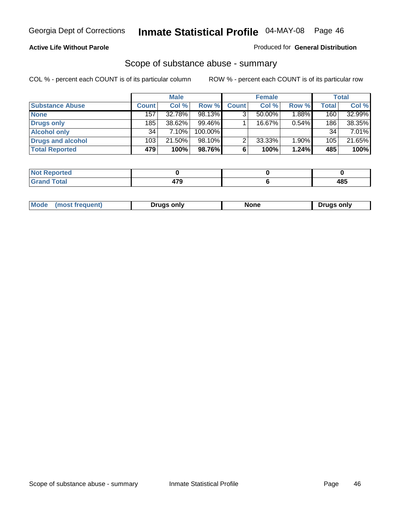### **Active Life Without Parole**

### Produced for **General Distribution**

### Scope of substance abuse - summary

|                        |              | <b>Male</b> |            |              | <b>Female</b> |       |              | <b>Total</b> |
|------------------------|--------------|-------------|------------|--------------|---------------|-------|--------------|--------------|
| <b>Substance Abuse</b> | <b>Count</b> | Col %       | Row %      | <b>Count</b> | Col %         | Row % | <b>Total</b> | Col %        |
| <b>None</b>            | 157          | 32.78%      | 98.13%     | 3            | 50.00%        | 1.88% | 160          | 32.99%       |
| Drugs only             | 185          | 38.62%      | $99.46\%$  |              | 16.67%        | 0.54% | 186          | 38.35%       |
| <b>Alcohol only</b>    | 34           | 7.10%       | $100.00\%$ |              |               |       | 34           | 7.01%        |
| Drugs and alcohol      | 103          | 21.50%      | $98.10\%$  | າ            | 33.33%        | 1.90% | 105          | 21.65%       |
| <b>Total Reported</b>  | 479          | 100%        | 98.76%     | 6            | 100%          | 1.24% | 485          | 100%         |

| Reported<br>$\sim$     |   |                                 |
|------------------------|---|---------------------------------|
| <b>Total</b><br>$\sim$ | . | <i><b>AOE</b></i><br>4໐ະ<br>- - |

|  | Mode<br>trequent.<br>most | Drugs only | …u∩n | ∍oniv<br>Druas |
|--|---------------------------|------------|------|----------------|
|--|---------------------------|------------|------|----------------|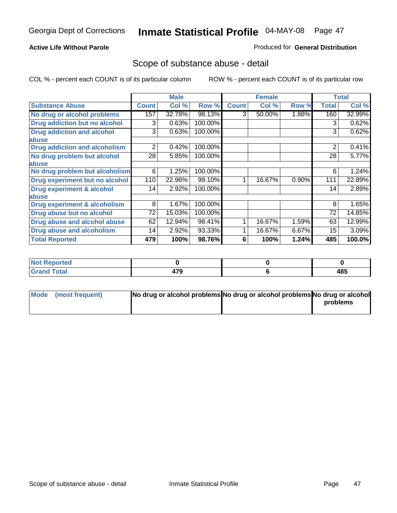### **Active Life Without Parole**

### Produced for **General Distribution**

### Scope of substance abuse - detail

|                                         |              | <b>Male</b> |         |              | <b>Female</b> |       |                | <b>Total</b> |
|-----------------------------------------|--------------|-------------|---------|--------------|---------------|-------|----------------|--------------|
| <b>Substance Abuse</b>                  | <b>Count</b> | Col %       | Row %   | <b>Count</b> | Col %         | Row % | <b>Total</b>   | Col %        |
| No drug or alcohol problems             | 157          | 32.78%      | 98.13%  | 3            | 50.00%        | 1.88% | 160            | 32.99%       |
| <b>Drug addiction but no alcohol</b>    | 3            | 0.63%       | 100.00% |              |               |       | 3              | 0.62%        |
| <b>Drug addiction and alcohol</b>       | 3            | 0.63%       | 100.00% |              |               |       | 3              | 0.62%        |
| abuse                                   |              |             |         |              |               |       |                |              |
| <b>Drug addiction and alcoholism</b>    | 2            | 0.42%       | 100.00% |              |               |       | $\overline{2}$ | 0.41%        |
| No drug problem but alcohol             | 28           | 5.85%       | 100.00% |              |               |       | 28             | 5.77%        |
| abuse                                   |              |             |         |              |               |       |                |              |
| No drug problem but alcoholism          | 6            | 1.25%       | 100.00% |              |               |       | 6              | 1.24%        |
| Drug experiment but no alcohol          | 110          | 22.96%      | 99.10%  |              | 16.67%        | 0.90% | 111            | 22.89%       |
| <b>Drug experiment &amp; alcohol</b>    | 14           | 2.92%       | 100.00% |              |               |       | 14             | 2.89%        |
| abuse                                   |              |             |         |              |               |       |                |              |
| <b>Drug experiment &amp; alcoholism</b> | 8            | 1.67%       | 100.00% |              |               |       | 8              | 1.65%        |
| Drug abuse but no alcohol               | 72           | 15.03%      | 100.00% |              |               |       | 72             | 14.85%       |
| Drug abuse and alcohol abuse            | 62           | 12.94%      | 98.41%  |              | 16.67%        | 1.59% | 63             | 12.99%       |
| <b>Drug abuse and alcoholism</b>        | 14           | 2.92%       | 93.33%  |              | 16.67%        | 6.67% | 15             | 3.09%        |
| <b>Total Reported</b>                   | 479          | 100%        | 98.76%  | 6            | 100%          | 1.24% | 485            | 100.0%       |

| Not Reported           |     |           |
|------------------------|-----|-----------|
| <b>Total</b><br>$\sim$ | --- | AC<br>403 |

| Mode (most frequent) | No drug or alcohol problems No drug or alcohol problems No drug or alcohol |          |
|----------------------|----------------------------------------------------------------------------|----------|
|                      |                                                                            | problems |
|                      |                                                                            |          |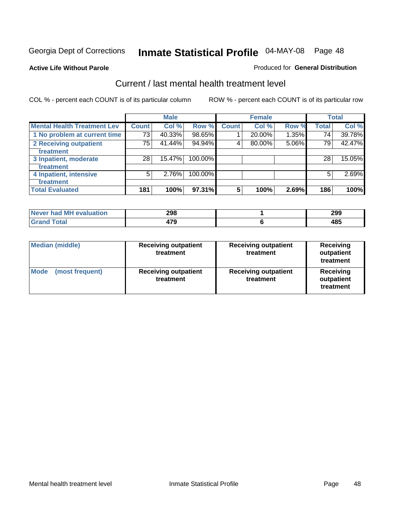### **Active Life Without Parole**

### Produced for **General Distribution**

## Current / last mental health treatment level

|                                    |              | <b>Male</b> |         |              | <b>Female</b> |       |              | <b>Total</b> |
|------------------------------------|--------------|-------------|---------|--------------|---------------|-------|--------------|--------------|
| <b>Mental Health Treatment Lev</b> | <b>Count</b> | Col %       | Row %   | <b>Count</b> | Col %         | Row % | <b>Total</b> | Col %        |
| 1 No problem at current time       | 73           | 40.33%      | 98.65%  |              | 20.00%        | 1.35% | 74           | 39.78%       |
| 2 Receiving outpatient             | 75           | 41.44%      | 94.94%  | 4            | 80.00%        | 5.06% | 79           | 42.47%       |
| treatment                          |              |             |         |              |               |       |              |              |
| 3 Inpatient, moderate              | 28           | 15.47%      | 100.00% |              |               |       | 28           | 15.05%       |
| treatment                          |              |             |         |              |               |       |              |              |
| 4 Inpatient, intensive             | 5            | 2.76%       | 100.00% |              |               |       | 5            | 2.69%        |
| treatment                          |              |             |         |              |               |       |              |              |
| <b>Total Evaluated</b>             | 181          | 100%        | 97.31%  | 5            | 100%          | 2.69% | 186          | 100%         |

| Never had MH evaluation | 298 | 299               |
|-------------------------|-----|-------------------|
| Total                   | 179 | <b>AOF</b><br>းဝပ |

| <b>Median (middle)</b>         | <b>Receiving outpatient</b><br>treatment | <b>Receiving outpatient</b><br>treatment | Receiving<br>outpatient<br>treatment |
|--------------------------------|------------------------------------------|------------------------------------------|--------------------------------------|
| <b>Mode</b><br>(most frequent) | <b>Receiving outpatient</b><br>treatment | <b>Receiving outpatient</b><br>treatment | Receiving<br>outpatient<br>treatment |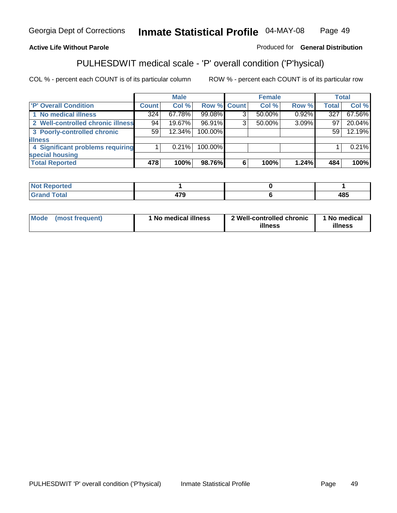### **Active Life Without Parole**

Produced for **General Distribution**

## PULHESDWIT medical scale - 'P' overall condition ('P'hysical)

|                                   |         | <b>Male</b> |             |   | <b>Female</b> |       |              | <b>Total</b> |
|-----------------------------------|---------|-------------|-------------|---|---------------|-------|--------------|--------------|
| 'P' Overall Condition             | Count l | Col %       | Row % Count |   | Col %         | Row % | <b>Total</b> | Col %        |
| 1 No medical illness              | 324     | 67.78%      | 99.08%      |   | 50.00%        | 0.92% | 327          | 67.56%       |
| 2 Well-controlled chronic illness | 94      | 19.67%      | 96.91%      | ◠ | 50.00%        | 3.09% | 97           | 20.04%       |
| 3 Poorly-controlled chronic       | 59      | 12.34%      | 100.00%     |   |               |       | 59           | 12.19%       |
| <b>lillness</b>                   |         |             |             |   |               |       |              |              |
| 4 Significant problems requiring  |         | $0.21\%$    | 100.00%     |   |               |       |              | 0.21%        |
| special housing                   |         |             |             |   |               |       |              |              |
| <b>Total Reported</b>             | 478     | 100%        | 98.76%      |   | 100%          | 1.24% | 484          | 100%         |

| Not Reported |               |     |
|--------------|---------------|-----|
| <b>otal</b>  | $\rightarrow$ | 10E |
| <b>C</b> re  | $\sim$        | 40J |

| <b>Mode</b> | (most frequent) | ' No medical illness | 2 Well-controlled chronic<br>illness | 1 No medical<br>illness |
|-------------|-----------------|----------------------|--------------------------------------|-------------------------|
|-------------|-----------------|----------------------|--------------------------------------|-------------------------|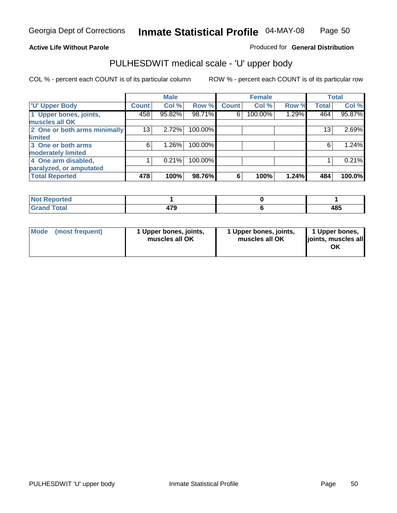### **Active Life Without Parole**

Produced for **General Distribution**

## PULHESDWIT medical scale - 'U' upper body

|                              |              | <b>Male</b> |         |              | <b>Female</b> |       |              | <b>Total</b> |
|------------------------------|--------------|-------------|---------|--------------|---------------|-------|--------------|--------------|
| <b>U' Upper Body</b>         | <b>Count</b> | Col %       | Row %   | <b>Count</b> | Col %         | Row % | <b>Total</b> | Col %        |
| 1 Upper bones, joints,       | 458          | 95.82%      | 98.71%  | 6            | 100.00%       | 1.29% | 464          | 95.87%       |
| muscles all OK               |              |             |         |              |               |       |              |              |
| 2 One or both arms minimally | 13           | 2.72%       | 100.00% |              |               |       | 13           | 2.69%        |
| limited                      |              |             |         |              |               |       |              |              |
| 3 One or both arms           | 6            | 1.26%       | 100.00% |              |               |       | 6            | 1.24%        |
| moderately limited           |              |             |         |              |               |       |              |              |
| 4 One arm disabled,          |              | 0.21%       | 100.00% |              |               |       |              | 0.21%        |
| paralyzed, or amputated      |              |             |         |              |               |       |              |              |
| <b>Total Reported</b>        | 478          | 100%        | 98.76%  | 6            | 100%          | 1.24% | 484          | 100.0%       |

| $N$ ot F<br><b>eported</b>                        |            |             |
|---------------------------------------------------|------------|-------------|
| <b>Total</b><br><b>C</b> <sub>non</sub><br>______ | . <u>.</u> | 10 E<br>400 |

|  | Mode (most frequent) | 1 Upper bones, joints,<br>muscles all OK | 1 Upper bones, joints,<br>muscles all OK | 1 Upper bones,<br>joints, muscles all<br>OK |
|--|----------------------|------------------------------------------|------------------------------------------|---------------------------------------------|
|--|----------------------|------------------------------------------|------------------------------------------|---------------------------------------------|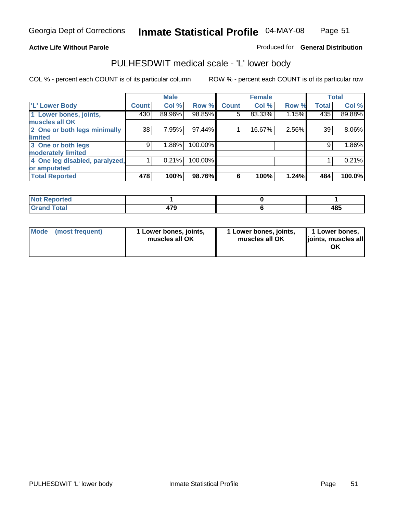### **Active Life Without Parole**

### Produced for **General Distribution**

## PULHESDWIT medical scale - 'L' lower body

|                                |              | <b>Male</b> |         |              | <b>Female</b> |       |              | <b>Total</b> |
|--------------------------------|--------------|-------------|---------|--------------|---------------|-------|--------------|--------------|
| <b>L' Lower Body</b>           | <b>Count</b> | Col %       | Row %   | <b>Count</b> | Col %         | Row % | <b>Total</b> | Col %        |
| 1 Lower bones, joints,         | 430          | 89.96%      | 98.85%  | 5            | 83.33%        | 1.15% | 435          | 89.88%       |
| muscles all OK                 |              |             |         |              |               |       |              |              |
| 2 One or both legs minimally   | 38           | 7.95%       | 97.44%  |              | 16.67%        | 2.56% | 39           | 8.06%        |
| limited                        |              |             |         |              |               |       |              |              |
| 3 One or both legs             | 9            | 1.88%       | 100.00% |              |               |       | 9            | 1.86%        |
| moderately limited             |              |             |         |              |               |       |              |              |
| 4 One leg disabled, paralyzed, |              | 0.21%       | 100.00% |              |               |       |              | 0.21%        |
| or amputated                   |              |             |         |              |               |       |              |              |
| <b>Total Reported</b>          | 478          | 100%        | 98.76%  | 6            | 100%          | 1.24% | 484          | 100.0%       |

| <b>NIAA</b><br>ported<br>'N I      |             |                   |
|------------------------------------|-------------|-------------------|
| $F \sim 4 \sim 1$<br>TOldi<br>---- | 170<br>11 v | <b>AQF</b><br>400 |

|  | Mode (most frequent) | 1 Lower bones, joints,<br>muscles all OK | 1 Lower bones, joints,<br>muscles all OK | 1 Lower bones,<br>joints, muscles all<br>OK |
|--|----------------------|------------------------------------------|------------------------------------------|---------------------------------------------|
|--|----------------------|------------------------------------------|------------------------------------------|---------------------------------------------|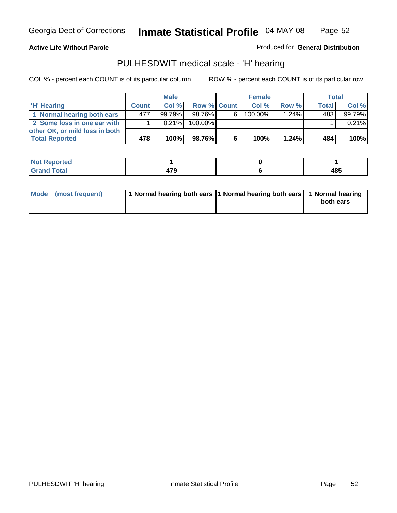### **Active Life Without Parole**

Produced for **General Distribution**

## PULHESDWIT medical scale - 'H' hearing

|                                |              | <b>Male</b> |             |    | <b>Female</b> |          | <b>Total</b> |          |
|--------------------------------|--------------|-------------|-------------|----|---------------|----------|--------------|----------|
| 'H' Hearing                    | <b>Count</b> | Col%        | Row % Count |    | Col%          | Row %    | <b>Total</b> | Col %    |
| 1 Normal hearing both ears     | 477          | $99.79\%$   | 98.76%      | 61 | 100.00%       | $1.24\%$ | 483          | 99.79%   |
| 2 Some loss in one ear with    |              | $0.21\%$    | 100.00%     |    |               |          |              | $0.21\%$ |
| other OK, or mild loss in both |              |             |             |    |               |          |              |          |
| <b>Total Reported</b>          | 478 !        | 100%        | 98.76%I     | 6  | 100%          | 1.24%    | 484          | $100\%$  |

| тео               |        |                     |
|-------------------|--------|---------------------|
| ---<br>----- ---- | $\sim$ | 10 E<br>ເວລ<br>$ -$ |

| Mode (most frequent) | 1 Normal hearing both ears 1 Normal hearing both ears 1 Normal hearing | both ears |
|----------------------|------------------------------------------------------------------------|-----------|
|                      |                                                                        |           |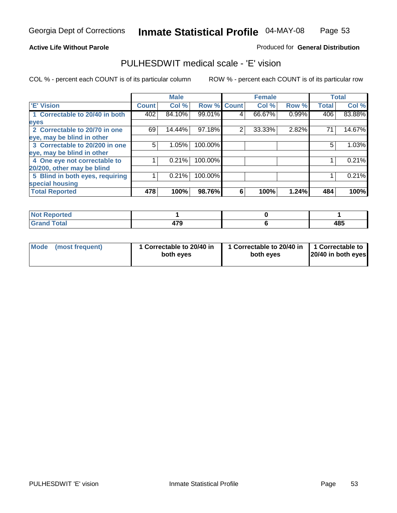### **Active Life Without Parole**

### Produced for **General Distribution**

### PULHESDWIT medical scale - 'E' vision

|                                 |              | <b>Male</b> |             |   | <b>Female</b> |       |              | <b>Total</b> |
|---------------------------------|--------------|-------------|-------------|---|---------------|-------|--------------|--------------|
| <b>E' Vision</b>                | <b>Count</b> | Col %       | Row % Count |   | Col %         | Row % | <b>Total</b> | Col %        |
| 1 Correctable to 20/40 in both  | 402          | 84.10%      | 99.01%      | 4 | 66.67%        | 0.99% | 406          | 83.88%       |
| eyes                            |              |             |             |   |               |       |              |              |
| 2 Correctable to 20/70 in one   | 69           | 14.44%      | 97.18%      | 2 | 33.33%        | 2.82% | 71           | 14.67%       |
| eye, may be blind in other      |              |             |             |   |               |       |              |              |
| 3 Correctable to 20/200 in one  | 5            | 1.05%       | 100.00%     |   |               |       | 5            | 1.03%        |
| eye, may be blind in other      |              |             |             |   |               |       |              |              |
| 4 One eye not correctable to    |              | 0.21%       | 100.00%     |   |               |       |              | 0.21%        |
| 20/200, other may be blind      |              |             |             |   |               |       |              |              |
| 5 Blind in both eyes, requiring |              | 0.21%       | 100.00%     |   |               |       |              | 0.21%        |
| special housing                 |              |             |             |   |               |       |              |              |
| <b>Total Reported</b>           | 478          | 100%        | 98.76%      | 6 | 100%          | 1.24% | 484          | 100%         |

| <b>Not Reported</b>  |                       |     |
|----------------------|-----------------------|-----|
| <b>Total</b><br>Grar | 170<br>41 J<br>$\sim$ | 485 |

| <b>Mode</b>     | 1 Correctable to 20/40 in | 1 Correctable to 20/40 in   1 Correctable to | 20/40 in both eyes |
|-----------------|---------------------------|----------------------------------------------|--------------------|
| (most frequent) | both eyes                 | both eves                                    |                    |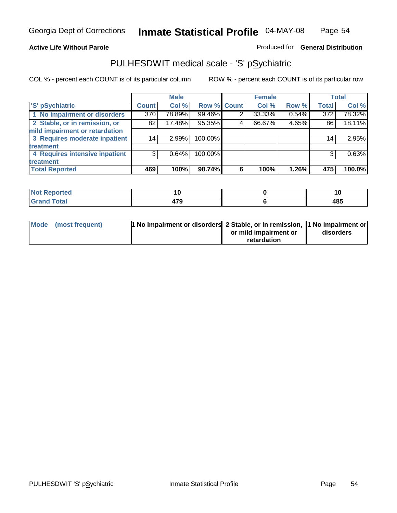### **Active Life Without Parole**

### Produced for **General Distribution**

## PULHESDWIT medical scale - 'S' pSychiatric

|                                |              | <b>Male</b> |             |   | <b>Female</b> |       |                  | <b>Total</b> |
|--------------------------------|--------------|-------------|-------------|---|---------------|-------|------------------|--------------|
| 'S' pSychiatric                | <b>Count</b> | Col %       | Row % Count |   | Col %         | Row % | <b>Total</b>     | Col %        |
| 1 No impairment or disorders   | 370          | 78.89%      | 99.46%      | 2 | 33.33%        | 0.54% | $\overline{372}$ | 78.32%       |
| 2 Stable, or in remission, or  | 82           | 17.48%      | 95.35%      | 4 | 66.67%        | 4.65% | 86               | 18.11%       |
| mild impairment or retardation |              |             |             |   |               |       |                  |              |
| 3 Requires moderate inpatient  | 14           | 2.99%       | 100.00%     |   |               |       | 14 <sub>1</sub>  | 2.95%        |
| treatment                      |              |             |             |   |               |       |                  |              |
| 4 Requires intensive inpatient | 3            | 0.64%       | 100.00%     |   |               |       | 3                | 0.63%        |
| treatment                      |              |             |             |   |               |       |                  |              |
| <b>Total Reported</b>          | 469          | 100%        | 98.74%      | 6 | 100%          | 1.26% | 475              | 100.0%       |

| orted        | 1 U         | IJ                |
|--------------|-------------|-------------------|
| <b>Total</b> | 170<br>71 C | <b>ARF</b><br>40, |

| Mode (most frequent) | 1 No impairment or disorders 2 Stable, or in remission, 11 No impairment or |                       |           |
|----------------------|-----------------------------------------------------------------------------|-----------------------|-----------|
|                      |                                                                             | or mild impairment or | disorders |
|                      |                                                                             | retardation           |           |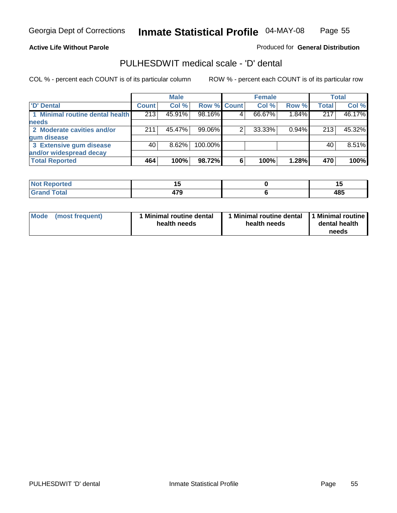**Active Life Without Parole** 

Produced for **General Distribution**

### PULHESDWIT medical scale - 'D' dental

|                                 |       | <b>Male</b> |             |   | <b>Female</b> |          |              | <b>Total</b> |
|---------------------------------|-------|-------------|-------------|---|---------------|----------|--------------|--------------|
| <b>D'</b> Dental                | Count | Col %       | Row % Count |   | Col %         | Row %    | <b>Total</b> | Col %        |
| 1 Minimal routine dental health | 213   | 45.91%      | 98.16%      |   | 66.67%        | 1.84%    | 217          | 46.17%       |
| <b>needs</b>                    |       |             |             |   |               |          |              |              |
| 2 Moderate cavities and/or      | 211   | 45.47%      | 99.06%      |   | 33.33%        | $0.94\%$ | 213          | 45.32%       |
| gum disease                     |       |             |             |   |               |          |              |              |
| 3 Extensive gum disease         | 40    | $8.62\%$    | 100.00%     |   |               |          | 40           | 8.51%        |
| and/or widespread decay         |       |             |             |   |               |          |              |              |
| <b>Total Reported</b>           | 464   | 100%        | 98.72%      | 6 | 100%          | 1.28%    | 470          | 100%         |

| المنصبة مناقص<br>N<br>тео | י י<br>$-$  |     |
|---------------------------|-------------|-----|
| $\sim$ $\sim$ $\sim$      | 170<br>71 J | 485 |

| Mode (most frequent) | <b>Minimal routine dental</b><br>health needs | 1 Minimal routine dental<br>health needs | 1 Minimal routine<br>dental health<br>needs |
|----------------------|-----------------------------------------------|------------------------------------------|---------------------------------------------|
|----------------------|-----------------------------------------------|------------------------------------------|---------------------------------------------|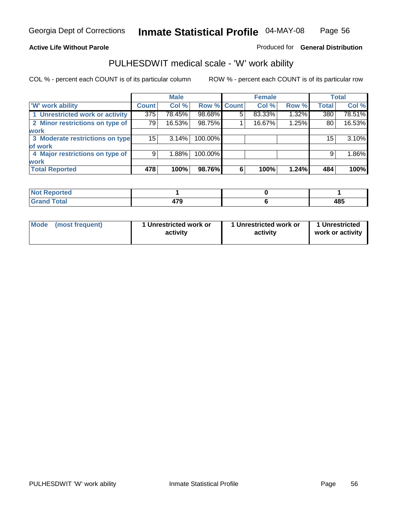### **Active Life Without Parole**

### Produced for **General Distribution**

## PULHESDWIT medical scale - 'W' work ability

|                                 |              | <b>Male</b> |             |   | <b>Female</b> |       |              | <b>Total</b> |
|---------------------------------|--------------|-------------|-------------|---|---------------|-------|--------------|--------------|
| <b>W' work ability</b>          | <b>Count</b> | Col %       | Row % Count |   | Col %         | Row % | <b>Total</b> | Col %        |
| 1 Unrestricted work or activity | 375          | 78.45%      | 98.68%      | 5 | 83.33%        | 1.32% | 380          | 78.51%       |
| 2 Minor restrictions on type of | 79           | 16.53%      | 98.75%      |   | 16.67%        | 1.25% | 80           | 16.53%       |
| <b>work</b>                     |              |             |             |   |               |       |              |              |
| 3 Moderate restrictions on type | 15           | 3.14%       | 100.00%     |   |               |       | 15           | 3.10%        |
| of work                         |              |             |             |   |               |       |              |              |
| 4 Major restrictions on type of | 9            | 1.88%       | 100.00%     |   |               |       | 9            | 1.86%        |
| <b>work</b>                     |              |             |             |   |               |       |              |              |
| <b>Total Reported</b>           | 478          | 100%        | 98.76%      | 6 | 100%          | 1.24% | 484          | 100%         |

| <b>Not Reported</b> |             |     |
|---------------------|-------------|-----|
| <b>Total</b><br>Gra | 170<br>41 J | 485 |

| Mode | (most frequent) | 1 Unrestricted work or<br>activity | 1 Unrestricted work or<br>activity | 1 Unrestricted<br>work or activity |
|------|-----------------|------------------------------------|------------------------------------|------------------------------------|
|      |                 |                                    |                                    |                                    |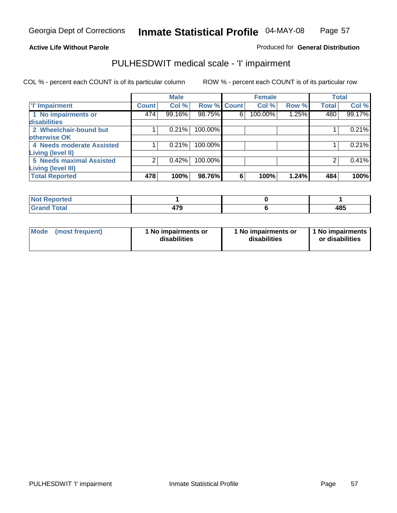### **Active Life Without Parole**

### Produced for **General Distribution**

## PULHESDWIT medical scale - 'I' impairment

|                                 |              | <b>Male</b> |                    |   | <b>Female</b> |       | <b>Total</b> |        |
|---------------------------------|--------------|-------------|--------------------|---|---------------|-------|--------------|--------|
| <b>T' Impairment</b>            | <b>Count</b> | Col %       | <b>Row % Count</b> |   | Col %         | Row % | <b>Total</b> | Col %  |
| 1 No impairments or             | 474          | 99.16%      | 98.75%             | 6 | 100.00%       | 1.25% | 480          | 99.17% |
| disabilities                    |              |             |                    |   |               |       |              |        |
| 2 Wheelchair-bound but          |              | 0.21%       | 100.00%            |   |               |       |              | 0.21%  |
| otherwise OK                    |              |             |                    |   |               |       |              |        |
| 4 Needs moderate Assisted       |              | 0.21%       | 100.00%            |   |               |       |              | 0.21%  |
| <b>Living (level II)</b>        |              |             |                    |   |               |       |              |        |
| <b>5 Needs maximal Assisted</b> |              | 0.42%       | 100.00%            |   |               |       |              | 0.41%  |
| <b>Living (level III)</b>       |              |             |                    |   |               |       |              |        |
| <b>Total Reported</b>           | 478          | 100%        | 98.76%             | 6 | 100%          | 1.24% | 484          | 100%   |

| <b>Not Reported</b>          |             |     |
|------------------------------|-------------|-----|
| <b>Total</b><br><b>Grand</b> | 170<br>41 J | 485 |

| Mode | (most frequent) | 1 No impairments or<br>disabilities | 1 No impairments or<br>disabilities | 1 No impairments  <br>or disabilities |
|------|-----------------|-------------------------------------|-------------------------------------|---------------------------------------|
|------|-----------------|-------------------------------------|-------------------------------------|---------------------------------------|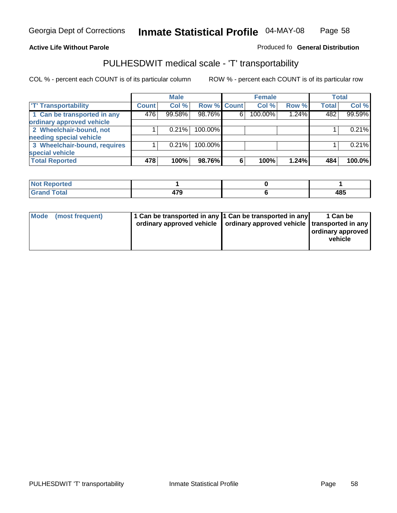#### **Inmate Statistical Profile** 04-MAY-08 Page Page 58

### **Active Life Without Parole Produced fo Seneral Distribution**

## PULHESDWIT medical scale - 'T' transportability

|                              |              | <b>Male</b> |             |   | <b>Female</b> |       |              | <b>Total</b> |
|------------------------------|--------------|-------------|-------------|---|---------------|-------|--------------|--------------|
| <b>T' Transportability</b>   | <b>Count</b> | Col %       | Row % Count |   | Col %         | Row % | <b>Total</b> | Col %        |
| 1 Can be transported in any  | 476          | 99.58%      | 98.76%      | 6 | 100.00%       | 1.24% | 482          | 99.59%       |
| ordinary approved vehicle    |              |             |             |   |               |       |              |              |
| 2 Wheelchair-bound, not      |              | 0.21%       | 100.00%     |   |               |       |              | 0.21%        |
| needing special vehicle      |              |             |             |   |               |       |              |              |
| 3 Wheelchair-bound, requires |              | 0.21%       | 100.00%     |   |               |       |              | 0.21%        |
| special vehicle              |              |             |             |   |               |       |              |              |
| <b>Total Reported</b>        | 478          | 100%        | 98.76%      | 6 | 100%          | 1.24% | 484          | 100.0%       |

| <b>Reported</b><br>' NOT |   |             |
|--------------------------|---|-------------|
| <b>Total</b><br>$\sim$   | . | 10 E<br>יט- |

| Mode (most frequent) | 1 Can be transported in any 1 Can be transported in any | ordinary approved vehicle   ordinary approved vehicle   transported in any | 1 Can be<br>  ordinary approved  <br>vehicle |
|----------------------|---------------------------------------------------------|----------------------------------------------------------------------------|----------------------------------------------|
|----------------------|---------------------------------------------------------|----------------------------------------------------------------------------|----------------------------------------------|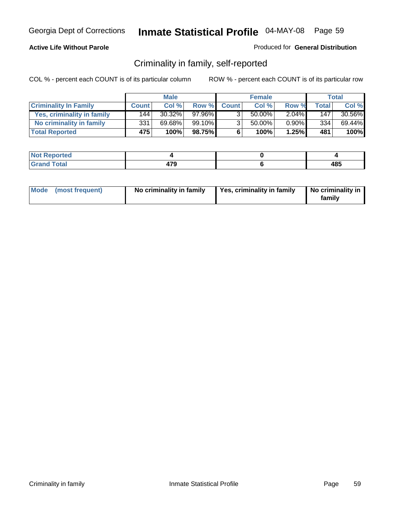### **Active Life Without Parole**

### Produced for **General Distribution**

## Criminality in family, self-reported

|                              |              | <b>Male</b> |        |              | <b>Female</b> |          |              | Total     |
|------------------------------|--------------|-------------|--------|--------------|---------------|----------|--------------|-----------|
| <b>Criminality In Family</b> | <b>Count</b> | Col %       | Row %  | <b>Count</b> | Col %         | Row %    | <b>Total</b> | Col %     |
| Yes, criminality in family   | 144          | 30.32%      | 97.96% |              | 50.00%        | $2.04\%$ | 147          | $30.56\%$ |
| No criminality in family     | 331          | 69.68%      | 99.10% | 3            | 50.00%        | $0.90\%$ | 334          | 69.44%    |
| <b>Total Reported</b>        | 475          | 100%        | 98.75% | 6            | 100%          | 1.25%    | 481          | 100%      |

| ported<br><b>NOT</b><br>* IZAR |    |             |
|--------------------------------|----|-------------|
| <b>otal</b><br>Gran<br>$\sim$  | ית | 10 C<br>403 |

|  | Mode (most frequent) | No criminality in family | Yes, criminality in family | No criminality in<br>family |
|--|----------------------|--------------------------|----------------------------|-----------------------------|
|--|----------------------|--------------------------|----------------------------|-----------------------------|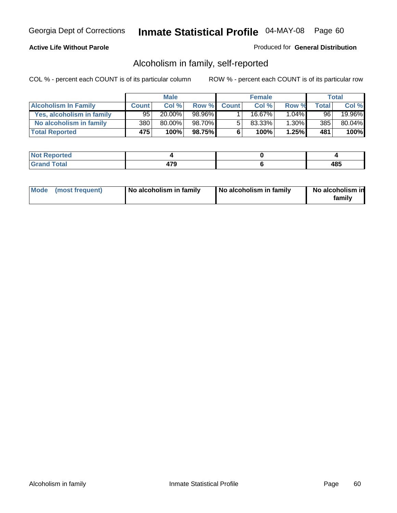### **Active Life Without Parole**

### Produced for **General Distribution**

## Alcoholism in family, self-reported

|                             |              | <b>Male</b> |        |              | <b>Female</b> |          |       | Total  |
|-----------------------------|--------------|-------------|--------|--------------|---------------|----------|-------|--------|
| <b>Alcoholism In Family</b> | <b>Count</b> | Col %       | Row %  | <b>Count</b> | Col %         | Row %    | Total | Col %  |
| Yes, alcoholism in family   | $95^{\circ}$ | 20.00%      | 98.96% |              | 16.67%        | $1.04\%$ | 96    | 19.96% |
| No alcoholism in family     | 380          | 80.00%      | 98.70% | 5            | 83.33%        | $1.30\%$ | 385   | 80.04% |
| <b>Total Reported</b>       | 475'         | 100%        | 98.75% | 6            | 100%          | 1.25%    | 481   | 100%   |

| oorted<br><b>NOT</b><br><b>IJCI</b> |               |            |
|-------------------------------------|---------------|------------|
| <b>c</b> otal<br>Gran<br>$\sim$     | 170<br>$\sim$ | 40E<br>40J |

|  | Mode (most frequent) | No alcoholism in family | No alcoholism in family | No alcoholism in<br>familv |
|--|----------------------|-------------------------|-------------------------|----------------------------|
|--|----------------------|-------------------------|-------------------------|----------------------------|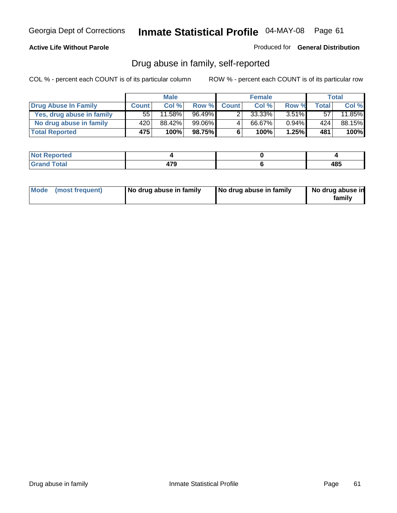### **Active Life Without Parole**

Produced for **General Distribution**

## Drug abuse in family, self-reported

|                           |              | <b>Male</b> |           |              | <b>Female</b> |          |       | <b>Total</b> |
|---------------------------|--------------|-------------|-----------|--------------|---------------|----------|-------|--------------|
| Drug Abuse In Family      | <b>Count</b> | Col %       | Row %     | <b>Count</b> | Col %         | Row %    | Total | Col %        |
| Yes, drug abuse in family | 55           | $11.58\%$   | $96.49\%$ | າ            | 33.33%        | $3.51\%$ | 57    | 11.85%       |
| No drug abuse in family   | 420          | 88.42%      | 99.06%1   | 4            | 66.67%        | $0.94\%$ | 424   | 88.15%       |
| <b>Total Reported</b>     | 475          | 100%        | 98.75%    | 6            | 100%          | 1.25%    | 481   | 100%         |

| oorted<br><b>NOT</b><br><b>IJCI</b> |               |            |
|-------------------------------------|---------------|------------|
| <b>c</b> otal<br>Gran<br>$\sim$     | 170<br>$\sim$ | 40E<br>40J |

|  | Mode (most frequent) | No drug abuse in family | No drug abuse in family | No drug abuse in<br>family |
|--|----------------------|-------------------------|-------------------------|----------------------------|
|--|----------------------|-------------------------|-------------------------|----------------------------|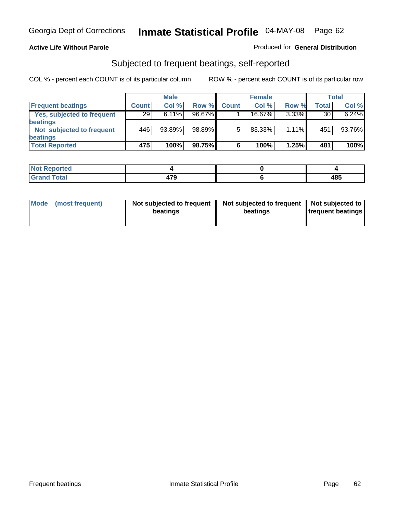### **Active Life Without Parole**

### Produced for **General Distribution**

## Subjected to frequent beatings, self-reported

|                            |              | <b>Male</b> |        |              | <b>Female</b> |          |       | Total  |
|----------------------------|--------------|-------------|--------|--------------|---------------|----------|-------|--------|
| <b>Frequent beatings</b>   | <b>Count</b> | Col %       | Row %  | <b>Count</b> | Col%          | Row %    | Total | Col %  |
| Yes, subjected to frequent | 29           | $6.11\%$    | 96.67% |              | 16.67%        | $3.33\%$ | 30    | 6.24%  |
| beatings                   |              |             |        |              |               |          |       |        |
| Not subjected to frequent  | 446          | 93.89%      | 98.89% | 5            | 83.33%        | $1.11\%$ | 451   | 93.76% |
| beatings                   |              |             |        |              |               |          |       |        |
| <b>Total Reported</b>      | 475          | 100%        | 98.75% | 6            | 100%          | 1.25%    | 481   | 100%   |

| <b>Not Reported</b>   |     |             |
|-----------------------|-----|-------------|
| Total<br>Cror<br>υιαι | 170 | 10 E<br>400 |

| Mode<br>(most frequent) | beatings | Not subjected to frequent | Not subjected to frequent<br>beatings | Not subjected to<br><b>frequent beatings</b> |
|-------------------------|----------|---------------------------|---------------------------------------|----------------------------------------------|
|                         |          |                           |                                       |                                              |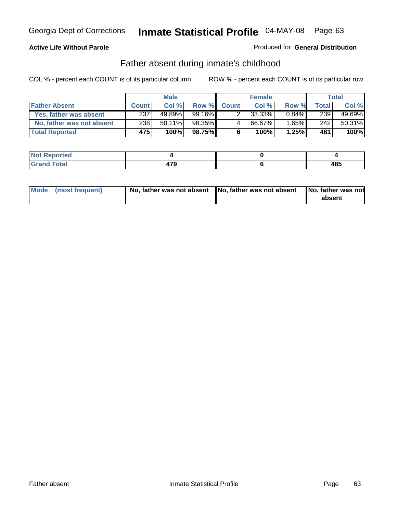### **Active Life Without Parole**

### Produced for **General Distribution**

## Father absent during inmate's childhood

|                           |              | <b>Male</b> |          |              | <b>Female</b> |          |       | Total  |
|---------------------------|--------------|-------------|----------|--------------|---------------|----------|-------|--------|
| <b>Father Absent</b>      | <b>Count</b> | Col%        | Row %    | <b>Count</b> | Col %         | Row %    | Total | Col %  |
| Yes, father was absent    | 237          | 49.89%      | 99.16% ∎ |              | 33.33%        | $0.84\%$ | 239   | 49.69% |
| No, father was not absent | 238          | $50.11\%$   | 98.35%   | 4            | 66.67%        | $1.65\%$ | 242   | 50.31% |
| <b>Total Reported</b>     | 475          | 100%        | 98.75%I  | 6            | 100%          | 1.25%    | 481   | 100%   |

| <b>Not Reported</b>   |                          |     |
|-----------------------|--------------------------|-----|
| <b>Total</b><br>Grano | 170<br>- - - -<br>$\sim$ | 485 |

| Mode (most frequent) |  | 「No, father was not absent ┃No, father was not absent ┃No, father was not | absent |
|----------------------|--|---------------------------------------------------------------------------|--------|
|----------------------|--|---------------------------------------------------------------------------|--------|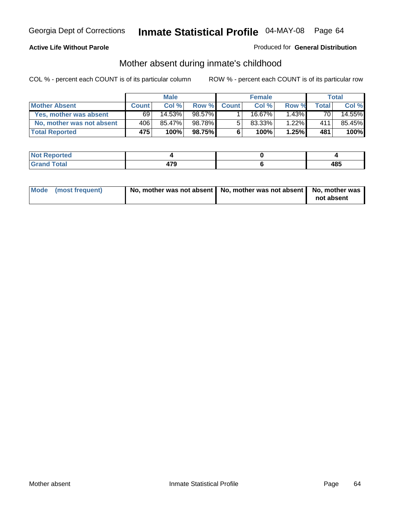### **Active Life Without Parole**

### Produced for **General Distribution**

# Mother absent during inmate's childhood

|                           |              | <b>Male</b> |         |              | <b>Female</b> |          |       | Total  |
|---------------------------|--------------|-------------|---------|--------------|---------------|----------|-------|--------|
| <b>Mother Absent</b>      | <b>Count</b> | Col%        | Row %   | <b>Count</b> | Col %         | Row %    | Total | Col %  |
| Yes, mother was absent    | 69           | $14.53\%$   | 98.57%  |              | 16.67%        | $1.43\%$ | 70    | 14.55% |
| No, mother was not absent | 406          | 85.47%      | 98.78%  | 5            | 83.33%        | $1.22\%$ | 411   | 85.45% |
| <b>Total Reported</b>     | 475          | 100%        | 98.75%I | 6            | 100%          | 1.25%    | 481   | 100%   |

| <b>Not Reported</b>   |     |     |
|-----------------------|-----|-----|
| <b>Total</b><br>Grand | 170 | 485 |

| Mode (most frequent) | No, mother was not absent $\vert$ No, mother was not absent $\vert$ No, mother was | not absent |
|----------------------|------------------------------------------------------------------------------------|------------|
|                      |                                                                                    |            |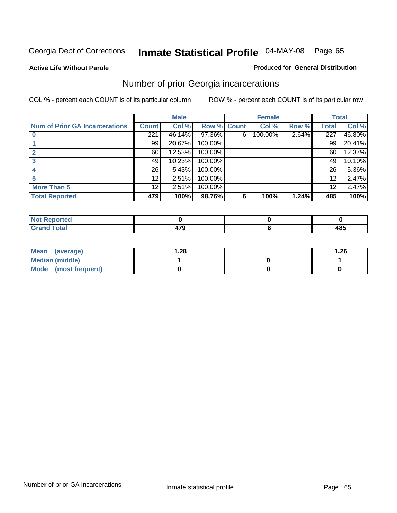**Active Life Without Parole** 

### Produced for **General Distribution**

## Number of prior Georgia incarcerations

|                                |              | <b>Male</b> |                    |   | <b>Female</b> |       |       | <b>Total</b> |
|--------------------------------|--------------|-------------|--------------------|---|---------------|-------|-------|--------------|
| Num of Prior GA Incarcerations | <b>Count</b> | Col %       | <b>Row % Count</b> |   | Col %         | Row % | Total | Col %        |
|                                | 221          | 46.14%      | 97.36%             | 6 | 100.00%       | 2.64% | 227   | 46.80%       |
|                                | 99           | 20.67%      | 100.00%            |   |               |       | 99    | 20.41%       |
|                                | 60           | 12.53%      | 100.00%            |   |               |       | 60    | 12.37%       |
|                                | 49           | 10.23%      | 100.00%            |   |               |       | 49    | 10.10%       |
|                                | 26           | 5.43%       | 100.00%            |   |               |       | 26    | 5.36%        |
|                                | 12           | 2.51%       | 100.00%            |   |               |       | 12    | 2.47%        |
| <b>More Than 5</b>             | 12           | 2.51%       | 100.00%            |   |               |       | 12    | 2.47%        |
| <b>Total Reported</b>          | 479          | 100%        | 98.76%             | 6 | 100%          | 1.24% | 485   | 100%         |

| Reported<br><b>NOT</b>          |     |            |
|---------------------------------|-----|------------|
| <b>otal</b><br>$\mathbf{v}$ and | $-$ | 10E<br>403 |

| Mean (average)       | l.28 | .26 |
|----------------------|------|-----|
| Median (middle)      |      |     |
| Mode (most frequent) |      |     |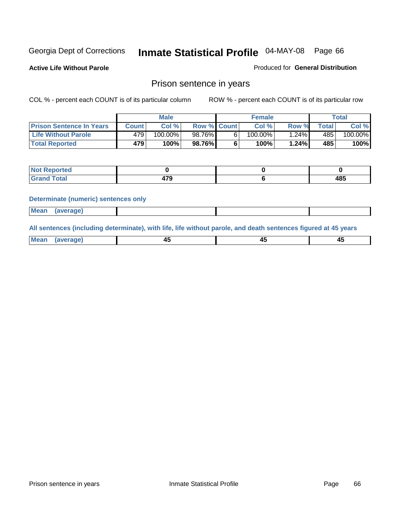**Active Life Without Parole** 

Produced for **General Distribution**

### Prison sentence in years

COL % - percent each COUNT is of its particular column ROW % - percent each COUNT is of its particular row

|                                 | Male    |         |                    | <b>Female</b> |            |         | Total       |         |
|---------------------------------|---------|---------|--------------------|---------------|------------|---------|-------------|---------|
| <b>Prison Sentence In Years</b> | Count l | Col %   | <b>Row % Count</b> |               | Col %      | Row %   | $\tau$ otal | Col %   |
| <b>Life Without Parole</b>      | 479'    | 100.00% | 98.76%             |               | $100.00\%$ | $.24\%$ | 485         | 100.00% |
| <b>Total Reported</b>           | 479'    | 100%    | 98.76%             |               | 100%       | 1.24%   | 485         | 100%    |

| <b>Reported</b>                  |         |     |
|----------------------------------|---------|-----|
| <b>Total</b><br>$\mathsf{C}$ and | ים<br>. | 485 |

### **Determinate (numeric) sentences only**

| <b>Mean</b> | (average) |  |  |
|-------------|-----------|--|--|

**All sentences (including determinate), with life, life without parole, and death sentences figured at 45 years**

| Me:<br>апет<br>.<br>᠇<br>$\sim$ | -- | т.<br>$\sim$ |
|---------------------------------|----|--------------|
|---------------------------------|----|--------------|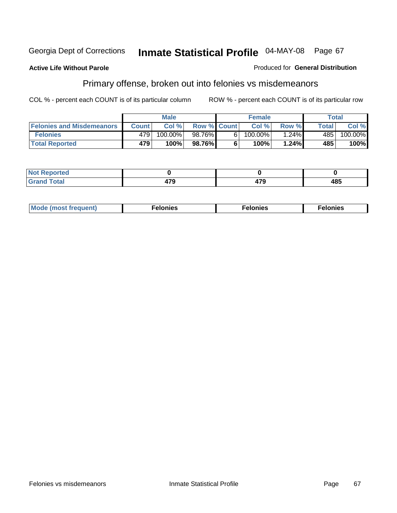### **Active Life Without Parole**

### Produced for **General Distribution**

## Primary offense, broken out into felonies vs misdemeanors

|                                  | <b>Male</b>  |         |                    | <b>Female</b> |         |       | Total        |                       |
|----------------------------------|--------------|---------|--------------------|---------------|---------|-------|--------------|-----------------------|
| <b>Felonies and Misdemeanors</b> | <b>Count</b> | Col%    | <b>Row % Count</b> |               | Col%    | Row % | <b>Total</b> | Col %                 |
| <b>Felonies</b>                  | 479'         | 100.00% | 98.76%             | 61            | 100.00% | 1.24% | 485          | $100.\overline{00\%}$ |
| <b>Total Reported</b>            | 479          | 100%    | 98.76%I            |               | 100%    | 1.24% | 485          | 100%                  |

| <b>Not</b><br><b>Reported</b><br>$\sim$             |       |    |     |
|-----------------------------------------------------|-------|----|-----|
| $f$ atal $f$<br>Gran<br>$\mathbf{v}$ . $\mathbf{u}$ | $- -$ | יי | 485 |

| M<br>$\cdots$<br>пю.<br>. | nies<br>. | . |
|---------------------------|-----------|---|
|---------------------------|-----------|---|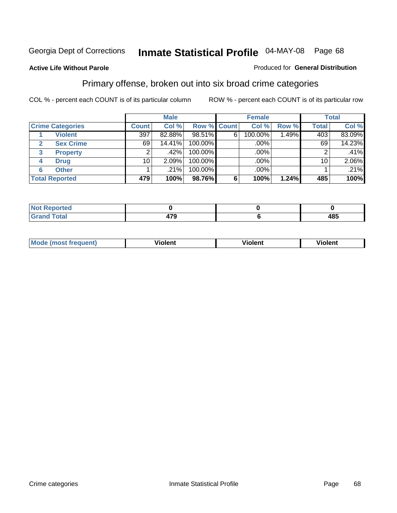### **Active Life Without Parole**

### Produced for **General Distribution**

## Primary offense, broken out into six broad crime categories

|                         |                 | <b>Male</b> |                    |   | <b>Female</b> |       |              | <b>Total</b> |  |
|-------------------------|-----------------|-------------|--------------------|---|---------------|-------|--------------|--------------|--|
| <b>Crime Categories</b> | <b>Count</b>    | Col %       | <b>Row % Count</b> |   | Col %         | Row % | <b>Total</b> | Col %        |  |
| <b>Violent</b>          | 397             | 82.88%      | 98.51%             | 6 | 100.00%       | 1.49% | 403          | 83.09%       |  |
| <b>Sex Crime</b><br>2   | 69              | 14.41%      | 100.00%            |   | .00%          |       | 69           | 14.23%       |  |
| 3<br><b>Property</b>    | 2               | .42%        | 100.00%            |   | .00%          |       |              | .41%         |  |
| <b>Drug</b><br>4        | 10 <sub>1</sub> | 2.09%       | 100.00%            |   | .00%          |       | 10           | 2.06%        |  |
| <b>Other</b><br>6       |                 | .21%        | 100.00%            |   | .00%          |       |              | .21%         |  |
| <b>Total Reported</b>   | 479             | 100%        | 98.76%             | 6 | 100%          | 1.24% | 485          | 100%         |  |

| <b>Reported</b><br><b>NOT</b><br>. |             |     |
|------------------------------------|-------------|-----|
| <b>Total</b><br>CHOH               | 170<br>11 J | 485 |

| Mo | n n | winlor" | ılen' |
|----|-----|---------|-------|
|    |     |         |       |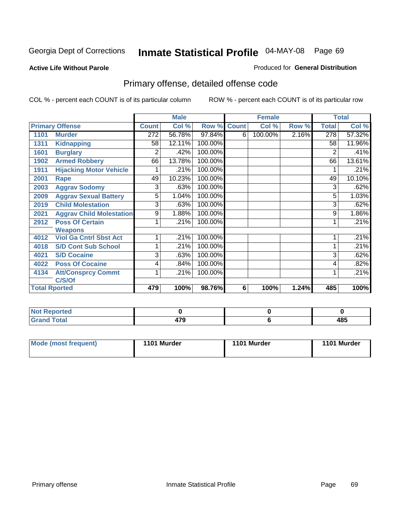### **Active Life Without Parole**

### Produced for **General Distribution**

## Primary offense, detailed offense code

|      |                                 |              | <b>Male</b> |             |   | <b>Female</b> |       |              | <b>Total</b> |
|------|---------------------------------|--------------|-------------|-------------|---|---------------|-------|--------------|--------------|
|      | <b>Primary Offense</b>          | <b>Count</b> | Col %       | Row % Count |   | Col %         | Row % | <b>Total</b> | Col %        |
| 1101 | <b>Murder</b>                   | 272          | 56.78%      | 97.84%      | 6 | 100.00%       | 2.16% | 278          | 57.32%       |
| 1311 | <b>Kidnapping</b>               | 58           | 12.11%      | 100.00%     |   |               |       | 58           | 11.96%       |
| 1601 | <b>Burglary</b>                 | 2            | .42%        | 100.00%     |   |               |       | 2            | .41%         |
| 1902 | <b>Armed Robbery</b>            | 66           | 13.78%      | 100.00%     |   |               |       | 66           | 13.61%       |
| 1911 | <b>Hijacking Motor Vehicle</b>  |              | .21%        | 100.00%     |   |               |       |              | .21%         |
| 2001 | Rape                            | 49           | 10.23%      | 100.00%     |   |               |       | 49           | 10.10%       |
| 2003 | <b>Aggrav Sodomy</b>            | 3            | .63%        | 100.00%     |   |               |       | 3            | .62%         |
| 2009 | <b>Aggrav Sexual Battery</b>    | 5            | 1.04%       | 100.00%     |   |               |       | 5            | 1.03%        |
| 2019 | <b>Child Molestation</b>        | 3            | .63%        | 100.00%     |   |               |       | 3            | .62%         |
| 2021 | <b>Aggrav Child Molestation</b> | 9            | 1.88%       | 100.00%     |   |               |       | 9            | 1.86%        |
| 2912 | <b>Poss Of Certain</b>          |              | .21%        | 100.00%     |   |               |       |              | .21%         |
|      | <b>Weapons</b>                  |              |             |             |   |               |       |              |              |
| 4012 | <b>Viol Ga Cntrl Sbst Act</b>   |              | .21%        | 100.00%     |   |               |       |              | .21%         |
| 4018 | <b>S/D Cont Sub School</b>      | 1            | .21%        | 100.00%     |   |               |       |              | .21%         |
| 4021 | <b>S/D Cocaine</b>              | 3            | .63%        | 100.00%     |   |               |       | 3            | .62%         |
| 4022 | <b>Poss Of Cocaine</b>          | 4            | .84%        | 100.00%     |   |               |       | 4            | .82%         |
| 4134 | <b>Att/Consprcy Commt</b>       | 1            | .21%        | 100.00%     |   |               |       | 1            | .21%         |
|      | C/S/Of                          |              |             |             |   |               |       |              |              |
|      | <b>Total Rported</b>            | 479          | 100%        | 98.76%      | 6 | 100%          | 1.24% | 485          | 100%         |

| <b>Not</b><br>Reported |      |     |
|------------------------|------|-----|
| <b>Fotal</b>           | ^‴^  | 40E |
| $\mathbf{v}$ and       | 71 J | 403 |

| Mode (most frequent) | 1101 Murder | 1101 Murder | 1101 Murder |
|----------------------|-------------|-------------|-------------|
|----------------------|-------------|-------------|-------------|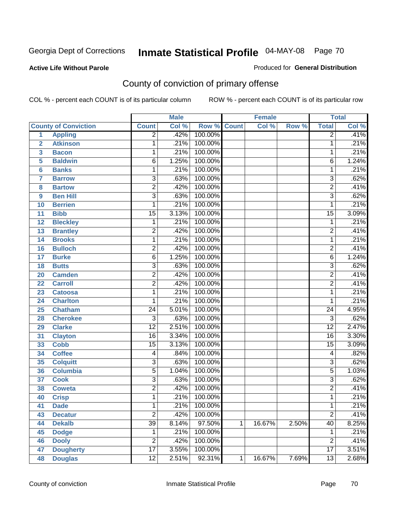Produced for **General Distribution**

### **Active Life Without Parole**

## County of conviction of primary offense

|                         |                             |                           | <b>Male</b> |             |   | <b>Female</b> |       |                 | <b>Total</b> |
|-------------------------|-----------------------------|---------------------------|-------------|-------------|---|---------------|-------|-----------------|--------------|
|                         | <b>County of Conviction</b> | <b>Count</b>              | Col %       | Row % Count |   | Col %         | Row % | <b>Total</b>    | Col %        |
| 1                       | <b>Appling</b>              | $\overline{2}$            | .42%        | 100.00%     |   |               |       | $\overline{2}$  | .41%         |
| $\overline{2}$          | <b>Atkinson</b>             | 1                         | .21%        | 100.00%     |   |               |       | 1               | .21%         |
| $\overline{\mathbf{3}}$ | <b>Bacon</b>                | $\mathbf{1}$              | .21%        | 100.00%     |   |               |       | 1               | .21%         |
| 5                       | <b>Baldwin</b>              | $\overline{6}$            | 1.25%       | 100.00%     |   |               |       | 6               | 1.24%        |
| 6                       | <b>Banks</b>                | 1                         | .21%        | 100.00%     |   |               |       | 1               | .21%         |
| $\overline{7}$          | <b>Barrow</b>               | $\overline{3}$            | .63%        | 100.00%     |   |               |       | $\overline{3}$  | .62%         |
| 8                       | <b>Bartow</b>               | $\overline{2}$            | .42%        | 100.00%     |   |               |       | $\overline{2}$  | .41%         |
| 9                       | <b>Ben Hill</b>             | $\overline{\overline{3}}$ | .63%        | 100.00%     |   |               |       | $\overline{3}$  | .62%         |
| 10                      | <b>Berrien</b>              | 1                         | .21%        | 100.00%     |   |               |       | 1               | .21%         |
| 11                      | <b>Bibb</b>                 | $\overline{15}$           | 3.13%       | 100.00%     |   |               |       | $\overline{15}$ | 3.09%        |
| 12                      | <b>Bleckley</b>             | 1                         | .21%        | 100.00%     |   |               |       | $\mathbf 1$     | .21%         |
| 13                      | <b>Brantley</b>             | $\overline{2}$            | .42%        | 100.00%     |   |               |       | $\overline{2}$  | .41%         |
| 14                      | <b>Brooks</b>               | 1                         | .21%        | 100.00%     |   |               |       | 1               | .21%         |
| 16                      | <b>Bulloch</b>              | $\overline{2}$            | .42%        | 100.00%     |   |               |       | $\overline{2}$  | .41%         |
| 17                      | <b>Burke</b>                | $\overline{6}$            | 1.25%       | 100.00%     |   |               |       | $\overline{6}$  | 1.24%        |
| 18                      | <b>Butts</b>                | $\overline{3}$            | .63%        | 100.00%     |   |               |       | $\overline{3}$  | .62%         |
| 20                      | <b>Camden</b>               | $\overline{2}$            | .42%        | 100.00%     |   |               |       | $\overline{2}$  | .41%         |
| 22                      | <b>Carroll</b>              | $\overline{2}$            | .42%        | 100.00%     |   |               |       | $\overline{2}$  | .41%         |
| 23                      | <b>Catoosa</b>              | 1                         | .21%        | 100.00%     |   |               |       | 1               | .21%         |
| 24                      | <b>Charlton</b>             | 1                         | .21%        | 100.00%     |   |               |       | 1               | .21%         |
| 25                      | <b>Chatham</b>              | $\overline{24}$           | 5.01%       | 100.00%     |   |               |       | $\overline{24}$ | 4.95%        |
| 28                      | <b>Cherokee</b>             | $\overline{3}$            | .63%        | 100.00%     |   |               |       | $\overline{3}$  | .62%         |
| 29                      | <b>Clarke</b>               | $\overline{12}$           | 2.51%       | 100.00%     |   |               |       | $\overline{12}$ | 2.47%        |
| 31                      | <b>Clayton</b>              | $\overline{16}$           | 3.34%       | 100.00%     |   |               |       | $\overline{16}$ | 3.30%        |
| 33                      | <b>Cobb</b>                 | $\overline{15}$           | 3.13%       | 100.00%     |   |               |       | $\overline{15}$ | 3.09%        |
| 34                      | <b>Coffee</b>               | 4                         | .84%        | 100.00%     |   |               |       | 4               | .82%         |
| 35                      | <b>Colquitt</b>             | $\overline{3}$            | .63%        | 100.00%     |   |               |       | $\overline{3}$  | .62%         |
| 36                      | <b>Columbia</b>             | $\overline{5}$            | 1.04%       | 100.00%     |   |               |       | $\overline{5}$  | 1.03%        |
| 37                      | <b>Cook</b>                 | $\overline{3}$            | .63%        | 100.00%     |   |               |       | $\overline{3}$  | .62%         |
| 38                      | <b>Coweta</b>               | $\overline{2}$            | .42%        | 100.00%     |   |               |       | $\overline{2}$  | .41%         |
| 40                      | <b>Crisp</b>                | 1                         | .21%        | 100.00%     |   |               |       | 1               | .21%         |
| 41                      | <b>Dade</b>                 | 1                         | .21%        | 100.00%     |   |               |       | 1               | .21%         |
| 43                      | <b>Decatur</b>              | $\overline{2}$            | .42%        | 100.00%     |   |               |       | $\overline{2}$  | .41%         |
| 44                      | <b>Dekalb</b>               | $\overline{39}$           | 8.14%       | 97.50%      | 1 | 16.67%        | 2.50% | $\overline{40}$ | 8.25%        |
| 45                      | <b>Dodge</b>                | 1                         | .21%        | 100.00%     |   |               |       | 1               | .21%         |
| 46                      | <b>Dooly</b>                | $\overline{2}$            | .42%        | 100.00%     |   |               |       | $\overline{2}$  | .41%         |
| 47                      | <b>Dougherty</b>            | $\overline{17}$           | 3.55%       | 100.00%     |   |               |       | $\overline{17}$ | 3.51%        |
| 48                      | <b>Douglas</b>              | $\overline{12}$           | 2.51%       | 92.31%      | 1 | 16.67%        | 7.69% | $\overline{13}$ | 2.68%        |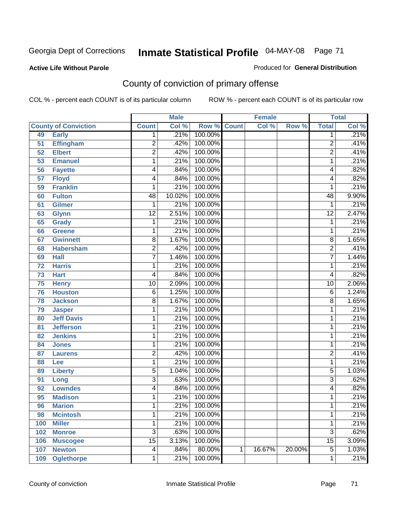### **Active Life Without Parole**

### Produced for **General Distribution**

## County of conviction of primary offense

|     |                             |                 | <b>Male</b> |                    |   | <b>Female</b> |        |                 | <b>Total</b> |
|-----|-----------------------------|-----------------|-------------|--------------------|---|---------------|--------|-----------------|--------------|
|     | <b>County of Conviction</b> | <b>Count</b>    | Col %       | <b>Row % Count</b> |   | Col %         | Row %  | <b>Total</b>    | Col %        |
| 49  | <b>Early</b>                | 1               | .21%        | 100.00%            |   |               |        | 1               | .21%         |
| 51  | <b>Effingham</b>            | $\overline{2}$  | .42%        | 100.00%            |   |               |        | $\overline{2}$  | .41%         |
| 52  | <b>Elbert</b>               | $\overline{2}$  | .42%        | 100.00%            |   |               |        | $\overline{2}$  | .41%         |
| 53  | <b>Emanuel</b>              | 1               | .21%        | 100.00%            |   |               |        | $\mathbf{1}$    | .21%         |
| 56  | <b>Fayette</b>              | 4               | .84%        | 100.00%            |   |               |        | 4               | .82%         |
| 57  | <b>Floyd</b>                | 4               | .84%        | 100.00%            |   |               |        | 4               | .82%         |
| 59  | <b>Franklin</b>             | 1               | .21%        | 100.00%            |   |               |        | 1               | .21%         |
| 60  | <b>Fulton</b>               | 48              | 10.02%      | 100.00%            |   |               |        | 48              | 9.90%        |
| 61  | <b>Gilmer</b>               | 1               | .21%        | 100.00%            |   |               |        | 1               | .21%         |
| 63  | <b>Glynn</b>                | $\overline{12}$ | 2.51%       | 100.00%            |   |               |        | $\overline{12}$ | 2.47%        |
| 65  | <b>Grady</b>                | 1               | .21%        | 100.00%            |   |               |        | 1               | .21%         |
| 66  | <b>Greene</b>               | 1               | .21%        | 100.00%            |   |               |        | 1               | .21%         |
| 67  | <b>Gwinnett</b>             | $\overline{8}$  | 1.67%       | 100.00%            |   |               |        | $\overline{8}$  | 1.65%        |
| 68  | <b>Habersham</b>            | $\overline{2}$  | .42%        | 100.00%            |   |               |        | $\overline{2}$  | .41%         |
| 69  | <b>Hall</b>                 | $\overline{7}$  | 1.46%       | 100.00%            |   |               |        | $\overline{7}$  | 1.44%        |
| 72  | <b>Harris</b>               | 1               | .21%        | 100.00%            |   |               |        | 1               | .21%         |
| 73  | <b>Hart</b>                 | 4               | .84%        | 100.00%            |   |               |        | 4               | .82%         |
| 75  | <b>Henry</b>                | $\overline{10}$ | 2.09%       | 100.00%            |   |               |        | 10              | 2.06%        |
| 76  | <b>Houston</b>              | $\overline{6}$  | 1.25%       | 100.00%            |   |               |        | 6               | 1.24%        |
| 78  | <b>Jackson</b>              | 8               | 1.67%       | 100.00%            |   |               |        | 8               | 1.65%        |
| 79  | <b>Jasper</b>               | 1               | .21%        | 100.00%            |   |               |        | 1               | .21%         |
| 80  | <b>Jeff Davis</b>           | 1               | .21%        | 100.00%            |   |               |        | 1               | .21%         |
| 81  | <b>Jefferson</b>            | 1               | .21%        | 100.00%            |   |               |        | 1               | .21%         |
| 82  | <b>Jenkins</b>              | 1               | .21%        | 100.00%            |   |               |        | 1               | .21%         |
| 84  | <b>Jones</b>                | 1               | .21%        | 100.00%            |   |               |        | 1               | .21%         |
| 87  | <b>Laurens</b>              | $\overline{2}$  | .42%        | 100.00%            |   |               |        | $\overline{2}$  | .41%         |
| 88  | Lee                         | 1               | .21%        | 100.00%            |   |               |        | 1               | .21%         |
| 89  | <b>Liberty</b>              | $\overline{5}$  | 1.04%       | 100.00%            |   |               |        | 5               | 1.03%        |
| 91  | Long                        | $\overline{3}$  | .63%        | 100.00%            |   |               |        | $\overline{3}$  | .62%         |
| 92  | <b>Lowndes</b>              | 4               | .84%        | 100.00%            |   |               |        | 4               | .82%         |
| 95  | <b>Madison</b>              | 1               | .21%        | 100.00%            |   |               |        | 1               | .21%         |
| 96  | <b>Marion</b>               | 1               |             | .21% 100.00%       |   |               |        | 1               | .21%         |
| 98  | <b>Mcintosh</b>             | 1               | .21%        | 100.00%            |   |               |        | 1               | .21%         |
| 100 | <b>Miller</b>               | 1               | .21%        | 100.00%            |   |               |        | 1               | .21%         |
| 102 | <b>Monroe</b>               | $\overline{3}$  | .63%        | 100.00%            |   |               |        | $\overline{3}$  | .62%         |
| 106 | <b>Muscogee</b>             | $\overline{15}$ | 3.13%       | 100.00%            |   |               |        | $\overline{15}$ | 3.09%        |
| 107 | <b>Newton</b>               | 4               | .84%        | 80.00%             | 1 | 16.67%        | 20.00% | $\overline{5}$  | 1.03%        |
| 109 | <b>Oglethorpe</b>           | 1               | .21%        | 100.00%            |   |               |        | 1               | .21%         |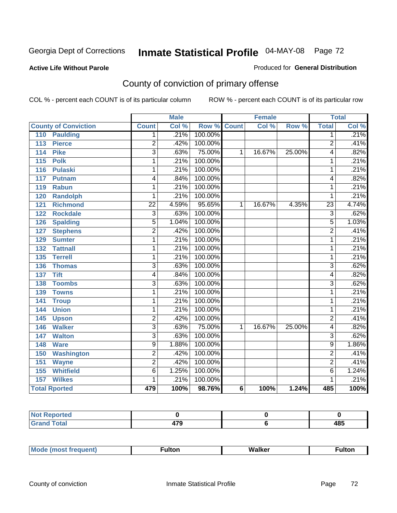### **Active Life Without Parole**

### Produced for **General Distribution**

## County of conviction of primary offense

|                                 |                 | <b>Male</b> |                    |                 | <b>Female</b> |        |                | <b>Total</b>               |
|---------------------------------|-----------------|-------------|--------------------|-----------------|---------------|--------|----------------|----------------------------|
| <b>County of Conviction</b>     | <b>Count</b>    | Col %       | <b>Row % Count</b> |                 | Col %         | Row %  | <b>Total</b>   | $\overline{\text{Col }^9}$ |
| <b>Paulding</b><br>110          | 1.              | .21%        | 100.00%            |                 |               |        | 1              | .21%                       |
| <b>Pierce</b><br>113            | $\overline{2}$  | .42%        | 100.00%            |                 |               |        | $\overline{2}$ | .41%                       |
| <b>Pike</b><br>114              | $\overline{3}$  | .63%        | 75.00%             | 1               | 16.67%        | 25.00% | 4              | .82%                       |
| $\overline{115}$<br><b>Polk</b> | 1               | .21%        | 100.00%            |                 |               |        | 1              | .21%                       |
| 116<br><b>Pulaski</b>           | 1               | .21%        | 100.00%            |                 |               |        | 1              | .21%                       |
| 117<br><b>Putnam</b>            | 4               | .84%        | 100.00%            |                 |               |        | 4              | .82%                       |
| <b>Rabun</b><br>119             | 1               | .21%        | 100.00%            |                 |               |        | 1              | .21%                       |
| <b>Randolph</b><br>120          | 1               | .21%        | 100.00%            |                 |               |        | 1              | .21%                       |
| <b>Richmond</b><br>121          | $\overline{22}$ | 4.59%       | 95.65%             | 1               | 16.67%        | 4.35%  | 23             | 4.74%                      |
| <b>Rockdale</b><br>122          | $\overline{3}$  | .63%        | 100.00%            |                 |               |        | $\overline{3}$ | .62%                       |
| <b>Spalding</b><br>126          | $\overline{5}$  | 1.04%       | 100.00%            |                 |               |        | 5              | 1.03%                      |
| <b>Stephens</b><br>127          | $\overline{2}$  | .42%        | 100.00%            |                 |               |        | $\overline{2}$ | .41%                       |
| 129<br><b>Sumter</b>            | $\overline{1}$  | .21%        | 100.00%            |                 |               |        | 1              | .21%                       |
| <b>Tattnall</b><br>132          | 1               | .21%        | 100.00%            |                 |               |        | 1              | .21%                       |
| <b>Terrell</b><br>135           | 1               | .21%        | 100.00%            |                 |               |        | 1              | .21%                       |
| 136<br><b>Thomas</b>            | $\overline{3}$  | .63%        | 100.00%            |                 |               |        | $\overline{3}$ | .62%                       |
| <b>Tift</b><br>137              | 4               | .84%        | 100.00%            |                 |               |        | 4              | .82%                       |
| <b>Toombs</b><br>138            | $\overline{3}$  | .63%        | 100.00%            |                 |               |        | $\overline{3}$ | .62%                       |
| 139<br><b>Towns</b>             | 1               | .21%        | 100.00%            |                 |               |        | 1              | .21%                       |
| 141<br><b>Troup</b>             | 1               | .21%        | 100.00%            |                 |               |        | 1              | .21%                       |
| <b>Union</b><br>144             | 1               | .21%        | 100.00%            |                 |               |        | 1              | .21%                       |
| 145<br><b>Upson</b>             | $\overline{2}$  | .42%        | 100.00%            |                 |               |        | $\overline{2}$ | .41%                       |
| <b>Walker</b><br>146            | $\overline{3}$  | .63%        | 75.00%             | 1               | 16.67%        | 25.00% | 4              | .82%                       |
| <b>Walton</b><br>147            | $\overline{3}$  | .63%        | 100.00%            |                 |               |        | $\overline{3}$ | .62%                       |
| <b>Ware</b><br>148              | $\overline{9}$  | 1.88%       | 100.00%            |                 |               |        | $\overline{9}$ | 1.86%                      |
| <b>Washington</b><br>150        | $\overline{2}$  | .42%        | 100.00%            |                 |               |        | $\overline{2}$ | .41%                       |
| 151<br><b>Wayne</b>             | $\overline{2}$  | .42%        | 100.00%            |                 |               |        | $\overline{2}$ | .41%                       |
| 155<br><b>Whitfield</b>         | $\overline{6}$  | 1.25%       | 100.00%            |                 |               |        | $\overline{6}$ | 1.24%                      |
| <b>Wilkes</b><br>157            | 1               | .21%        | 100.00%            |                 |               |        | 1              | .21%                       |
| <b>Total Rported</b>            | 479             | 100%        | 98.76%             | $6\phantom{1}6$ | 100%          | 1.24%  | 485            | 100%                       |

| المفمئر | $- -$<br>$\sim$ | 10 P<br>40J |
|---------|-----------------|-------------|

|  | M |  | Malkar | ultoı |
|--|---|--|--------|-------|
|--|---|--|--------|-------|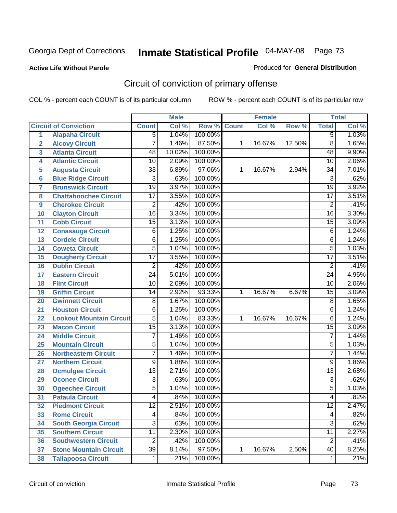#### **Active Life Without Parole**

#### Produced for **General Distribution**

# Circuit of conviction of primary offense

|                         |                                 |                 | <b>Male</b> |         |              | <b>Female</b> |        |                 | <b>Total</b> |
|-------------------------|---------------------------------|-----------------|-------------|---------|--------------|---------------|--------|-----------------|--------------|
|                         | <b>Circuit of Conviction</b>    | <b>Count</b>    | Col %       | Row %   | <b>Count</b> | Col %         | Row %  | <b>Total</b>    | Col %        |
| 1                       | <b>Alapaha Circuit</b>          | $\overline{5}$  | 1.04%       | 100.00% |              |               |        | 5               | 1.03%        |
| $\overline{2}$          | <b>Alcovy Circuit</b>           | $\overline{7}$  | 1.46%       | 87.50%  | 1            | 16.67%        | 12.50% | $\overline{8}$  | 1.65%        |
| $\overline{\mathbf{3}}$ | <b>Atlanta Circuit</b>          | 48              | 10.02%      | 100.00% |              |               |        | 48              | 9.90%        |
| 4                       | <b>Atlantic Circuit</b>         | 10              | 2.09%       | 100.00% |              |               |        | 10              | 2.06%        |
| 5                       | <b>Augusta Circuit</b>          | $\overline{33}$ | 6.89%       | 97.06%  | 1            | 16.67%        | 2.94%  | 34              | 7.01%        |
| $6\phantom{a}$          | <b>Blue Ridge Circuit</b>       | $\overline{3}$  | .63%        | 100.00% |              |               |        | $\overline{3}$  | .62%         |
| $\overline{7}$          | <b>Brunswick Circuit</b>        | $\overline{19}$ | 3.97%       | 100.00% |              |               |        | $\overline{19}$ | 3.92%        |
| 8                       | <b>Chattahoochee Circuit</b>    | $\overline{17}$ | 3.55%       | 100.00% |              |               |        | $\overline{17}$ | 3.51%        |
| 9                       | <b>Cherokee Circuit</b>         | $\overline{2}$  | .42%        | 100.00% |              |               |        | $\overline{2}$  | .41%         |
| 10                      | <b>Clayton Circuit</b>          | $\overline{16}$ | 3.34%       | 100.00% |              |               |        | $\overline{16}$ | 3.30%        |
| 11                      | <b>Cobb Circuit</b>             | $\overline{15}$ | 3.13%       | 100.00% |              |               |        | 15              | 3.09%        |
| 12                      | <b>Conasauga Circuit</b>        | $\overline{6}$  | 1.25%       | 100.00% |              |               |        | 6               | 1.24%        |
| 13                      | <b>Cordele Circuit</b>          | 6               | 1.25%       | 100.00% |              |               |        | 6               | 1.24%        |
| 14                      | <b>Coweta Circuit</b>           | $\overline{5}$  | 1.04%       | 100.00% |              |               |        | $\overline{5}$  | 1.03%        |
| 15                      | <b>Dougherty Circuit</b>        | $\overline{17}$ | 3.55%       | 100.00% |              |               |        | $\overline{17}$ | 3.51%        |
| 16                      | <b>Dublin Circuit</b>           | $\overline{2}$  | .42%        | 100.00% |              |               |        | $\overline{2}$  | .41%         |
| 17                      | <b>Eastern Circuit</b>          | $\overline{24}$ | 5.01%       | 100.00% |              |               |        | 24              | 4.95%        |
| 18                      | <b>Flint Circuit</b>            | $\overline{10}$ | 2.09%       | 100.00% |              |               |        | 10              | 2.06%        |
| 19                      | <b>Griffin Circuit</b>          | 14              | 2.92%       | 93.33%  | $\mathbf{1}$ | 16.67%        | 6.67%  | $\overline{15}$ | 3.09%        |
| 20                      | <b>Gwinnett Circuit</b>         | $\overline{8}$  | 1.67%       | 100.00% |              |               |        | $\overline{8}$  | 1.65%        |
| 21                      | <b>Houston Circuit</b>          | 6               | 1.25%       | 100.00% |              |               |        | $\overline{6}$  | 1.24%        |
| 22                      | <b>Lookout Mountain Circuit</b> | $\overline{5}$  | 1.04%       | 83.33%  | 1            | 16.67%        | 16.67% | 6               | 1.24%        |
| 23                      | <b>Macon Circuit</b>            | $\overline{15}$ | 3.13%       | 100.00% |              |               |        | $\overline{15}$ | 3.09%        |
| 24                      | <b>Middle Circuit</b>           | 7               | 1.46%       | 100.00% |              |               |        | $\overline{7}$  | 1.44%        |
| 25                      | <b>Mountain Circuit</b>         | 5               | 1.04%       | 100.00% |              |               |        | 5               | 1.03%        |
| 26                      | <b>Northeastern Circuit</b>     | $\overline{7}$  | 1.46%       | 100.00% |              |               |        | $\overline{7}$  | 1.44%        |
| 27                      | <b>Northern Circuit</b>         | $\overline{9}$  | 1.88%       | 100.00% |              |               |        | 9               | 1.86%        |
| 28                      | <b>Ocmulgee Circuit</b>         | $\overline{13}$ | 2.71%       | 100.00% |              |               |        | $\overline{13}$ | 2.68%        |
| 29                      | <b>Oconee Circuit</b>           | $\overline{3}$  | .63%        | 100.00% |              |               |        | $\overline{3}$  | .62%         |
| 30                      | <b>Ogeechee Circuit</b>         | $\overline{5}$  | 1.04%       | 100.00% |              |               |        | 5               | 1.03%        |
| $\overline{31}$         | <b>Pataula Circuit</b>          | 4               | .84%        | 100.00% |              |               |        | 4               | .82%         |
| 32                      | <b>Piedmont Circuit</b>         | 12              | 2.51%       | 100.00% |              |               |        | 12              | 2.47%        |
| 33                      | <b>Rome Circuit</b>             | 4               | .84%        | 100.00% |              |               |        | 4               | .82%         |
| 34                      | <b>South Georgia Circuit</b>    | $\overline{3}$  | .63%        | 100.00% |              |               |        | $\overline{3}$  | .62%         |
| 35                      | <b>Southern Circuit</b>         | $\overline{11}$ | 2.30%       | 100.00% |              |               |        | $\overline{11}$ | 2.27%        |
| 36                      | <b>Southwestern Circuit</b>     | $\overline{2}$  | .42%        | 100.00% |              |               |        | $\overline{2}$  | .41%         |
| 37                      | <b>Stone Mountain Circuit</b>   | $\overline{39}$ | 8.14%       | 97.50%  | 1            | 16.67%        | 2.50%  | 40              | 8.25%        |
| 38                      | <b>Tallapoosa Circuit</b>       | $\mathbf 1$     | .21%        | 100.00% |              |               |        | 1               | .21%         |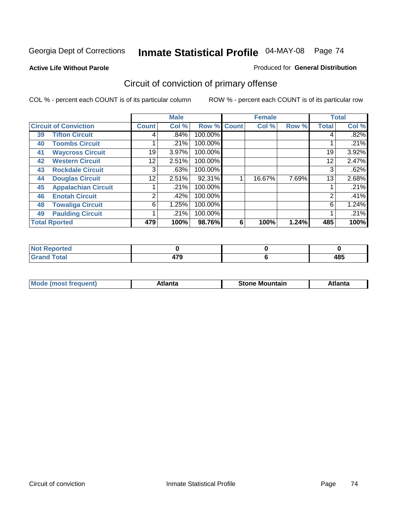**Active Life Without Parole** 

#### Produced for **General Distribution**

# Circuit of conviction of primary offense

|    |                              |              | <b>Male</b> |         |              | <b>Female</b> |       |              | <b>Total</b> |
|----|------------------------------|--------------|-------------|---------|--------------|---------------|-------|--------------|--------------|
|    | <b>Circuit of Conviction</b> | <b>Count</b> | Col %       | Row %   | <b>Count</b> | Col %         | Row % | <b>Total</b> | Col %        |
| 39 | <b>Tifton Circuit</b>        | 4            | .84%        | 100.00% |              |               |       | 4            | $.82\%$      |
| 40 | <b>Toombs Circuit</b>        |              | .21%        | 100.00% |              |               |       |              | .21%         |
| 41 | <b>Waycross Circuit</b>      | 19           | 3.97%       | 100.00% |              |               |       | 19           | 3.92%        |
| 42 | <b>Western Circuit</b>       | 12           | 2.51%       | 100.00% |              |               |       | 12           | 2.47%        |
| 43 | <b>Rockdale Circuit</b>      | 3            | .63%        | 100.00% |              |               |       | 3            | .62%         |
| 44 | <b>Douglas Circuit</b>       | 12           | 2.51%       | 92.31%  |              | 16.67%        | 7.69% | 13           | 2.68%        |
| 45 | <b>Appalachian Circuit</b>   |              | .21%        | 100.00% |              |               |       |              | .21%         |
| 46 | <b>Enotah Circuit</b>        | 2            | .42%        | 100.00% |              |               |       | 2            | .41%         |
| 48 | <b>Towaliga Circuit</b>      | 6            | 1.25%       | 100.00% |              |               |       | 6            | 1.24%        |
| 49 | <b>Paulding Circuit</b>      |              | .21%        | 100.00% |              |               |       |              | .21%         |
|    | <b>Total Rported</b>         | 479          | 100%        | 98.76%  | 6            | 100%          | 1.24% | 485          | 100%         |

| . Reported<br><b>NOT</b> |               |                     |
|--------------------------|---------------|---------------------|
| <b>c</b> otal            | 170<br>$\sim$ | 10 E<br>40.<br>$ -$ |

| Mο<br><b>Stone</b><br>Mountain<br>`lanta |
|------------------------------------------|
|------------------------------------------|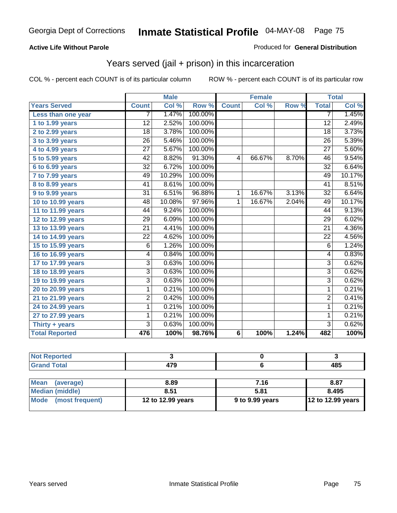#### **Active Life Without Parole**

#### Produced for **General Distribution**

## Years served (jail + prison) in this incarceration

|                       |                 | <b>Male</b> |         |                 | <b>Female</b> |       |                 | <b>Total</b> |
|-----------------------|-----------------|-------------|---------|-----------------|---------------|-------|-----------------|--------------|
| <b>Years Served</b>   | <b>Count</b>    | Col %       | Row %   | <b>Count</b>    | Col %         | Row % | <b>Total</b>    | Col %        |
| Less than one year    | 7               | 1.47%       | 100.00% |                 |               |       | $\overline{7}$  | 1.45%        |
| 1 to 1.99 years       | 12              | 2.52%       | 100.00% |                 |               |       | $\overline{12}$ | 2.49%        |
| 2 to 2.99 years       | 18              | 3.78%       | 100.00% |                 |               |       | 18              | 3.73%        |
| 3 to 3.99 years       | $\overline{26}$ | 5.46%       | 100.00% |                 |               |       | $\overline{26}$ | 5.39%        |
| 4 to 4.99 years       | $\overline{27}$ | 5.67%       | 100.00% |                 |               |       | $\overline{27}$ | 5.60%        |
| 5 to 5.99 years       | 42              | 8.82%       | 91.30%  | 4               | 66.67%        | 8.70% | 46              | 9.54%        |
| 6 to 6.99 years       | $\overline{32}$ | 6.72%       | 100.00% |                 |               |       | $\overline{32}$ | 6.64%        |
| 7 to 7.99 years       | 49              | 10.29%      | 100.00% |                 |               |       | 49              | 10.17%       |
| 8 to 8.99 years       | 41              | 8.61%       | 100.00% |                 |               |       | 41              | 8.51%        |
| 9 to 9.99 years       | $\overline{31}$ | 6.51%       | 96.88%  | $\mathbf{1}$    | 16.67%        | 3.13% | $\overline{32}$ | 6.64%        |
| 10 to 10.99 years     | 48              | 10.08%      | 97.96%  | 1               | 16.67%        | 2.04% | 49              | 10.17%       |
| 11 to 11.99 years     | 44              | 9.24%       | 100.00% |                 |               |       | 44              | 9.13%        |
| 12 to 12.99 years     | 29              | 6.09%       | 100.00% |                 |               |       | $\overline{29}$ | 6.02%        |
| 13 to 13.99 years     | $\overline{21}$ | 4.41%       | 100.00% |                 |               |       | $\overline{21}$ | 4.36%        |
| 14 to 14.99 years     | 22              | 4.62%       | 100.00% |                 |               |       | 22              | 4.56%        |
| 15 to 15.99 years     | 6               | 1.26%       | 100.00% |                 |               |       | 6               | 1.24%        |
| 16 to 16.99 years     | 4               | 0.84%       | 100.00% |                 |               |       | 4               | 0.83%        |
| 17 to 17.99 years     | $\overline{3}$  | 0.63%       | 100.00% |                 |               |       | 3               | 0.62%        |
| 18 to 18.99 years     | $\overline{3}$  | 0.63%       | 100.00% |                 |               |       | $\overline{3}$  | 0.62%        |
| 19 to 19.99 years     | $\overline{3}$  | 0.63%       | 100.00% |                 |               |       | $\overline{3}$  | 0.62%        |
| 20 to 20.99 years     | 1               | 0.21%       | 100.00% |                 |               |       | $\mathbf{1}$    | 0.21%        |
| 21 to 21.99 years     | 2               | 0.42%       | 100.00% |                 |               |       | $\overline{2}$  | 0.41%        |
| 24 to 24.99 years     | 1               | 0.21%       | 100.00% |                 |               |       | 1               | 0.21%        |
| 27 to 27.99 years     | 1               | 0.21%       | 100.00% |                 |               |       | 1               | 0.21%        |
| Thirty + years        | 3               | 0.63%       | 100.00% |                 |               |       | $\overline{3}$  | 0.62%        |
| <b>Total Reported</b> | 476             | 100%        | 98.76%  | $6\phantom{1}6$ | 100%          | 1.24% | 482             | 100%         |

| <b>Not Reported</b> |            |      |             |
|---------------------|------------|------|-------------|
| <b>Grand Total</b>  | 479        |      | 485         |
|                     |            |      |             |
| Mean (average)      | 8.89       | 7.16 | 8.87        |
| Modian (middle)     | <b>R51</b> | 5.81 | <b>RAQ5</b> |

|                      |                   | .               | .                        |
|----------------------|-------------------|-----------------|--------------------------|
| Median (middle)      | 8.51              | 5.81            | 8.495                    |
| Mode (most frequent) | 12 to 12.99 years | 9 to 9.99 years | <b>12 to 12.99 years</b> |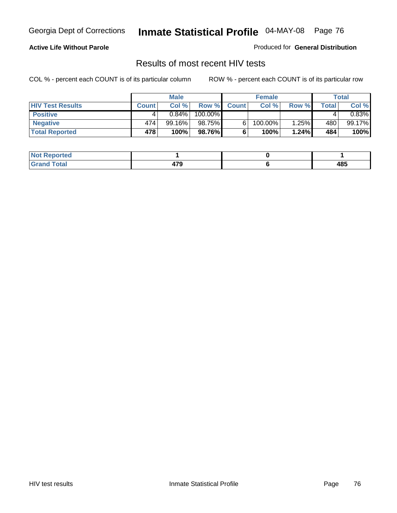#### **Active Life Without Parole**

Produced for **General Distribution**

## Results of most recent HIV tests

|                         |              | <b>Male</b> |         |              | <b>Female</b> |       |       | Total  |
|-------------------------|--------------|-------------|---------|--------------|---------------|-------|-------|--------|
| <b>HIV Test Results</b> | <b>Count</b> | Col %       | Row %   | <b>Count</b> | Col %         | Row % | Total | Col %  |
| <b>Positive</b>         |              | $0.84\%$    | 100.00% |              |               |       |       | 0.83%  |
| <b>Negative</b>         | 474          | $99.16\%$   | 98.75%  |              | 100.00%       | 1.25% | 480   | 99.17% |
| <b>Total Reported</b>   | 478          | 100%        | 98.76%  |              | 100%          | 1.24% | 484   | 100%   |

| <b>Not Reported</b> |            |     |
|---------------------|------------|-----|
| <b>Grand Total</b>  | . ה<br>--- | 485 |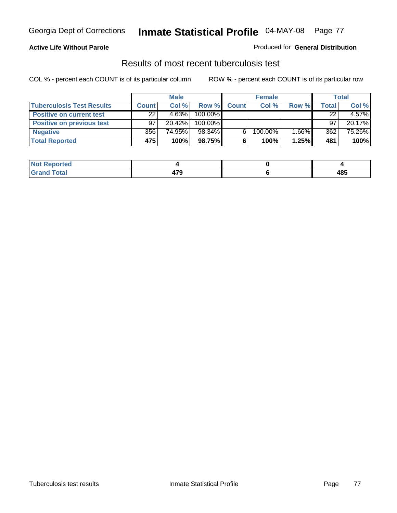### **Active Life Without Parole**

#### Produced for **General Distribution**

### Results of most recent tuberculosis test

|                                  |              | <b>Male</b> |         |              | <b>Female</b> |          |                    | Total  |
|----------------------------------|--------------|-------------|---------|--------------|---------------|----------|--------------------|--------|
| <b>Tuberculosis Test Results</b> | <b>Count</b> | Col %       | Row %   | <b>Count</b> | Col %         | Row %    | Total <sub>1</sub> | Col %  |
| <b>Positive on current test</b>  | 22           | 4.63%       | 100.00% |              |               |          | 22                 | 4.57%  |
| <b>Positive on previous test</b> | 97           | $20.42\%$   | 100.00% |              |               |          | 97                 | 20.17% |
| <b>Negative</b>                  | 356          | 74.95%      | 98.34%  |              | 100.00%       | $1.66\%$ | 362                | 75.26% |
| <b>Total Reported</b>            | 475          | 100%        | 98.75%  |              | 100%          | 1.25%    | 481                | 100%   |

| <b>Reported</b><br><b>NOT</b> |             |     |
|-------------------------------|-------------|-----|
| <b>Total</b>                  | 170<br>71 J | 485 |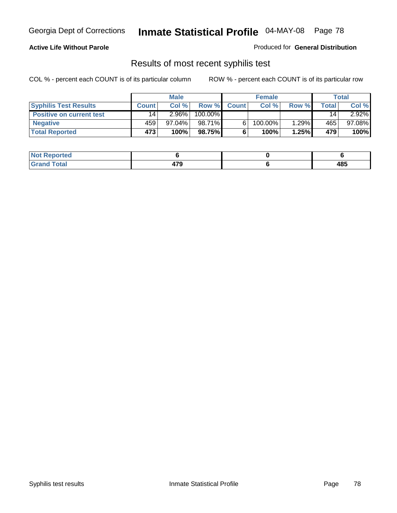### **Active Life Without Parole**

Produced for **General Distribution**

### Results of most recent syphilis test

|                                 |                 | <b>Male</b> |         |              | <b>Female</b> |       |       | Total     |
|---------------------------------|-----------------|-------------|---------|--------------|---------------|-------|-------|-----------|
| <b>Syphilis Test Results</b>    | <b>Count</b>    | Col %       | Row %   | <b>Count</b> | Col %         | Row % | Total | Col %     |
| <b>Positive on current test</b> | 14 <sub>1</sub> | $2.96\%$    | 100.00% |              |               |       | 14    | $2.92\%$  |
| <b>Negative</b>                 | 459'            | $97.04\%$   | 98.71%  |              | 100.00%       | 1.29% | 465   | $97.08\%$ |
| <b>Total Reported</b>           | 473             | 100%        | 98.75%  |              | 100%          | 1.25% | 479   | 100%      |

| <b>Not Reported</b> |             |     |
|---------------------|-------------|-----|
| <b>Total</b>        | . ה<br>$ -$ | 485 |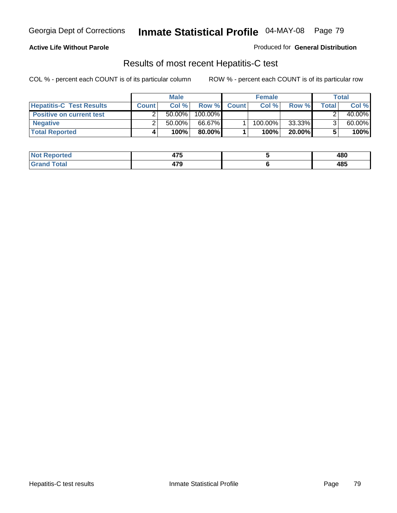### **Active Life Without Parole**

Produced for **General Distribution**

## Results of most recent Hepatitis-C test

|                                 | <b>Male</b>  |           |         | <b>Female</b> |         |           | Total |        |
|---------------------------------|--------------|-----------|---------|---------------|---------|-----------|-------|--------|
| <b>Hepatitis-C Test Results</b> | <b>Count</b> | Col %     | Row %   | <b>Count</b>  | Col %   | Row %     | Total | Col %  |
| <b>Positive on current test</b> |              | $50.00\%$ | 100.00% |               |         |           |       | 40.00% |
| <b>Negative</b>                 |              | $50.00\%$ | 66.67%  |               | 100.00% | 33.33%    |       | 60.00% |
| <b>Total Reported</b>           |              | 100%      | 80.00%I |               | 100%    | $20.00\%$ |       | 100%   |

| <b>Not Reported</b> | 1 – F<br>41 J       | 480 |
|---------------------|---------------------|-----|
| <b>Grand Total</b>  | 170<br>41 J<br>$ -$ | 485 |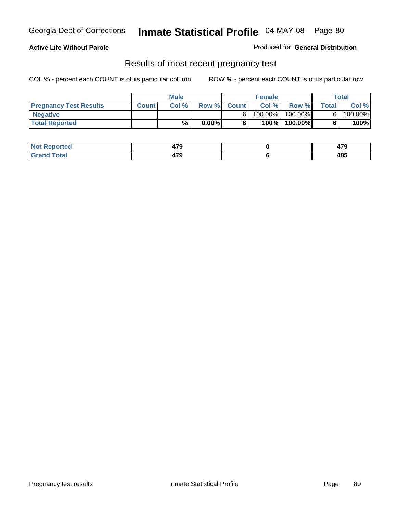### **Active Life Without Parole**

Produced for **General Distribution**

### Results of most recent pregnancy test

|                               | <b>Male</b>  |      |          | <b>Female</b> |         |         | <b>Total</b> |         |
|-------------------------------|--------------|------|----------|---------------|---------|---------|--------------|---------|
| <b>Pregnancy Test Results</b> | <b>Count</b> | Col% | Row %    | <b>Count</b>  | Col %   | Row %   | <b>Total</b> | Col %   |
| <b>Negative</b>               |              |      |          |               | 100.00% | 100.00% |              | 100.00% |
| <b>Total Reported</b>         |              | %    | $0.00\%$ |               | 100%    | 100.00% |              | 100%    |

| eported?     | 170<br>71 J | יי<br>41 J |
|--------------|-------------|------------|
| <b>Total</b> | 170<br>41 J | 485        |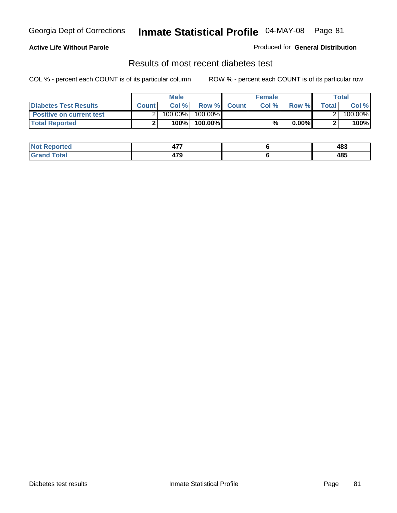### **Active Life Without Parole**

#### Produced for **General Distribution**

## Results of most recent diabetes test

|                                 |              | <b>Male</b> |            |             | <b>Female</b> |          |        | Total   |
|---------------------------------|--------------|-------------|------------|-------------|---------------|----------|--------|---------|
| <b>Diabetes Test Results</b>    | <b>Count</b> | Col %       |            | Row % Count | Col%          | Row %    | Totall | Col %   |
| <b>Positive on current test</b> |              | 100.00%     | $100.00\%$ |             |               |          |        | 100.00% |
| <b>Total Reported</b>           |              | 100%        | 100.00%    |             | %.            | $0.00\%$ |        | 100%    |

| ?eported     | ---<br>TI 1 | 483 |
|--------------|-------------|-----|
| <b>Total</b> | 170<br>41 J | 485 |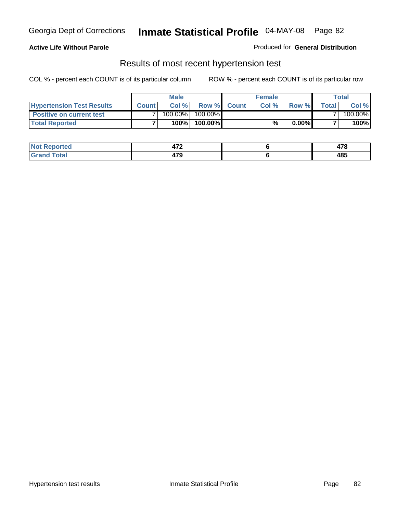#### **Active Life Without Parole**

#### Produced for **General Distribution**

### Results of most recent hypertension test

|                                  |              | <b>Male</b> |            |             | <b>Female</b> |          |        | Total   |
|----------------------------------|--------------|-------------|------------|-------------|---------------|----------|--------|---------|
| <b>Hypertension Test Results</b> | <b>Count</b> | Col %       |            | Row % Count | Col%          | Row %    | Totall | Col %   |
| <b>Positive on current test</b>  |              | 100.00%     | $100.00\%$ |             |               |          |        | 100.00% |
| <b>Total Reported</b>            |              | 100%        | 100.00%    |             | %             | $0.00\%$ |        | 100%    |

| orted      | יי<br>71 L  | 470<br>TI V |
|------------|-------------|-------------|
| <b>ota</b> | 170<br>41 J | 485         |